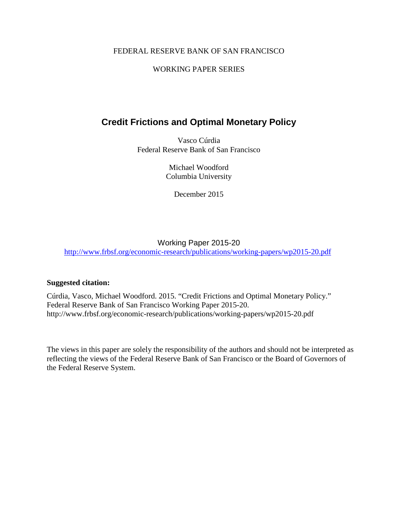## FEDERAL RESERVE BANK OF SAN FRANCISCO

# WORKING PAPER SERIES

# **Credit Frictions and Optimal Monetary Policy**

Vasco Cúrdia Federal Reserve Bank of San Francisco

> Michael Woodford Columbia University

> > December 2015

Working Paper 2015-20 <http://www.frbsf.org/economic-research/publications/working-papers/wp2015-20.pdf>

#### **Suggested citation:**

Cúrdia, Vasco, Michael Woodford. 2015. "Credit Frictions and Optimal Monetary Policy." Federal Reserve Bank of San Francisco Working Paper 2015-20. http://www.frbsf.org/economic-research/publications/working-papers/wp2015-20.pdf

The views in this paper are solely the responsibility of the authors and should not be interpreted as reflecting the views of the Federal Reserve Bank of San Francisco or the Board of Governors of the Federal Reserve System.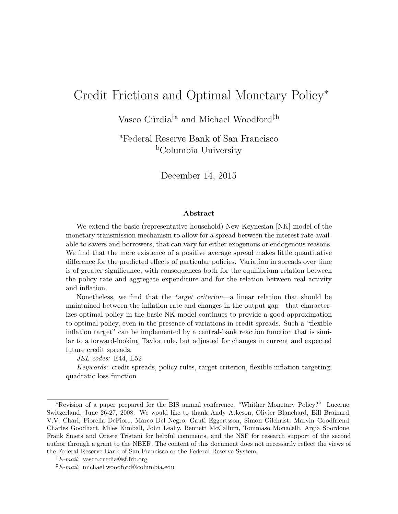<span id="page-1-0"></span>Vasco Cúrdia<sup>†a</sup> and Michael Woodford<sup>‡b</sup>

<sup>a</sup>Federal Reserve Bank of San Francisco <sup>b</sup>Columbia University

December 14, 2015

#### Abstract

We extend the basic (representative-household) New Keynesian [NK] model of the monetary transmission mechanism to allow for a spread between the interest rate available to savers and borrowers, that can vary for either exogenous or endogenous reasons. We find that the mere existence of a positive average spread makes little quantitative difference for the predicted effects of particular policies. Variation in spreads over time is of greater significance, with consequences both for the equilibrium relation between the policy rate and aggregate expenditure and for the relation between real activity and inflation.

Nonetheless, we find that the target criterion—a linear relation that should be maintained between the inflation rate and changes in the output gap—that characterizes optimal policy in the basic NK model continues to provide a good approximation to optimal policy, even in the presence of variations in credit spreads. Such a "flexible inflation target" can be implemented by a central-bank reaction function that is similar to a forward-looking Taylor rule, but adjusted for changes in current and expected future credit spreads.

JEL codes: E44, E52

Keywords: credit spreads, policy rules, target criterion, flexible inflation targeting, quadratic loss function

<sup>∗</sup>Revision of a paper prepared for the BIS annual conference, "Whither Monetary Policy?" Lucerne, Switzerland, June 26-27, 2008. We would like to thank Andy Atkeson, Olivier Blanchard, Bill Brainard, V.V. Chari, Fiorella DeFiore, Marco Del Negro, Gauti Eggertsson, Simon Gilchrist, Marvin Goodfriend, Charles Goodhart, Miles Kimball, John Leahy, Bennett McCallum, Tommaso Monacelli, Argia Sbordone, Frank Smets and Oreste Tristani for helpful comments, and the NSF for research support of the second author through a grant to the NBER. The content of this document does not necessarily reflect the views of the Federal Reserve Bank of San Francisco or the Federal Reserve System.

<sup>&</sup>lt;sup>†</sup> $E$ -*mail*: vasco.curdia@sf.frb.org

<sup>‡</sup>E-mail: michael.woodford@columbia.edu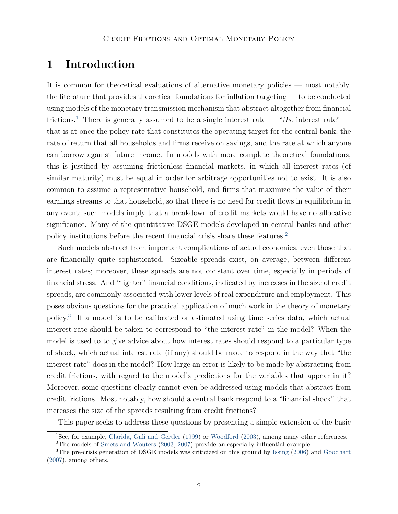# 1 Introduction

It is common for theoretical evaluations of alternative monetary policies — most notably, the literature that provides theoretical foundations for inflation targeting — to be conducted using models of the monetary transmission mechanism that abstract altogether from financial frictions.<sup>[1](#page-1-0)</sup> There is generally assumed to be a single interest rate — "the interest rate" that is at once the policy rate that constitutes the operating target for the central bank, the rate of return that all households and firms receive on savings, and the rate at which anyone can borrow against future income. In models with more complete theoretical foundations, this is justified by assuming frictionless financial markets, in which all interest rates (of similar maturity) must be equal in order for arbitrage opportunities not to exist. It is also common to assume a representative household, and firms that maximize the value of their earnings streams to that household, so that there is no need for credit flows in equilibrium in any event; such models imply that a breakdown of credit markets would have no allocative significance. Many of the quantitative DSGE models developed in central banks and other policy institutions before the recent financial crisis share these features.[2](#page-1-0)

Such models abstract from important complications of actual economies, even those that are financially quite sophisticated. Sizeable spreads exist, on average, between different interest rates; moreover, these spreads are not constant over time, especially in periods of financial stress. And "tighter" financial conditions, indicated by increases in the size of credit spreads, are commonly associated with lower levels of real expenditure and employment. This poses obvious questions for the practical application of much work in the theory of monetary policy.[3](#page-1-0) If a model is to be calibrated or estimated using time series data, which actual interest rate should be taken to correspond to "the interest rate" in the model? When the model is used to to give advice about how interest rates should respond to a particular type of shock, which actual interest rate (if any) should be made to respond in the way that "the interest rate" does in the model? How large an error is likely to be made by abstracting from credit frictions, with regard to the model's predictions for the variables that appear in it? Moreover, some questions clearly cannot even be addressed using models that abstract from credit frictions. Most notably, how should a central bank respond to a "financial shock" that increases the size of the spreads resulting from credit frictions?

This paper seeks to address these questions by presenting a simple extension of the basic

<sup>&</sup>lt;sup>1</sup>See, for example, [Clarida, Gali and Gertler](#page-57-0) [\(1999\)](#page-57-0) or [Woodford](#page-60-0) [\(2003\)](#page-60-0), among many other references. <sup>2</sup>The models of [Smets and Wouters](#page-59-0) [\(2003,](#page-59-0) [2007\)](#page-59-1) provide an especially influential example.

<sup>&</sup>lt;sup>3</sup>The pre-crisis generation of DSGE models was criticized on this ground by [Issing](#page-58-0) [\(2006\)](#page-58-0) and [Goodhart](#page-58-1) [\(2007\)](#page-58-1), among others.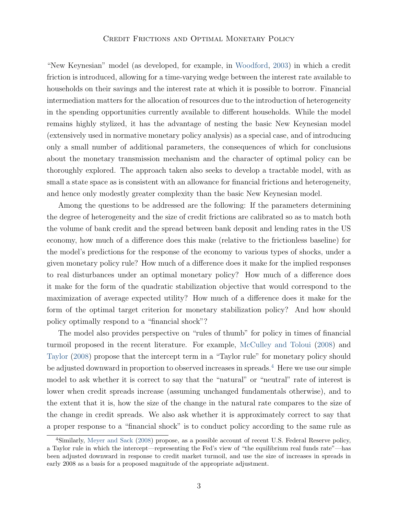"New Keynesian" model (as developed, for example, in [Woodford,](#page-60-0) [2003\)](#page-60-0) in which a credit friction is introduced, allowing for a time-varying wedge between the interest rate available to households on their savings and the interest rate at which it is possible to borrow. Financial intermediation matters for the allocation of resources due to the introduction of heterogeneity in the spending opportunities currently available to different households. While the model remains highly stylized, it has the advantage of nesting the basic New Keynesian model (extensively used in normative monetary policy analysis) as a special case, and of introducing only a small number of additional parameters, the consequences of which for conclusions about the monetary transmission mechanism and the character of optimal policy can be thoroughly explored. The approach taken also seeks to develop a tractable model, with as small a state space as is consistent with an allowance for financial frictions and heterogeneity, and hence only modestly greater complexity than the basic New Keynesian model.

Among the questions to be addressed are the following: If the parameters determining the degree of heterogeneity and the size of credit frictions are calibrated so as to match both the volume of bank credit and the spread between bank deposit and lending rates in the US economy, how much of a difference does this make (relative to the frictionless baseline) for the model's predictions for the response of the economy to various types of shocks, under a given monetary policy rule? How much of a difference does it make for the implied responses to real disturbances under an optimal monetary policy? How much of a difference does it make for the form of the quadratic stabilization objective that would correspond to the maximization of average expected utility? How much of a difference does it make for the form of the optimal target criterion for monetary stabilization policy? And how should policy optimally respond to a "financial shock"?

The model also provides perspective on "rules of thumb" for policy in times of financial turmoil proposed in the recent literature. For example, [McCulley and Toloui](#page-59-2) [\(2008\)](#page-59-2) and [Taylor](#page-60-1) [\(2008\)](#page-60-1) propose that the intercept term in a "Taylor rule" for monetary policy should be adjusted downward in proportion to observed increases in spreads.[4](#page-1-0) Here we use our simple model to ask whether it is correct to say that the "natural" or "neutral" rate of interest is lower when credit spreads increase (assuming unchanged fundamentals otherwise), and to the extent that it is, how the size of the change in the natural rate compares to the size of the change in credit spreads. We also ask whether it is approximately correct to say that a proper response to a "financial shock" is to conduct policy according to the same rule as

<sup>4</sup>Similarly, [Meyer and Sack](#page-59-3) [\(2008\)](#page-59-3) propose, as a possible account of recent U.S. Federal Reserve policy, a Taylor rule in which the intercept—representing the Fed's view of "the equilibrium real funds rate"—has been adjusted downward in response to credit market turmoil, and use the size of increases in spreads in early 2008 as a basis for a proposed magnitude of the appropriate adjustment.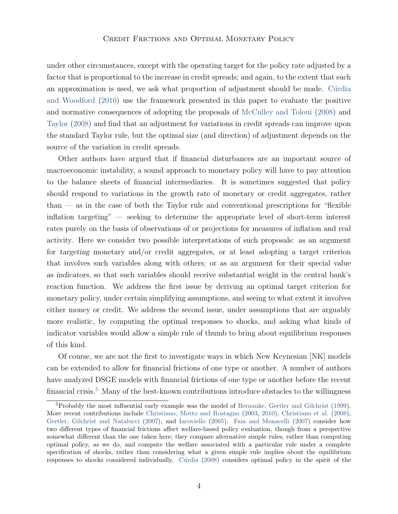under other circumstances, except with the operating target for the policy rate adjusted by a factor that is proportional to the increase in credit spreads; and again, to the extent that such an approximation is used, we ask what proportion of adjustment should be made. Curdia [and Woodford](#page-57-1) [\(2010\)](#page-57-1) use the framework presented in this paper to evaluate the positive and normative consequences of adopting the proposals of [McCulley and Toloui](#page-59-2) [\(2008\)](#page-59-2) and [Taylor](#page-60-1) [\(2008\)](#page-60-1) and find that an adjustment for variations in credit spreads can improve upon the standard Taylor rule, but the optimal size (and direction) of adjustment depends on the source of the variation in credit spreads.

Other authors have argued that if financial disturbances are an important source of macroeconomic instability, a sound approach to monetary policy will have to pay attention to the balance sheets of financial intermediaries. It is sometimes suggested that policy should respond to variations in the growth rate of monetary or credit aggregates, rather  $than - as$  in the case of both the Taylor rule and conventional prescriptions for "flexible" inflation targeting" — seeking to determine the appropriate level of short-term interest rates purely on the basis of observations of or projections for measures of inflation and real activity. Here we consider two possible interpretations of such proposals: as an argument for targeting monetary and/or credit aggregates, or at least adopting a target criterion that involves such variables along with others; or as an argument for their special value as indicators, so that such variables should receive substantial weight in the central bank's reaction function. We address the first issue by deriving an optimal target criterion for monetary policy, under certain simplifying assumptions, and seeing to what extent it involves either money or credit. We address the second issue, under assumptions that are arguably more realistic, by computing the optimal responses to shocks, and asking what kinds of indicator variables would allow a simple rule of thumb to bring about equilibrium responses of this kind.

Of course, we are not the first to investigate ways in which New Keynesian [NK] models can be extended to allow for financial frictions of one type or another. A number of authors have analyzed DSGE models with financial frictions of one type or another before the recent financial crisis.<sup>[5](#page-1-0)</sup> Many of the best-known contributions introduce obstacles to the willingness

<sup>5</sup>Probably the most influential early example was the model of [Bernanke, Gertler and Gilchrist](#page-56-0) [\(1999\)](#page-56-0). More recent contributions include [Christiano, Motto and Rostagno](#page-57-2) [\(2003,](#page-57-2) [2010\)](#page-57-3), [Christiano et al.](#page-57-4) [\(2008\)](#page-57-4), [Gertler, Gilchrist and Natalucci](#page-58-2) [\(2007\)](#page-58-2), and [Iacoviello](#page-58-3) [\(2005\)](#page-58-3). [Faia and Monacelli](#page-57-5) [\(2007\)](#page-57-5) consider how two different types of financial frictions affect welfare-based policy evaluation, though from a perspective somewhat different than the one taken here; they compare alternative simple rules, rather than computing optimal policy, as we do, and compute the welfare associated with a particular rule under a complete specification of shocks, rather than considering what a given simple rule implies about the equilibrium responses to shocks considered individually. Cúrdia [\(2008\)](#page-57-6) considers optimal policy in the spirit of the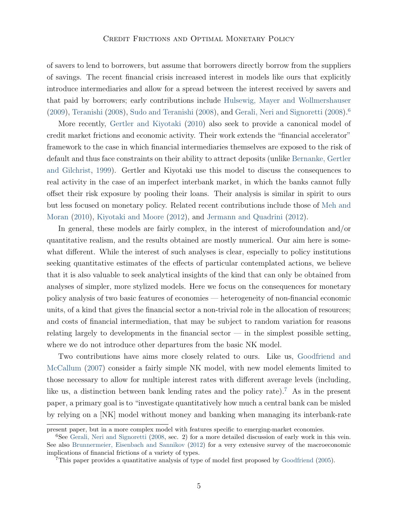of savers to lend to borrowers, but assume that borrowers directly borrow from the suppliers of savings. The recent financial crisis increased interest in models like ours that explicitly introduce intermediaries and allow for a spread between the interest received by savers and that paid by borrowers; early contributions include [Hulsewig, Mayer and Wollmershauser](#page-58-4) [\(2009\)](#page-58-4), [Teranishi](#page-60-2) [\(2008\)](#page-60-2), [Sudo and Teranishi](#page-60-3) [\(2008\)](#page-60-3), and [Gerali, Neri and Signoretti](#page-58-5) [\(2008\)](#page-58-5).[6](#page-1-0)

More recently, [Gertler and Kiyotaki](#page-58-6) [\(2010\)](#page-58-6) also seek to provide a canonical model of credit market frictions and economic activity. Their work extends the "financial accelerator" framework to the case in which financial intermediaries themselves are exposed to the risk of default and thus face constraints on their ability to attract deposits (unlike [Bernanke, Gertler](#page-56-0) [and Gilchrist,](#page-56-0) [1999\)](#page-56-0). Gertler and Kiyotaki use this model to discuss the consequences to real activity in the case of an imperfect interbank market, in which the banks cannot fully offset their risk exposure by pooling their loans. Their analysis is similar in spirit to ours but less focused on monetary policy. Related recent contributions include those of [Meh and](#page-59-4) [Moran](#page-59-4) [\(2010\)](#page-59-4), [Kiyotaki and Moore](#page-58-7) [\(2012\)](#page-58-7), and [Jermann and Quadrini](#page-58-8) [\(2012\)](#page-58-8).

In general, these models are fairly complex, in the interest of microfoundation and/or quantitative realism, and the results obtained are mostly numerical. Our aim here is somewhat different. While the interest of such analyses is clear, especially to policy institutions seeking quantitative estimates of the effects of particular contemplated actions, we believe that it is also valuable to seek analytical insights of the kind that can only be obtained from analyses of simpler, more stylized models. Here we focus on the consequences for monetary policy analysis of two basic features of economies — heterogeneity of non-financial economic units, of a kind that gives the financial sector a non-trivial role in the allocation of resources; and costs of financial intermediation, that may be subject to random variation for reasons relating largely to developments in the financial sector — in the simplest possible setting, where we do not introduce other departures from the basic NK model.

Two contributions have aims more closely related to ours. Like us, [Goodfriend and](#page-58-9) [McCallum](#page-58-9) [\(2007\)](#page-58-9) consider a fairly simple NK model, with new model elements limited to those necessary to allow for multiple interest rates with different average levels (including, like us, a distinction between bank lending rates and the policy rate).<sup>[7](#page-1-0)</sup> As in the present paper, a primary goal is to "investigate quantitatively how much a central bank can be misled by relying on a [NK] model without money and banking when managing its interbank-rate

present paper, but in a more complex model with features specific to emerging-market economies.

 ${}^{6}$ See [Gerali, Neri and Signoretti](#page-58-5) [\(2008,](#page-58-5) sec. 2) for a more detailed discussion of early work in this vein. See also [Brunnermeier, Eisenbach and Sannikov](#page-56-1) [\(2012\)](#page-56-1) for a very extensive survey of the macroeconomic implications of financial frictions of a variety of types.

<sup>&</sup>lt;sup>7</sup>This paper provides a quantitative analysis of type of model first proposed by [Goodfriend](#page-58-10) [\(2005\)](#page-58-10).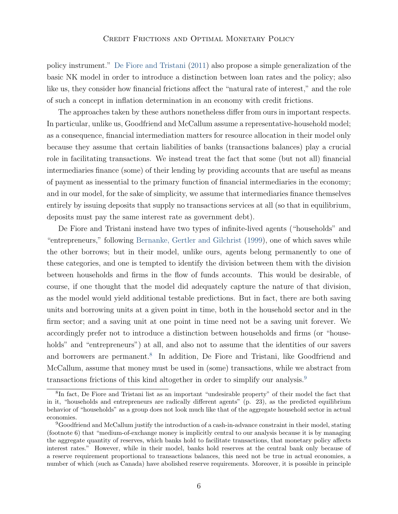policy instrument." [De Fiore and Tristani](#page-57-7) [\(2011\)](#page-57-7) also propose a simple generalization of the basic NK model in order to introduce a distinction between loan rates and the policy; also like us, they consider how financial frictions affect the "natural rate of interest," and the role of such a concept in inflation determination in an economy with credit frictions.

The approaches taken by these authors nonetheless differ from ours in important respects. In particular, unlike us, Goodfriend and McCallum assume a representative-household model; as a consequence, financial intermediation matters for resource allocation in their model only because they assume that certain liabilities of banks (transactions balances) play a crucial role in facilitating transactions. We instead treat the fact that some (but not all) financial intermediaries finance (some) of their lending by providing accounts that are useful as means of payment as inessential to the primary function of financial intermediaries in the economy; and in our model, for the sake of simplicity, we assume that intermediaries finance themselves entirely by issuing deposits that supply no transactions services at all (so that in equilibrium, deposits must pay the same interest rate as government debt).

De Fiore and Tristani instead have two types of infinite-lived agents ("households" and "entrepreneurs," following [Bernanke, Gertler and Gilchrist](#page-56-0) [\(1999\)](#page-56-0), one of which saves while the other borrows; but in their model, unlike ours, agents belong permanently to one of these categories, and one is tempted to identify the division between them with the division between households and firms in the flow of funds accounts. This would be desirable, of course, if one thought that the model did adequately capture the nature of that division, as the model would yield additional testable predictions. But in fact, there are both saving units and borrowing units at a given point in time, both in the household sector and in the firm sector; and a saving unit at one point in time need not be a saving unit forever. We accordingly prefer not to introduce a distinction between households and firms (or "households" and "entrepreneurs") at all, and also not to assume that the identities of our savers and borrowers are permanent.<sup>[8](#page-1-0)</sup> In addition, De Fiore and Tristani, like Goodfriend and McCallum, assume that money must be used in (some) transactions, while we abstract from transactions frictions of this kind altogether in order to simplify our analysis.[9](#page-1-0)

<sup>&</sup>lt;sup>8</sup>In fact, De Fiore and Tristani list as an important "undesirable property" of their model the fact that in it, "households and entrepreneurs are radically different agents" (p. 23), as the predicted equilibrium behavior of "households" as a group does not look much like that of the aggregate household sector in actual economies.

<sup>9</sup>Goodfriend and McCallum justify the introduction of a cash-in-advance constraint in their model, stating (footnote 6) that "medium-of-exchange money is implicitly central to our analysis because it is by managing the aggregate quantity of reserves, which banks hold to facilitate transactions, that monetary policy affects interest rates." However, while in their model, banks hold reserves at the central bank only because of a reserve requirement proportional to transactions balances, this need not be true in actual economies, a number of which (such as Canada) have abolished reserve requirements. Moreover, it is possible in principle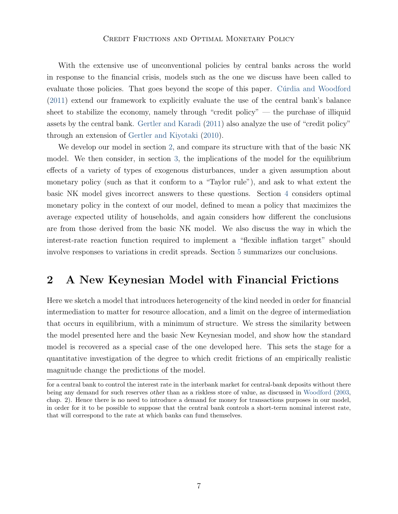With the extensive use of unconventional policies by central banks across the world in response to the financial crisis, models such as the one we discuss have been called to evaluate those policies. That goes beyond the scope of this paper. Curdia and Woodford [\(2011\)](#page-57-8) extend our framework to explicitly evaluate the use of the central bank's balance sheet to stabilize the economy, namely through "credit policy" — the purchase of illiquid assets by the central bank. [Gertler and Karadi](#page-58-11) [\(2011\)](#page-58-11) also analyze the use of "credit policy" through an extension of [Gertler and Kiyotaki](#page-58-6) [\(2010\)](#page-58-6).

We develop our model in section [2,](#page-7-0) and compare its structure with that of the basic NK model. We then consider, in section [3,](#page-25-0) the implications of the model for the equilibrium effects of a variety of types of exogenous disturbances, under a given assumption about monetary policy (such as that it conform to a "Taylor rule"), and ask to what extent the basic NK model gives incorrect answers to these questions. Section [4](#page-39-0) considers optimal monetary policy in the context of our model, defined to mean a policy that maximizes the average expected utility of households, and again considers how different the conclusions are from those derived from the basic NK model. We also discuss the way in which the interest-rate reaction function required to implement a "flexible inflation target" should involve responses to variations in credit spreads. Section [5](#page-51-0) summarizes our conclusions.

# <span id="page-7-0"></span>2 A New Keynesian Model with Financial Frictions

Here we sketch a model that introduces heterogeneity of the kind needed in order for financial intermediation to matter for resource allocation, and a limit on the degree of intermediation that occurs in equilibrium, with a minimum of structure. We stress the similarity between the model presented here and the basic New Keynesian model, and show how the standard model is recovered as a special case of the one developed here. This sets the stage for a quantitative investigation of the degree to which credit frictions of an empirically realistic magnitude change the predictions of the model.

for a central bank to control the interest rate in the interbank market for central-bank deposits without there being any demand for such reserves other than as a riskless store of value, as discussed in [Woodford](#page-60-0) [\(2003,](#page-60-0) chap. 2). Hence there is no need to introduce a demand for money for transactions purposes in our model, in order for it to be possible to suppose that the central bank controls a short-term nominal interest rate, that will correspond to the rate at which banks can fund themselves.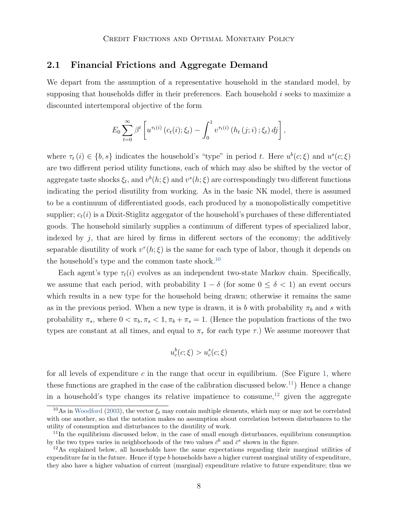### 2.1 Financial Frictions and Aggregate Demand

We depart from the assumption of a representative household in the standard model, by supposing that households differ in their preferences. Each household  $i$  seeks to maximize a discounted intertemporal objective of the form

$$
E_0 \sum_{t=0}^{\infty} \beta^t \left[ u^{\tau_t(i)} \left( c_t(i); \xi_t \right) - \int_0^1 v^{\tau_t(i)} \left( h_t \left( j; i \right); \xi_t \right) d_j \right],
$$

where  $\tau_t(i) \in \{b, s\}$  indicates the household's "type" in period t. Here  $u^b(c; \xi)$  and  $u^s(c; \xi)$ are two different period utility functions, each of which may also be shifted by the vector of aggregate taste shocks  $\xi_t$ , and  $v^b(h;\xi)$  and  $v^s(h;\xi)$  are correspondingly two different functions indicating the period disutility from working. As in the basic NK model, there is assumed to be a continuum of differentiated goods, each produced by a monopolistically competitive supplier;  $c_t(i)$  is a Dixit-Stiglitz aggegator of the household's purchases of these differentiated goods. The household similarly supplies a continuum of different types of specialized labor, indexed by  $j$ , that are hired by firms in different sectors of the economy; the additively separable disutility of work  $v^{\tau}(h; \xi)$  is the same for each type of labor, though it depends on the household's type and the common taste shock.<sup>[10](#page-1-0)</sup>

Each agent's type  $\tau_t(i)$  evolves as an independent two-state Markov chain. Specifically, we assume that each period, with probability  $1 - \delta$  (for some  $0 \leq \delta < 1$ ) an event occurs which results in a new type for the household being drawn; otherwise it remains the same as in the previous period. When a new type is drawn, it is b with probability  $\pi_b$  and s with probability  $\pi_s$ , where  $0 < \pi_b$ ,  $\pi_s < 1$ ,  $\pi_b + \pi_s = 1$ . (Hence the population fractions of the two types are constant at all times, and equal to  $\pi_{\tau}$  for each type  $\tau$ .) We assume moreover that

$$
u_c^b(c;\xi) > u_c^s(c;\xi)
$$

for all levels of expenditure  $c$  in the range that occur in equilibrium. (See Figure [1,](#page-61-0) where these functions are graphed in the case of the calibration discussed below.<sup>[11](#page-1-0)</sup>) Hence a change in a household's type changes its relative impatience to consume,  $12$  given the aggregate

<sup>&</sup>lt;sup>10</sup>As in [Woodford](#page-60-0) [\(2003\)](#page-60-0), the vector  $\xi_t$  may contain multiple elements, which may or may not be correlated with one another, so that the notation makes no assumption about correlation between disturbances to the utility of consumption and disturbances to the disutility of work.

<sup>&</sup>lt;sup>11</sup>In the equilibrium discussed below, in the case of small enough disturbances, equilibrium consumption by the two types varies in neighborhoods of the two values  $\bar{c}^b$  and  $\bar{c}^s$  shown in the figure.

 $12\text{As explained below, all households have the same expectations regarding their marginal utilities of }$ expenditure far in the future. Hence if type b households have a higher current marginal utility of expenditure, they also have a higher valuation of current (marginal) expenditure relative to future expenditure; thus we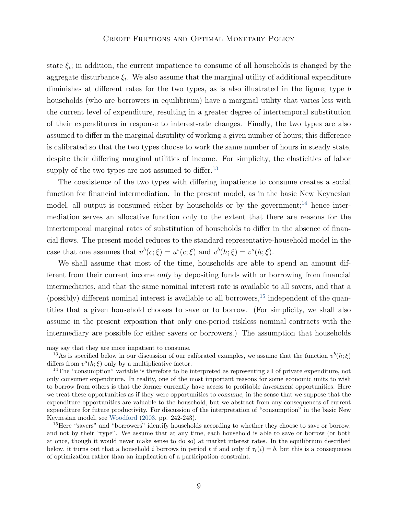state  $\xi_t$ ; in addition, the current impatience to consume of all households is changed by the aggregate disturbance  $\xi_t$ . We also assume that the marginal utility of additional expenditure diminishes at different rates for the two types, as is also illustrated in the figure; type b households (who are borrowers in equilibrium) have a marginal utility that varies less with the current level of expenditure, resulting in a greater degree of intertemporal substitution of their expenditures in response to interest-rate changes. Finally, the two types are also assumed to differ in the marginal disutility of working a given number of hours; this difference is calibrated so that the two types choose to work the same number of hours in steady state, despite their differing marginal utilities of income. For simplicity, the elasticities of labor supply of the two types are not assumed to differ.<sup>[13](#page-1-0)</sup>

The coexistence of the two types with differing impatience to consume creates a social function for financial intermediation. In the present model, as in the basic New Keynesian model, all output is consumed either by households or by the government;<sup>[14](#page-1-0)</sup> hence intermediation serves an allocative function only to the extent that there are reasons for the intertemporal marginal rates of substitution of households to differ in the absence of financial flows. The present model reduces to the standard representative-household model in the case that one assumes that  $u^b(c;\xi) = u^s(c;\xi)$  and  $v^b(h;\xi) = v^s(h;\xi)$ .

We shall assume that most of the time, households are able to spend an amount different from their current income only by depositing funds with or borrowing from financial intermediaries, and that the same nominal interest rate is available to all savers, and that a (possibly) different nominal interest is available to all borrowers,  $15$  independent of the quantities that a given household chooses to save or to borrow. (For simplicity, we shall also assume in the present exposition that only one-period riskless nominal contracts with the intermediary are possible for either savers or borrowers.) The assumption that households

may say that they are more impatient to consume.

<sup>&</sup>lt;sup>13</sup>As is specified below in our discussion of our calibrated examples, we assume that the function  $v^b(h;\xi)$ differs from  $v^s(h;\xi)$  only by a multiplicative factor.

<sup>&</sup>lt;sup>14</sup>The "consumption" variable is therefore to be interpreted as representing all of private expenditure, not only consumer expenditure. In reality, one of the most important reasons for some economic units to wish to borrow from others is that the former currently have access to profitable investment opportunities. Here we treat these opportunities as if they were opportunities to consume, in the sense that we suppose that the expenditure opportunities are valuable to the household, but we abstract from any consequences of current expenditure for future productivity. For discussion of the interpretation of "consumption" in the basic New Keynesian model, see [Woodford](#page-60-0) [\(2003,](#page-60-0) pp. 242-243).

<sup>15</sup>Here "savers" and "borrowers" identify households according to whether they choose to save or borrow, and not by their "type". We assume that at any time, each household is able to save or borrow (or both at once, though it would never make sense to do so) at market interest rates. In the equilibrium described below, it turns out that a household i borrows in period t if and only if  $\tau_t(i) = b$ , but this is a consequence of optimization rather than an implication of a participation constraint.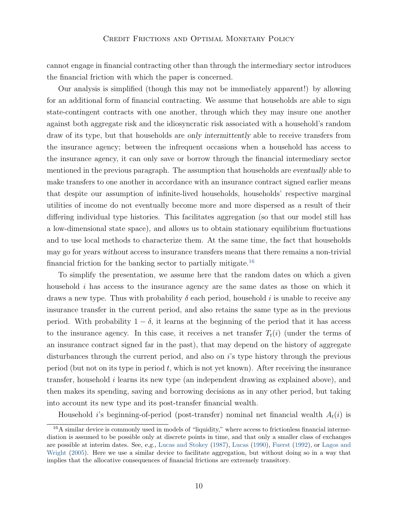cannot engage in financial contracting other than through the intermediary sector introduces the financial friction with which the paper is concerned.

Our analysis is simplified (though this may not be immediately apparent!) by allowing for an additional form of financial contracting. We assume that households are able to sign state-contingent contracts with one another, through which they may insure one another against both aggregate risk and the idiosyncratic risk associated with a household's random draw of its type, but that households are only intermittently able to receive transfers from the insurance agency; between the infrequent occasions when a household has access to the insurance agency, it can only save or borrow through the financial intermediary sector mentioned in the previous paragraph. The assumption that households are eventually able to make transfers to one another in accordance with an insurance contract signed earlier means that despite our assumption of infinite-lived households, households' respective marginal utilities of income do not eventually become more and more dispersed as a result of their differing individual type histories. This facilitates aggregation (so that our model still has a low-dimensional state space), and allows us to obtain stationary equilibrium fluctuations and to use local methods to characterize them. At the same time, the fact that households may go for years without access to insurance transfers means that there remains a non-trivial financial friction for the banking sector to partially mitigate.<sup>[16](#page-1-0)</sup>

To simplify the presentation, we assume here that the random dates on which a given household  $i$  has access to the insurance agency are the same dates as those on which it draws a new type. Thus with probability  $\delta$  each period, household i is unable to receive any insurance transfer in the current period, and also retains the same type as in the previous period. With probability  $1 - \delta$ , it learns at the beginning of the period that it has access to the insurance agency. In this case, it receives a net transfer  $T_t(i)$  (under the terms of an insurance contract signed far in the past), that may depend on the history of aggregate disturbances through the current period, and also on i's type history through the previous period (but not on its type in period  $t$ , which is not yet known). After receiving the insurance transfer, household i learns its new type (an independent drawing as explained above), and then makes its spending, saving and borrowing decisions as in any other period, but taking into account its new type and its post-transfer financial wealth.

Household *i*'s beginning-of-period (post-transfer) nominal net financial wealth  $A_t(i)$  is

<sup>16</sup>A similar device is commonly used in models of "liquidity," where access to frictionless financial intermediation is assumed to be possible only at discrete points in time, and that only a smaller class of exchanges are possible at interim dates. See, e.g., [Lucas and Stokey](#page-59-5) [\(1987\)](#page-59-5), [Lucas](#page-59-6) [\(1990\)](#page-59-6), [Fuerst](#page-57-9) [\(1992\)](#page-57-9), or [Lagos and](#page-59-7) [Wright](#page-59-7) [\(2005\)](#page-59-7). Here we use a similar device to facilitate aggregation, but without doing so in a way that implies that the allocative consequences of financial frictions are extremely transitory.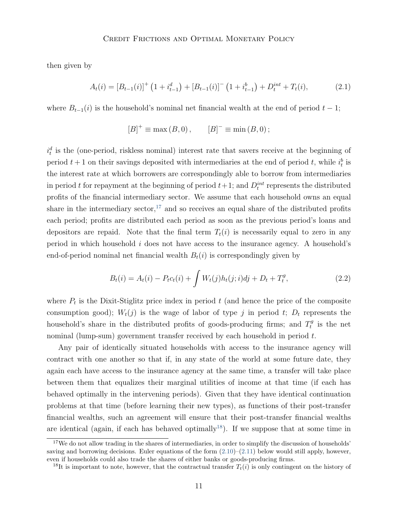then given by

<span id="page-11-0"></span>
$$
A_t(i) = [B_{t-1}(i)]^+ (1 + i_{t-1}^d) + [B_{t-1}(i)]^- (1 + i_{t-1}^b) + D_t^{int} + T_t(i), \qquad (2.1)
$$

where  $B_{t-1}(i)$  is the household's nominal net financial wealth at the end of period  $t-1$ ;

$$
[B]^{+} \equiv \max(B, 0), \qquad [B]^{-} \equiv \min(B, 0);
$$

 $i_t^d$  is the (one-period, riskless nominal) interest rate that savers receive at the beginning of period  $t + 1$  on their savings deposited with intermediaries at the end of period t, while  $i_t^b$  is the interest rate at which borrowers are correspondingly able to borrow from intermediaries in period t for repayment at the beginning of period  $t+1$ ; and  $D_t^{int}$  represents the distributed profits of the financial intermediary sector. We assume that each household owns an equal share in the intermediary sector,<sup>[17](#page-1-0)</sup> and so receives an equal share of the distributed profits each period; profits are distributed each period as soon as the previous period's loans and depositors are repaid. Note that the final term  $T_t(i)$  is necessarily equal to zero in any period in which household i does not have access to the insurance agency. A household's end-of-period nominal net financial wealth  $B_t(i)$  is correspondingly given by

<span id="page-11-1"></span>
$$
B_t(i) = A_t(i) - P_t c_t(i) + \int W_t(j)h_t(j;i)dj + D_t + T_t^g,
$$
\n(2.2)

where  $P_t$  is the Dixit-Stiglitz price index in period  $t$  (and hence the price of the composite consumption good);  $W_t(j)$  is the wage of labor of type j in period t;  $D_t$  represents the household's share in the distributed profits of goods-producing firms; and  $T_t^g$  $t^{g}$  is the net nominal (lump-sum) government transfer received by each household in period t.

Any pair of identically situated households with access to the insurance agency will contract with one another so that if, in any state of the world at some future date, they again each have access to the insurance agency at the same time, a transfer will take place between them that equalizes their marginal utilities of income at that time (if each has behaved optimally in the intervening periods). Given that they have identical continuation problems at that time (before learning their new types), as functions of their post-transfer financial wealths, such an agreement will ensure that their post-transfer financial wealths are identical (again, if each has behaved optimally<sup>[18](#page-1-0)</sup>). If we suppose that at some time in

<sup>&</sup>lt;sup>17</sup>We do not allow trading in the shares of intermediaries, in order to simplify the discussion of households' saving and borrowing decisions. Euler equations of the form  $(2.10)$ – $(2.11)$  below would still apply, however, even if households could also trade the shares of either banks or goods-producing firms.

<sup>&</sup>lt;sup>18</sup>It is important to note, however, that the contractual transfer  $T_t(i)$  is only contingent on the history of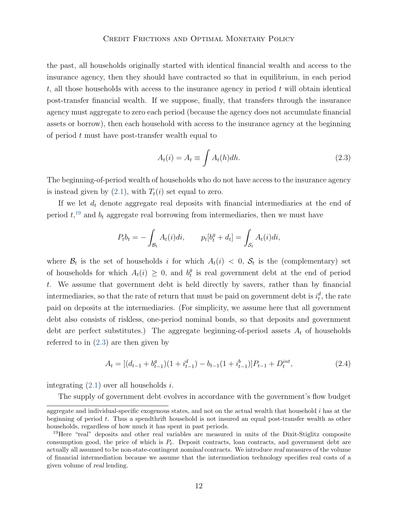the past, all households originally started with identical financial wealth and access to the insurance agency, then they should have contracted so that in equilibrium, in each period  $t$ , all those households with access to the insurance agency in period  $t$  will obtain identical post-transfer financial wealth. If we suppose, finally, that transfers through the insurance agency must aggregate to zero each period (because the agency does not accumulate financial assets or borrow), then each household with access to the insurance agency at the beginning of period  $t$  must have post-transfer wealth equal to

<span id="page-12-0"></span>
$$
A_t(i) = A_t \equiv \int A_t(h) dh.
$$
\n(2.3)

The beginning-of-period wealth of households who do not have access to the insurance agency is instead given by  $(2.1)$ , with  $T_t(i)$  set equal to zero.

If we let  $d_t$  denote aggregate real deposits with financial intermediaries at the end of period  $t,$ <sup>[19](#page-1-0)</sup> and  $b<sub>t</sub>$  aggregate real borrowing from intermediaries, then we must have

$$
P_t b_t = -\int_{\mathcal{B}_t} A_t(i)di, \qquad p_t[b_t^g + d_t] = \int_{\mathcal{S}_t} A_t(i)di,
$$

where  $\mathcal{B}_t$  is the set of households i for which  $A_t(i) < 0$ ,  $\mathcal{S}_t$  is the (complementary) set of households for which  $A_t(i) \geq 0$ , and  $b_t^g$  $t<sub>t</sub><sup>g</sup>$  is real government debt at the end of period t. We assume that government debt is held directly by savers, rather than by financial intermediaries, so that the rate of return that must be paid on government debt is  $i_t^d$ , the rate paid on deposits at the intermediaries. (For simplicity, we assume here that all government debt also consists of riskless, one-period nominal bonds, so that deposits and government debt are perfect substitutes.) The aggregate beginning-of-period assets  $A_t$  of households referred to in [\(2.3\)](#page-12-0) are then given by

<span id="page-12-1"></span>
$$
A_t = [(d_{t-1} + b_{t-1}^g)(1 + i_{t-1}^d) - b_{t-1}(1 + i_{t-1}^b)]P_{t-1} + D_t^{int},
$$
\n(2.4)

integrating  $(2.1)$  over all households i.

The supply of government debt evolves in accordance with the government's flow budget

aggregate and individual-specific exogenous states, and not on the actual wealth that household  $i$  has at the beginning of period t. Thus a spendthrift household is not insured an equal post-transfer wealth as other households, regardless of how much it has spent in past periods.

<sup>&</sup>lt;sup>19</sup>Here "real" deposits and other real variables are measured in units of the Dixit-Stiglitz composite consumption good, the price of which is  $P_t$ . Deposit contracts, loan contracts, and government debt are actually all assumed to be non-state-contingent nominal contracts. We introduce real measures of the volume of financial intermediation because we assume that the intermediation technology specifies real costs of a given volume of real lending.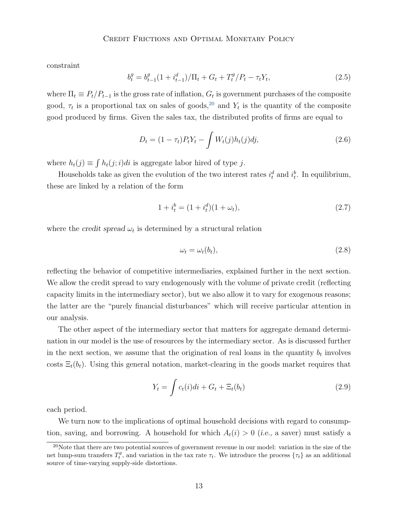constraint

<span id="page-13-3"></span>
$$
b_t^g = b_{t-1}^g (1 + i_{t-1}^d) / \Pi_t + G_t + T_t^g / P_t - \tau_t Y_t,
$$
\n(2.5)

where  $\Pi_t \equiv P_t/P_{t-1}$  is the gross rate of inflation,  $G_t$  is government purchases of the composite good,  $\tau_t$  is a proportional tax on sales of goods,<sup>[20](#page-1-0)</sup> and  $Y_t$  is the quantity of the composite good produced by firms. Given the sales tax, the distributed profits of firms are equal to

<span id="page-13-4"></span>
$$
D_t = (1 - \tau_t) P_t Y_t - \int W_t(j) h_t(j) dj,
$$
\n(2.6)

where  $h_t(j) \equiv \int h_t(j;i)di$  is aggregate labor hired of type j.

Households take as given the evolution of the two interest rates  $i_t^d$  and  $i_t^b$ . In equilibrium, these are linked by a relation of the form

<span id="page-13-1"></span>
$$
1 + i_t^b = (1 + i_t^d)(1 + \omega_t),
$$
\n(2.7)

where the credit spread  $\omega_t$  is determined by a structural relation

<span id="page-13-2"></span>
$$
\omega_t = \omega_t(b_t),\tag{2.8}
$$

reflecting the behavior of competitive intermediaries, explained further in the next section. We allow the credit spread to vary endogenously with the volume of private credit (reflecting capacity limits in the intermediary sector), but we also allow it to vary for exogenous reasons; the latter are the "purely financial disturbances" which will receive particular attention in our analysis.

The other aspect of the intermediary sector that matters for aggregate demand determination in our model is the use of resources by the intermediary sector. As is discussed further in the next section, we assume that the origination of real loans in the quantity  $b_t$  involves costs  $\Xi_t(b_t)$ . Using this general notation, market-clearing in the goods market requires that

<span id="page-13-0"></span>
$$
Y_t = \int c_t(i)di + G_t + \Xi_t(b_t)
$$
\n(2.9)

each period.

We turn now to the implications of optimal household decisions with regard to consumption, saving, and borrowing. A household for which  $A_t(i) > 0$  (i.e., a saver) must satisfy a

<sup>&</sup>lt;sup>20</sup>Note that there are two potential sources of government revenue in our model: variation in the size of the net lump-sum transfers  $T_t^g$ , and variation in the tax rate  $\tau_t$ . We introduce the process  $\{\tau_t\}$  as an additional source of time-varying supply-side distortions.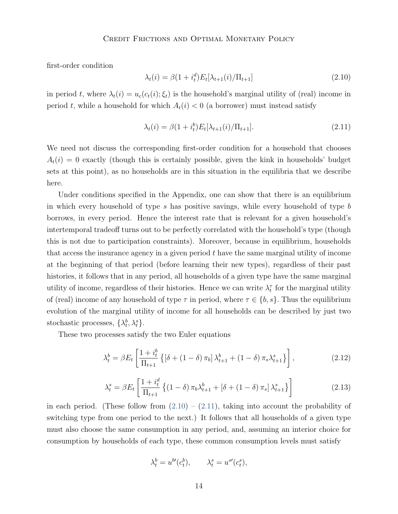first-order condition

<span id="page-14-0"></span>
$$
\lambda_t(i) = \beta(1 + i_t^d) E_t[\lambda_{t+1}(i)/\Pi_{t+1}] \tag{2.10}
$$

in period t, where  $\lambda_t(i) = u_c(c_t(i); \xi_t)$  is the household's marginal utility of (real) income in period t, while a household for which  $A_t(i) < 0$  (a borrower) must instead satisfy

<span id="page-14-1"></span>
$$
\lambda_t(i) = \beta(1 + i_t^b) E_t[\lambda_{t+1}(i) / \Pi_{t+1}]. \tag{2.11}
$$

We need not discuss the corresponding first-order condition for a household that chooses  $A_t(i) = 0$  exactly (though this is certainly possible, given the kink in households' budget sets at this point), as no households are in this situation in the equilibria that we describe here.

Under conditions specified in the Appendix, one can show that there is an equilibrium in which every household of type s has positive savings, while every household of type  $b$ borrows, in every period. Hence the interest rate that is relevant for a given household's intertemporal tradeoff turns out to be perfectly correlated with the household's type (though this is not due to participation constraints). Moreover, because in equilibrium, households that access the insurance agency in a given period t have the same marginal utility of income at the beginning of that period (before learning their new types), regardless of their past histories, it follows that in any period, all households of a given type have the same marginal utility of income, regardless of their histories. Hence we can write  $\lambda_t^{\tau}$  for the marginal utility of (real) income of any household of type  $\tau$  in period, where  $\tau \in \{b, s\}$ . Thus the equilibrium evolution of the marginal utility of income for all households can be described by just two stochastic processes,  $\{\lambda_t^b, \lambda_t^s\}.$ 

These two processes satisfy the two Euler equations

<span id="page-14-2"></span>
$$
\lambda_t^b = \beta E_t \left[ \frac{1 + i_t^b}{\Pi_{t+1}} \left\{ \left[ \delta + (1 - \delta) \pi_b \right] \lambda_{t+1}^b + (1 - \delta) \pi_s \lambda_{t+1}^s \right\} \right],\tag{2.12}
$$

<span id="page-14-3"></span>
$$
\lambda_t^s = \beta E_t \left[ \frac{1 + i_t^d}{\Pi_{t+1}} \left\{ (1 - \delta) \pi_b \lambda_{t+1}^b + \left[ \delta + (1 - \delta) \pi_s \right] \lambda_{t+1}^s \right\} \right] \tag{2.13}
$$

in each period. (These follow from  $(2.10) - (2.11)$  $(2.10) - (2.11)$  $(2.10) - (2.11)$ , taking into account the probability of switching type from one period to the next.) It follows that all households of a given type must also choose the same consumption in any period, and, assuming an interior choice for consumption by households of each type, these common consumption levels must satisfy

$$
\lambda_t^b = u^{b\prime}(c_t^b), \qquad \lambda_t^s = u^{s\prime}(c_t^s),
$$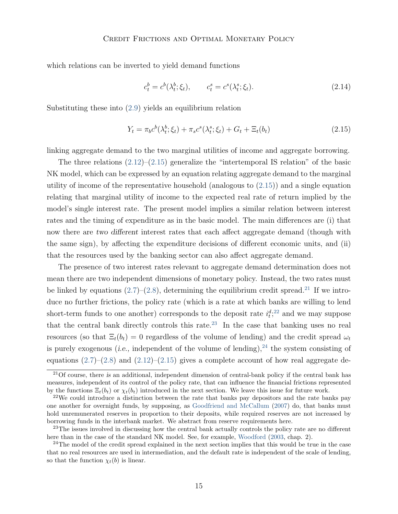which relations can be inverted to yield demand functions

<span id="page-15-1"></span>
$$
c_t^b = c^b(\lambda_t^b; \xi_t), \qquad c_t^s = c^s(\lambda_t^s; \xi_t). \tag{2.14}
$$

Substituting these into [\(2.9\)](#page-13-0) yields an equilibrium relation

<span id="page-15-0"></span>
$$
Y_t = \pi_b c^b(\lambda_t^b; \xi_t) + \pi_s c^s(\lambda_t^s; \xi_t) + G_t + \Xi_t(b_t)
$$
\n(2.15)

linking aggregate demand to the two marginal utilities of income and aggregate borrowing.

The three relations  $(2.12)$ – $(2.15)$  generalize the "intertemporal IS relation" of the basic NK model, which can be expressed by an equation relating aggregate demand to the marginal utility of income of the representative household (analogous to [\(2.15\)](#page-15-0)) and a single equation relating that marginal utility of income to the expected real rate of return implied by the model's single interest rate. The present model implies a similar relation between interest rates and the timing of expenditure as in the basic model. The main differences are (i) that now there are two different interest rates that each affect aggregate demand (though with the same sign), by affecting the expenditure decisions of different economic units, and (ii) that the resources used by the banking sector can also affect aggregate demand.

The presence of two interest rates relevant to aggregate demand determination does not mean there are two independent dimensions of monetary policy. Instead, the two rates must be linked by equations  $(2.7)$ – $(2.8)$ , determining the equilibrium credit spread.<sup>[21](#page-1-0)</sup> If we introduce no further frictions, the policy rate (which is a rate at which banks are willing to lend short-term funds to one another) corresponds to the deposit rate  $i_t^{d,22}$  $i_t^{d,22}$  $i_t^{d,22}$  and we may suppose that the central bank directly controls this rate.<sup>[23](#page-1-0)</sup> In the case that banking uses no real resources (so that  $\Xi_t(b_t) = 0$  regardless of the volume of lending) and the credit spread  $\omega_t$ is purely exogenous (i.e., independent of the volume of lending),  $^{24}$  $^{24}$  $^{24}$  the system consisting of equations  $(2.7)$ – $(2.8)$  and  $(2.12)$ – $(2.15)$  gives a complete account of how real aggregate de-

 $21$ Of course, there is an additional, independent dimension of central-bank policy if the central bank has measures, independent of its control of the policy rate, that can influence the financial frictions represented by the functions  $\Xi_t(b_t)$  or  $\chi_t(b_t)$  introduced in the next section. We leave this issue for future work.

<sup>&</sup>lt;sup>22</sup>We could introduce a distinction between the rate that banks pay depositors and the rate banks pay one another for overnight funds, by supposing, as [Goodfriend and McCallum](#page-58-9) [\(2007\)](#page-58-9) do, that banks must hold unremunerated reserves in proportion to their deposits, while required reserves are not increased by borrowing funds in the interbank market. We abstract from reserve requirements here.

<sup>&</sup>lt;sup>23</sup>The issues involved in discussing how the central bank actually controls the policy rate are no different here than in the case of the standard NK model. See, for example, [Woodford](#page-60-0) [\(2003,](#page-60-0) chap. 2).

 $^{24}$ The model of the credit spread explained in the next section implies that this would be true in the case that no real resources are used in intermediation, and the default rate is independent of the scale of lending, so that the function  $\chi_t(b)$  is linear.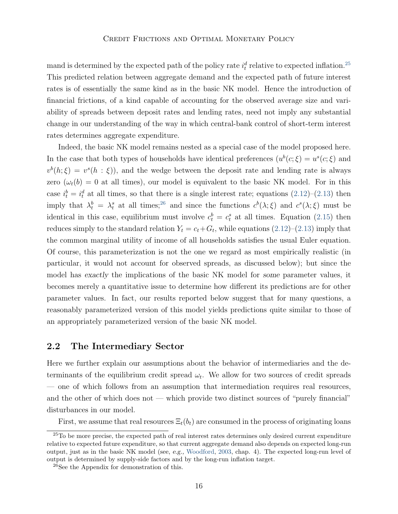mand is determined by the expected path of the policy rate  $i_t^d$  relative to expected inflation.<sup>[25](#page-1-0)</sup> This predicted relation between aggregate demand and the expected path of future interest rates is of essentially the same kind as in the basic NK model. Hence the introduction of financial frictions, of a kind capable of accounting for the observed average size and variability of spreads between deposit rates and lending rates, need not imply any substantial change in our understanding of the way in which central-bank control of short-term interest rates determines aggregate expenditure.

Indeed, the basic NK model remains nested as a special case of the model proposed here. In the case that both types of households have identical preferences  $(u^b(c;\xi) = u^s(c;\xi)$  and  $v^b(h;\xi) = v^s(h;\xi)$ , and the wedge between the deposit rate and lending rate is always zero  $(\omega_t(b) = 0$  at all times), our model is equivalent to the basic NK model. For in this case  $i_t^b = i_t^d$  at all times, so that there is a single interest rate; equations  $(2.12)$ – $(2.13)$  then imply that  $\lambda_t^b = \lambda_t^s$  at all times;<sup>[26](#page-1-0)</sup> and since the functions  $c^b(\lambda;\xi)$  and  $c^s(\lambda;\xi)$  must be identical in this case, equilibrium must involve  $c_t^b = c_t^s$  at all times. Equation [\(2.15\)](#page-15-0) then reduces simply to the standard relation  $Y_t = c_t + G_t$ , while equations  $(2.12)$ – $(2.13)$  imply that the common marginal utility of income of all households satisfies the usual Euler equation. Of course, this parameterization is not the one we regard as most empirically realistic (in particular, it would not account for observed spreads, as discussed below); but since the model has exactly the implications of the basic NK model for some parameter values, it becomes merely a quantitative issue to determine how different its predictions are for other parameter values. In fact, our results reported below suggest that for many questions, a reasonably parameterized version of this model yields predictions quite similar to those of an appropriately parameterized version of the basic NK model.

#### 2.2 The Intermediary Sector

Here we further explain our assumptions about the behavior of intermediaries and the determinants of the equilibrium credit spread  $\omega_t$ . We allow for two sources of credit spreads — one of which follows from an assumption that intermediation requires real resources, and the other of which does not — which provide two distinct sources of "purely financial" disturbances in our model.

First, we assume that real resources  $\Xi_t(b_t)$  are consumed in the process of originating loans

<sup>&</sup>lt;sup>25</sup>To be more precise, the expected path of real interest rates determines only desired current expenditure relative to expected future expenditure, so that current aggregate demand also depends on expected long-run output, just as in the basic NK model (see, e.g., [Woodford,](#page-60-0) [2003,](#page-60-0) chap. 4). The expected long-run level of output is determined by supply-side factors and by the long-run inflation target.

<sup>26</sup>See the Appendix for demonstration of this.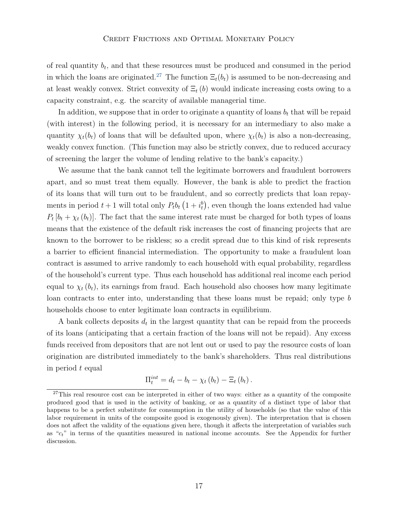of real quantity  $b_t$ , and that these resources must be produced and consumed in the period in which the loans are originated.<sup>[27](#page-1-0)</sup> The function  $\Xi_t(b_t)$  is assumed to be non-decreasing and at least weakly convex. Strict convexity of  $\Xi_t(b)$  would indicate increasing costs owing to a capacity constraint, e.g. the scarcity of available managerial time.

In addition, we suppose that in order to originate a quantity of loans  $b_t$  that will be repaid (with interest) in the following period, it is necessary for an intermediary to also make a quantity  $\chi_t(b_t)$  of loans that will be defaulted upon, where  $\chi_t(b_t)$  is also a non-decreasing, weakly convex function. (This function may also be strictly convex, due to reduced accuracy of screening the larger the volume of lending relative to the bank's capacity.)

We assume that the bank cannot tell the legitimate borrowers and fraudulent borrowers apart, and so must treat them equally. However, the bank is able to predict the fraction of its loans that will turn out to be fraudulent, and so correctly predicts that loan repayments in period  $t+1$  will total only  $P_t b_t (1 + i_t^b)$ , even though the loans extended had value  $P_t[b_t + \chi_t(b_t)]$ . The fact that the same interest rate must be charged for both types of loans means that the existence of the default risk increases the cost of financing projects that are known to the borrower to be riskless; so a credit spread due to this kind of risk represents a barrier to efficient financial intermediation. The opportunity to make a fraudulent loan contract is assumed to arrive randomly to each household with equal probability, regardless of the household's current type. Thus each household has additional real income each period equal to  $\chi_t(b_t)$ , its earnings from fraud. Each household also chooses how many legitimate loan contracts to enter into, understanding that these loans must be repaid; only type b households choose to enter legitimate loan contracts in equilibrium.

A bank collects deposits  $d_t$  in the largest quantity that can be repaid from the proceeds of its loans (anticipating that a certain fraction of the loans will not be repaid). Any excess funds received from depositors that are not lent out or used to pay the resource costs of loan origination are distributed immediately to the bank's shareholders. Thus real distributions in period t equal

$$
\Pi_t^{int} = d_t - b_t - \chi_t(b_t) - \Xi_t(b_t).
$$

 $27$ This real resource cost can be interpreted in either of two ways: either as a quantity of the composite produced good that is used in the activity of banking, or as a quantity of a distinct type of labor that happens to be a perfect substitute for consumption in the utility of households (so that the value of this labor requirement in units of the composite good is exogenously given). The interpretation that is chosen does not affect the validity of the equations given here, though it affects the interpretation of variables such as " $c_t$ " in terms of the quantities measured in national income accounts. See the Appendix for further discussion.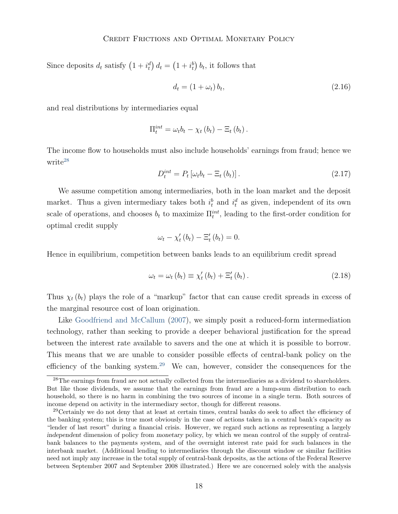Since deposits  $d_t$  satisfy  $(1 + i_t^d) d_t = (1 + i_t^b) b_t$ , it follows that

<span id="page-18-0"></span>
$$
d_t = (1 + \omega_t) b_t,\tag{2.16}
$$

and real distributions by intermediaries equal

$$
\Pi_t^{int} = \omega_t b_t - \chi_t (b_t) - \Xi_t (b_t).
$$

The income flow to households must also include households' earnings from fraud; hence we write<sup>[28](#page-1-0)</sup>

<span id="page-18-1"></span>
$$
D_t^{int} = P_t \left[ \omega_t b_t - \Xi_t \left( b_t \right) \right]. \tag{2.17}
$$

We assume competition among intermediaries, both in the loan market and the deposit market. Thus a given intermediary takes both  $i_t^b$  and  $i_t^d$  as given, independent of its own scale of operations, and chooses  $b_t$  to maximize  $\Pi_t^{int}$ , leading to the first-order condition for optimal credit supply

$$
\omega_t - \chi'_t(b_t) - \Xi'_t(b_t) = 0.
$$

Hence in equilibrium, competition between banks leads to an equilibrium credit spread

<span id="page-18-2"></span>
$$
\omega_t = \omega_t (b_t) \equiv \chi'_t (b_t) + \Xi'_t (b_t).
$$
\n(2.18)

Thus  $\chi_t(b_t)$  plays the role of a "markup" factor that can cause credit spreads in excess of the marginal resource cost of loan origination.

Like [Goodfriend and McCallum](#page-58-9) [\(2007\)](#page-58-9), we simply posit a reduced-form intermediation technology, rather than seeking to provide a deeper behavioral justification for the spread between the interest rate available to savers and the one at which it is possible to borrow. This means that we are unable to consider possible effects of central-bank policy on the efficiency of the banking system.[29](#page-1-0) We can, however, consider the consequences for the

<sup>&</sup>lt;sup>28</sup>The earnings from fraud are not actually collected from the intermediaries as a dividend to shareholders. But like those dividends, we assume that the earnings from fraud are a lump-sum distribution to each household, so there is no harm in combining the two sources of income in a single term. Both sources of income depend on activity in the intermediary sector, though for different reasons.

<sup>&</sup>lt;sup>29</sup>Certainly we do not deny that at least at certain times, central banks do seek to affect the efficiency of the banking system; this is true most obviously in the case of actions taken in a central bank's capacity as "lender of last resort" during a financial crisis. However, we regard such actions as representing a largely independent dimension of policy from monetary policy, by which we mean control of the supply of centralbank balances to the payments system, and of the overnight interest rate paid for such balances in the interbank market. (Additional lending to intermediaries through the discount window or similar facilities need not imply any increase in the total supply of central-bank deposits, as the actions of the Federal Reserve between September 2007 and September 2008 illustrated.) Here we are concerned solely with the analysis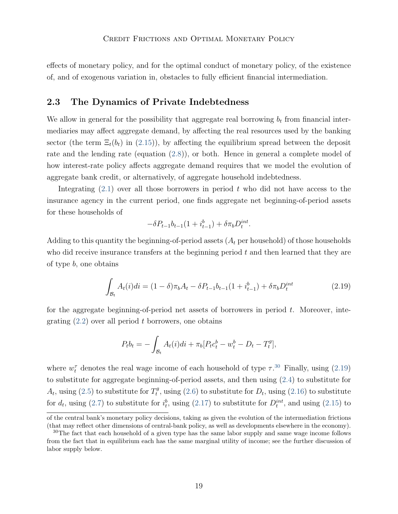effects of monetary policy, and for the optimal conduct of monetary policy, of the existence of, and of exogenous variation in, obstacles to fully efficient financial intermediation.

### 2.3 The Dynamics of Private Indebtedness

We allow in general for the possibility that aggregate real borrowing  $b_t$  from financial intermediaries may affect aggregate demand, by affecting the real resources used by the banking sector (the term  $\Xi_t(b_t)$  in [\(2.15\)](#page-15-0)), by affecting the equilibrium spread between the deposit rate and the lending rate (equation [\(2.8\)](#page-13-2)), or both. Hence in general a complete model of how interest-rate policy affects aggregate demand requires that we model the evolution of aggregate bank credit, or alternatively, of aggregate household indebtedness.

Integrating  $(2.1)$  over all those borrowers in period t who did not have access to the insurance agency in the current period, one finds aggregate net beginning-of-period assets for these households of

$$
-\delta P_{t-1}b_{t-1}(1+i_{t-1}^b) + \delta \pi_b D_t^{int}.
$$

Adding to this quantity the beginning-of-period assets  $(A_t)$  per household) of those households who did receive insurance transfers at the beginning period  $t$  and then learned that they are of type b, one obtains

<span id="page-19-0"></span>
$$
\int_{\mathcal{B}_t} A_t(i)di = (1 - \delta)\pi_b A_t - \delta P_{t-1}b_{t-1}(1 + i_{t-1}^b) + \delta \pi_b D_t^{int}
$$
\n(2.19)

for the aggregate beginning-of-period net assets of borrowers in period  $t$ . Moreover, integrating  $(2.2)$  over all period t borrowers, one obtains

$$
P_t b_t = -\int_{\mathcal{B}_t} A_t(i)di + \pi_b [P_t c_t^b - w_t^b - D_t - T_t^g],
$$

where  $w_t^{\tau}$  denotes the real wage income of each household of type  $\tau^{30}$  $\tau^{30}$  $\tau^{30}$  Finally, using [\(2.19\)](#page-19-0) to substitute for aggregate beginning-of-period assets, and then using [\(2.4\)](#page-12-1) to substitute for  $A_t$ , using [\(2.5\)](#page-13-3) to substitute for  $T_t^g$  $t_t^g$ , using [\(2.6\)](#page-13-4) to substitute for  $D_t$ , using [\(2.16\)](#page-18-0) to substitute for  $d_t$ , using [\(2.7\)](#page-13-1) to substitute for  $i_t^b$ , using [\(2.17\)](#page-18-1) to substitute for  $D_t^{int}$ , and using [\(2.15\)](#page-15-0) to

of the central bank's monetary policy decisions, taking as given the evolution of the intermediation frictions (that may reflect other dimensions of central-bank policy, as well as developments elsewhere in the economy).

<sup>&</sup>lt;sup>30</sup>The fact that each household of a given type has the same labor supply and same wage income follows from the fact that in equilibrium each has the same marginal utility of income; see the further discussion of labor supply below.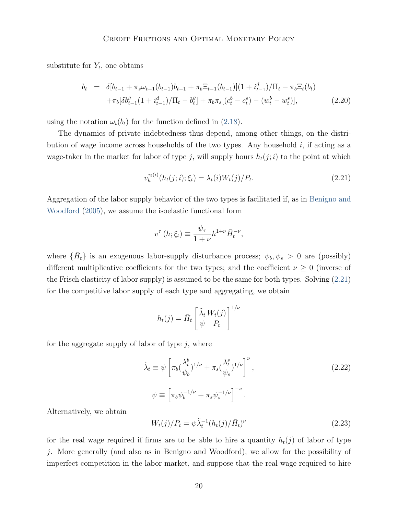substitute for  $Y_t$ , one obtains

<span id="page-20-1"></span>
$$
b_t = \delta[b_{t-1} + \pi_s \omega_{t-1} (b_{t-1}) b_{t-1} + \pi_b \Xi_{t-1} (b_{t-1})] (1 + i_{t-1}^d) / \Pi_t - \pi_b \Xi_t (b_t)
$$
  
 
$$
+ \pi_b [\delta b_{t-1}^g (1 + i_{t-1}^d) / \Pi_t - b_t^g] + \pi_b \pi_s [(c_t^b - c_t^s) - (w_t^b - w_t^s)], \tag{2.20}
$$

using the notation  $\omega_t(b_t)$  for the function defined in [\(2.18\)](#page-18-2).

The dynamics of private indebtedness thus depend, among other things, on the distribution of wage income across households of the two types. Any household  $i$ , if acting as a wage-taker in the market for labor of type j, will supply hours  $h_t(j;i)$  to the point at which

<span id="page-20-0"></span>
$$
v_h^{\tau_t(i)}(h_t(j;i);\xi_t) = \lambda_t(i)W_t(j)/P_t.
$$
\n(2.21)

Aggregation of the labor supply behavior of the two types is facilitated if, as in [Benigno and](#page-56-2) [Woodford](#page-56-2) [\(2005\)](#page-56-2), we assume the isoelastic functional form

$$
v^{\tau}\left(h;\xi_{t}\right) \equiv \frac{\psi_{\tau}}{1+\nu}h^{1+\nu}\bar{H}_{t}^{-\nu},
$$

where  $\{\bar{H}_t\}$  is an exogenous labor-supply disturbance process;  $\psi_b, \psi_s > 0$  are (possibly) different multiplicative coefficients for the two types; and the coefficient  $\nu \geq 0$  (inverse of the Frisch elasticity of labor supply) is assumed to be the same for both types. Solving [\(2.21\)](#page-20-0) for the competitive labor supply of each type and aggregating, we obtain

$$
h_t(j) = \bar{H}_t \left[ \frac{\tilde{\lambda}_t}{\psi} \frac{W_t(j)}{P_t} \right]^{1/\nu}
$$

for the aggregate supply of labor of type  $j$ , where

$$
\tilde{\lambda}_t \equiv \psi \left[ \pi_b (\frac{\lambda_t^b}{\psi_b})^{1/\nu} + \pi_s (\frac{\lambda_t^s}{\psi_s})^{1/\nu} \right]^\nu,
$$
\n
$$
\psi \equiv \left[ \pi_b \psi_b^{-1/\nu} + \pi_s \psi_s^{-1/\nu} \right]^{-\nu}.
$$
\n(2.22)

Alternatively, we obtain

$$
W_t(j)/P_t = \psi \tilde{\lambda}_t^{-1} (h_t(j)/\bar{H}_t)^{\nu}
$$
\n(2.23)

for the real wage required if firms are to be able to hire a quantity  $h_t(j)$  of labor of type j. More generally (and also as in Benigno and Woodford), we allow for the possibility of imperfect competition in the labor market, and suppose that the real wage required to hire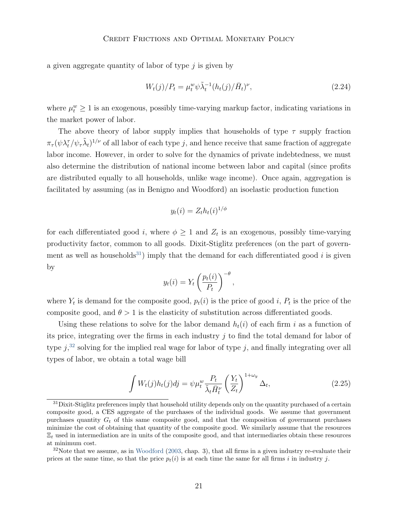a given aggregate quantity of labor of type  $j$  is given by

$$
W_t(j)/P_t = \mu_t^w \psi \tilde{\lambda}_t^{-1} (h_t(j)/\bar{H}_t)^{\nu}, \qquad (2.24)
$$

where  $\mu_t^w \geq 1$  is an exogenous, possibly time-varying markup factor, indicating variations in the market power of labor.

The above theory of labor supply implies that households of type  $\tau$  supply fraction  $\pi_\tau(\psi \lambda_t^{\tau}/\psi_\tau \tilde{\lambda}_t)^{1/\nu}$  of all labor of each type j, and hence receive that same fraction of aggregate labor income. However, in order to solve for the dynamics of private indebtedness, we must also determine the distribution of national income between labor and capital (since profits are distributed equally to all households, unlike wage income). Once again, aggregation is facilitated by assuming (as in Benigno and Woodford) an isoelastic production function

$$
y_t(i) = Z_t h_t(i)^{1/\phi}
$$

for each differentiated good *i*, where  $\phi \geq 1$  and  $Z_t$  is an exogenous, possibly time-varying productivity factor, common to all goods. Dixit-Stiglitz preferences (on the part of govern-ment as well as households<sup>[31](#page-1-0)</sup>) imply that the demand for each differentiated good i is given by

$$
y_t(i) = Y_t \left(\frac{p_t(i)}{P_t}\right)^{-\theta},
$$

where  $Y_t$  is demand for the composite good,  $p_t(i)$  is the price of good i,  $P_t$  is the price of the composite good, and  $\theta > 1$  is the elasticity of substitution across differentiated goods.

Using these relations to solve for the labor demand  $h_t(i)$  of each firm i as a function of its price, integrating over the firms in each industry  $j$  to find the total demand for labor of type  $j$ ,<sup>[32](#page-1-0)</sup> solving for the implied real wage for labor of type j, and finally integrating over all types of labor, we obtain a total wage bill

<span id="page-21-0"></span>
$$
\int W_t(j)h_t(j)dj = \psi \mu_t^w \frac{P_t}{\tilde{\lambda}_t \bar{H}_t^{\nu}} \left(\frac{Y_t}{Z_t}\right)^{1+\omega_y} \Delta_t, \qquad (2.25)
$$

<sup>&</sup>lt;sup>31</sup>Dixit-Stiglitz preferences imply that household utility depends only on the quantity purchased of a certain composite good, a CES aggregate of the purchases of the individual goods. We assume that government purchases quantity  $G_t$  of this same composite good, and that the composition of government purchases minimize the cost of obtaining that quantity of the composite good. We similarly assume that the resources  $\Xi_t$  used in intermediation are in units of the composite good, and that intermediaries obtain these resources at minimum cost.

 $32\text{Note that we assume, as in Woodford (2003, chap. 3), that all firms in a given industry re-evaluate their$  $32\text{Note that we assume, as in Woodford (2003, chap. 3), that all firms in a given industry re-evaluate their$  $32\text{Note that we assume, as in Woodford (2003, chap. 3), that all firms in a given industry re-evaluate their$  $32\text{Note that we assume, as in Woodford (2003, chap. 3), that all firms in a given industry re-evaluate their$  $32\text{Note that we assume, as in Woodford (2003, chap. 3), that all firms in a given industry re-evaluate their$ prices at the same time, so that the price  $p_t(i)$  is at each time the same for all firms i in industry j.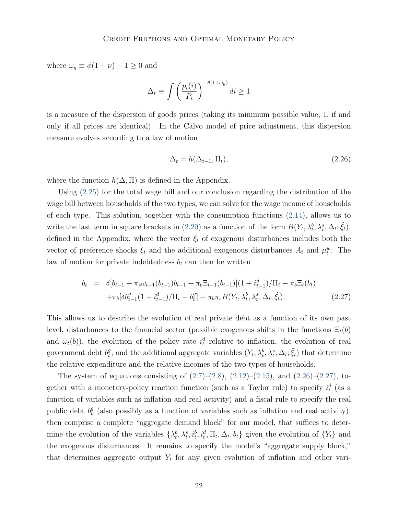where  $\omega_y \equiv \phi(1 + \nu) - 1 \geq 0$  and

$$
\Delta_t \equiv \int \left(\frac{p_t(i)}{P_t}\right)^{-\theta(1+\omega_y)} di \ge 1
$$

is a measure of the dispersion of goods prices (taking its minimum possible value, 1, if and only if all prices are identical). In the Calvo model of price adjustment, this dispersion measure evolves according to a law of motion

<span id="page-22-0"></span>
$$
\Delta_t = h(\Delta_{t-1}, \Pi_t),\tag{2.26}
$$

where the function  $h(\Delta, \Pi)$  is defined in the Appendix.

Using [\(2.25\)](#page-21-0) for the total wage bill and our conclusion regarding the distribution of the wage bill between households of the two types, we can solve for the wage income of households of each type. This solution, together with the consumption functions [\(2.14\)](#page-15-1), allows us to write the last term in square brackets in [\(2.20\)](#page-20-1) as a function of the form  $B(Y_t, \lambda_t^b, \lambda_t^s, \Delta_t; \tilde{\xi}_t)$ , defined in the Appendix, where the vector  $\tilde{\xi}_t$  of exogenous disturbances includes both the vector of preference shocks  $\xi_t$  and the additional exogenous disturbances  $A_t$  and  $\mu_t^w$ . The law of motion for private indebtedness  $b_t$  can then be written

<span id="page-22-1"></span>
$$
b_t = \delta[b_{t-1} + \pi_s \omega_{t-1} (b_{t-1}) b_{t-1} + \pi_b \Xi_{t-1} (b_{t-1})](1 + i_{t-1}^d) / \Pi_t - \pi_b \Xi_t (b_t) + \pi_b [\delta b_{t-1}^g (1 + i_{t-1}^d) / \Pi_t - b_t^g] + \pi_b \pi_s B(Y_t, \lambda_t^b, \lambda_t^s, \Delta_t; \tilde{\xi}_t).
$$
 (2.27)

This allows us to describe the evolution of real private debt as a function of its own past level, disturbances to the financial sector (possible exogenous shifts in the functions  $\Xi_t(b)$ and  $\omega_t(b)$ , the evolution of the policy rate  $i_t^d$  relative to inflation, the evolution of real government debt  $b_t^g$ <sup>g</sup>, and the additional aggregate variables  $(Y_t, \lambda_t^b, \lambda_t^s, \Delta_t; \tilde{\xi}_t)$  that determine the relative expenditure and the relative incomes of the two types of households.

The system of equations consisting of  $(2.7)$ – $(2.8)$ ,  $(2.12)$ – $(2.15)$ , and  $(2.26)$ – $(2.27)$ , together with a monetary-policy reaction function (such as a Taylor rule) to specify  $i_t^d$  (as a function of variables such as inflation and real activity) and a fiscal rule to specify the real public debt  $b_t^g$  $t$ <sup>q</sup> (also possibly as a function of variables such as inflation and real activity), then comprise a complete "aggregate demand block" for our model, that suffices to determine the evolution of the variables  $\{\lambda_t^b, \lambda_t^s, i_t^b, i_t^d, \Pi_t, \Delta_t, b_t\}$  given the evolution of  $\{Y_t\}$  and the exogenous disturbances. It remains to specify the model's "aggregate supply block," that determines aggregate output  $Y_t$  for any given evolution of inflation and other vari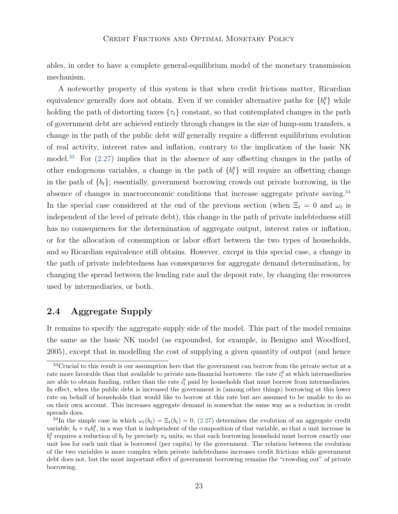ables, in order to have a complete general-equilibrium model of the monetary transmission mechanism.

A noteworthy property of this system is that when credit frictions matter, Ricardian equivalence generally does not obtain. Even if we consider alternative paths for  ${b<sub>t</sub><sup>g</sup>}$  while holding the path of distorting taxes  $\{\tau_t\}$  constant, so that contemplated changes in the path of government debt are achieved entirely through changes in the size of lump-sum transfers, a change in the path of the public debt will generally require a different equilibrium evolution of real activity, interest rates and inflation, contrary to the implication of the basic NK model.[33](#page-1-0) For [\(2.27\)](#page-22-1) implies that in the absence of any offsetting changes in the paths of other endogenous variables, a change in the path of  $\{b_t^g\}$  will require an offsetting change in the path of  ${b_t}$ ; essentially, government borrowing crowds out private borrowing, in the absence of changes in macroeconomic conditions that increase aggregate private saving.<sup>[34](#page-1-0)</sup> In the special case considered at the end of the previous section (when  $\Xi_t = 0$  and  $\omega_t$  is independent of the level of private debt), this change in the path of private indebtedness still has no consequences for the determination of aggregate output, interest rates or inflation, or for the allocation of consumption or labor effort between the two types of households, and so Ricardian equivalence still obtains. However, except in this special case, a change in the path of private indebtedness has consequences for aggregate demand determination, by changing the spread between the lending rate and the deposit rate, by changing the resources used by intermediaries, or both.

# 2.4 Aggregate Supply

It remains to specify the aggregate supply side of the model. This part of the model remains the same as the basic NK model (as expounded, for example, in Benigno and Woodford, 2005), except that in modelling the cost of supplying a given quantity of output (and hence

<sup>&</sup>lt;sup>33</sup>Crucial to this result is our assumption here that the government can borrow from the private sector at a rate more favorable than that available to private non-financial borrowers: the rate  $i_t^d$  at which intermediaries are able to obtain funding, rather than the rate  $i_t^b$  paid by households that must borrow from intermediaries. In effect, when the public debt is increased the government is (among other things) borrowing at this lower rate on behalf of households that would like to borrow at this rate but are assumed to be unable to do so on their own account. This increases aggregate demand in somewhat the same way as a reduction in credit spreads does.

<sup>&</sup>lt;sup>34</sup>In the simple case in which  $\omega_t(b_t) = \Xi_t(b_t) = 0$ , [\(2.27\)](#page-22-1) determines the evolution of an aggregate credit variable,  $b_t + \pi_b b_t^g$ , in a way that is independent of the composition of that variable, so that a unit increase in  $b_t^g$  requires a reduction of  $b_t$  by precisely  $\pi_b$  units, so that each borrowing household must borrow exactly one unit less for each unit that is borrowed (per capita) by the government. The relation between the evolution of the two variables is more complex when private indebtedness increases credit frictions while government debt does not, but the most important effect of government borrowing remains the "crowding out" of private borrowing.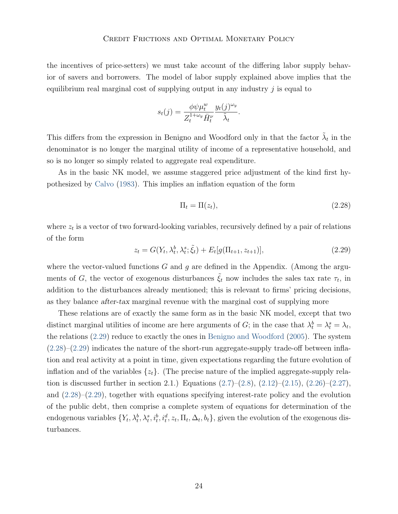the incentives of price-setters) we must take account of the differing labor supply behavior of savers and borrowers. The model of labor supply explained above implies that the equilibrium real marginal cost of supplying output in any industry  $j$  is equal to

$$
s_t(j) = \frac{\phi \psi \mu_t^w}{Z_t^{1+\omega_y} \bar{H}_t^{\nu}} \frac{y_t(j)^{\omega_y}}{\tilde{\lambda}_t}.
$$

This differs from the expression in Benigno and Woodford only in that the factor  $\tilde{\lambda}_t$  in the denominator is no longer the marginal utility of income of a representative household, and so is no longer so simply related to aggregate real expenditure.

As in the basic NK model, we assume staggered price adjustment of the kind first hypothesized by [Calvo](#page-57-10) [\(1983\)](#page-57-10). This implies an inflation equation of the form

<span id="page-24-1"></span>
$$
\Pi_t = \Pi(z_t),\tag{2.28}
$$

where  $z_t$  is a vector of two forward-looking variables, recursively defined by a pair of relations of the form

<span id="page-24-0"></span>
$$
z_t = G(Y_t, \lambda_t^b, \lambda_t^s; \tilde{\xi}_t) + E_t[g(\Pi_{t+1}, z_{t+1})],
$$
\n(2.29)

where the vector-valued functions  $G$  and  $g$  are defined in the Appendix. (Among the arguments of G, the vector of exogenous disturbances  $\tilde{\xi}_t$  now includes the sales tax rate  $\tau_t$ , in addition to the disturbances already mentioned; this is relevant to firms' pricing decisions, as they balance after-tax marginal revenue with the marginal cost of supplying more

These relations are of exactly the same form as in the basic NK model, except that two distinct marginal utilities of income are here arguments of G; in the case that  $\lambda_t^b = \lambda_t^s = \lambda_t$ , the relations [\(2.29\)](#page-24-0) reduce to exactly the ones in [Benigno and Woodford](#page-56-2) [\(2005\)](#page-56-2). The system  $(2.28)$ – $(2.29)$  indicates the nature of the short-run aggregate-supply trade-off between inflation and real activity at a point in time, given expectations regarding the future evolution of inflation and of the variables  $\{z_t\}$ . (The precise nature of the implied aggregate-supply relation is discussed further in section 2.1.) Equations  $(2.7)$ – $(2.8)$ ,  $(2.12)$ – $(2.15)$ ,  $(2.26)$ – $(2.27)$ , and [\(2.28\)](#page-24-1)–[\(2.29\)](#page-24-0), together with equations specifying interest-rate policy and the evolution of the public debt, then comprise a complete system of equations for determination of the endogenous variables  $\{Y_t, \lambda_t^b, \lambda_t^s, i_t^b, i_t^d, z_t, \Pi_t, \Delta_t, b_t\}$ , given the evolution of the exogenous disturbances.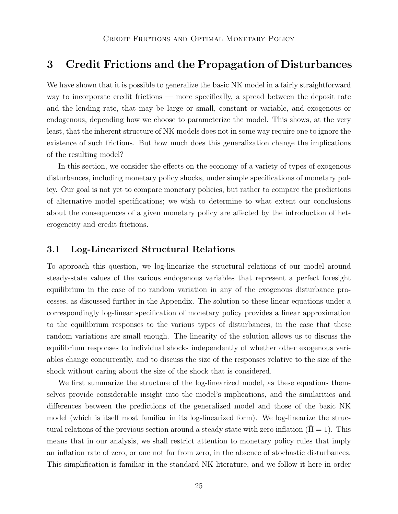# <span id="page-25-0"></span>3 Credit Frictions and the Propagation of Disturbances

We have shown that it is possible to generalize the basic NK model in a fairly straightforward way to incorporate credit frictions — more specifically, a spread between the deposit rate and the lending rate, that may be large or small, constant or variable, and exogenous or endogenous, depending how we choose to parameterize the model. This shows, at the very least, that the inherent structure of NK models does not in some way require one to ignore the existence of such frictions. But how much does this generalization change the implications of the resulting model?

In this section, we consider the effects on the economy of a variety of types of exogenous disturbances, including monetary policy shocks, under simple specifications of monetary policy. Our goal is not yet to compare monetary policies, but rather to compare the predictions of alternative model specifications; we wish to determine to what extent our conclusions about the consequences of a given monetary policy are affected by the introduction of heterogeneity and credit frictions.

### 3.1 Log-Linearized Structural Relations

To approach this question, we log-linearize the structural relations of our model around steady-state values of the various endogenous variables that represent a perfect foresight equilibrium in the case of no random variation in any of the exogenous disturbance processes, as discussed further in the Appendix. The solution to these linear equations under a correspondingly log-linear specification of monetary policy provides a linear approximation to the equilibrium responses to the various types of disturbances, in the case that these random variations are small enough. The linearity of the solution allows us to discuss the equilibrium responses to individual shocks independently of whether other exogenous variables change concurrently, and to discuss the size of the responses relative to the size of the shock without caring about the size of the shock that is considered.

We first summarize the structure of the log-linearized model, as these equations themselves provide considerable insight into the model's implications, and the similarities and differences between the predictions of the generalized model and those of the basic NK model (which is itself most familiar in its log-linearized form). We log-linearize the structural relations of the previous section around a steady state with zero inflation ( $\Pi = 1$ ). This means that in our analysis, we shall restrict attention to monetary policy rules that imply an inflation rate of zero, or one not far from zero, in the absence of stochastic disturbances. This simplification is familiar in the standard NK literature, and we follow it here in order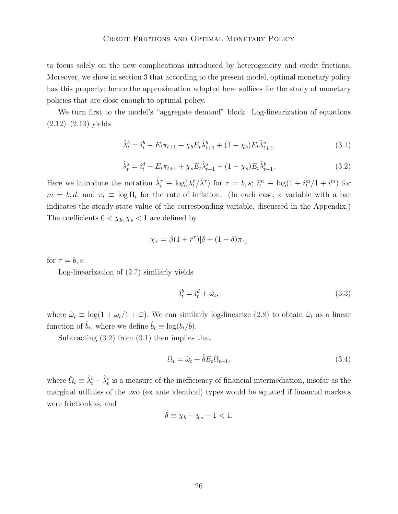to focus solely on the new complications introduced by heterogeneity and credit frictions. Moreover, we show in section 3 that according to the present model, optimal monetary policy has this property; hence the approximation adopted here suffices for the study of monetary policies that are close enough to optimal policy.

We turn first to the model's "aggregate demand" block. Log-linearization of equations  $(2.12)–(2.13)$  $(2.12)–(2.13)$  $(2.12)–(2.13)$  yields

<span id="page-26-1"></span>
$$
\hat{\lambda}_t^b = \hat{i}_t^b - E_t \pi_{t+1} + \chi_b E_t \hat{\lambda}_{t+1}^b + (1 - \chi_b) E_t \hat{\lambda}_{t+1}^s,
$$
\n(3.1)

<span id="page-26-0"></span>
$$
\hat{\lambda}_t^s = \hat{\imath}_t^d - E_t \pi_{t+1} + \chi_s E_t \hat{\lambda}_{t+1}^s + (1 - \chi_s) E_t \hat{\lambda}_{t+1}^b.
$$
\n(3.2)

Here we introduce the notation  $\hat{\lambda}_t^{\tau} \equiv \log(\lambda_t^{\tau}/\bar{\lambda}^{\tau})$  for  $\tau = b, s; \hat{\tau}_t^m \equiv \log(1 + i_t^m/1 + \bar{\tau}^m)$  for  $m = b, d$ ; and  $\pi_t \equiv \log \Pi_t$  for the rate of inflation. (In each case, a variable with a bar indicates the steady-state value of the corresponding variable, discussed in the Appendix.) The coefficients  $0 < \chi_b, \chi_s < 1$  are defined by

$$
\chi_{\tau} = \beta (1 + \bar{r}^{\tau}) [\delta + (1 - \delta) \pi_{\tau}]
$$

for  $\tau = b$ , s.

Log-linearization of [\(2.7\)](#page-13-1) similarly yields

<span id="page-26-3"></span>
$$
\hat{i}_t^b = \hat{i}_t^d + \hat{\omega}_t,\tag{3.3}
$$

where  $\hat{\omega}_t \equiv \log(1 + \omega_t/1 + \bar{\omega})$ . We can similarly log-linearize [\(2.8\)](#page-13-2) to obtain  $\hat{\omega}_t$  as a linear function of  $\hat{b}_t$ , where we define  $\hat{b}_t \equiv \log(b_t/\bar{b})$ .

Subtracting [\(3.2\)](#page-26-0) from [\(3.1\)](#page-26-1) then implies that

<span id="page-26-2"></span>
$$
\hat{\Omega}_t = \hat{\omega}_t + \hat{\delta} E_t \hat{\Omega}_{t+1},\tag{3.4}
$$

where  $\hat{\Omega}_t \equiv \hat{\lambda}_t^b - \hat{\lambda}_t^s$  is a measure of the inefficiency of financial intermediation, insofar as the marginal utilities of the two (ex ante identical) types would be equated if financial markets were frictionless, and

$$
\hat{\delta} \equiv \chi_b + \chi_s - 1 < 1.
$$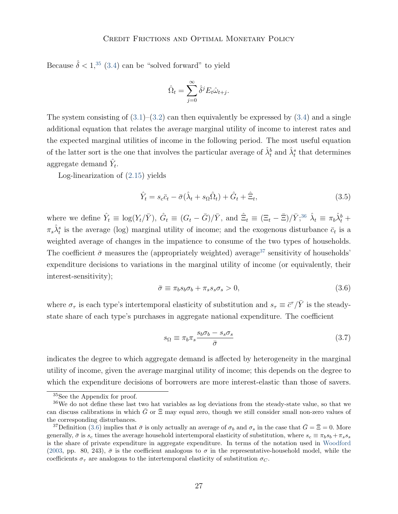Because  $\hat{\delta} < 1$ ,<sup>[35](#page-1-0)</sup> [\(3.4\)](#page-26-2) can be "solved forward" to yield

$$
\hat{\Omega}_t = \sum_{j=0}^{\infty} \hat{\delta}^j E_t \hat{\omega}_{t+j}.
$$

The system consisting of  $(3.1)$ – $(3.2)$  can then equivalently be expressed by  $(3.4)$  and a single additional equation that relates the average marginal utility of income to interest rates and the expected marginal utilities of income in the following period. The most useful equation of the latter sort is the one that involves the particular average of  $\hat{\lambda}^b_t$  and  $\hat{\lambda}^s_t$  that determines aggregate demand  $\hat{Y}_t$ .

Log-linearization of [\(2.15\)](#page-15-0) yields

<span id="page-27-1"></span>
$$
\hat{Y}_t = s_c \bar{c}_t - \bar{\sigma} (\hat{\lambda}_t + s_\Omega \hat{\Omega}_t) + \hat{G}_t + \hat{\Xi}_t, \tag{3.5}
$$

where we define  $\hat{Y}_t \equiv \log(Y_t/\bar{Y}), \ \hat{G}_t \equiv (G_t - \bar{G})/\bar{Y}, \text{ and } \hat{\Xi}_t \equiv (\Xi_t - \bar{\Xi})/\bar{Y};^{36} \ \hat{\lambda}_t \equiv \pi_b \hat{\lambda}_t^b + \bar{\Xi}$  $\hat{Y}_t \equiv \log(Y_t/\bar{Y}), \ \hat{G}_t \equiv (G_t - \bar{G})/\bar{Y}, \text{ and } \hat{\Xi}_t \equiv (\Xi_t - \bar{\Xi})/\bar{Y};^{36} \ \hat{\lambda}_t \equiv \pi_b \hat{\lambda}_t^b + \bar{\Xi}$  $\hat{Y}_t \equiv \log(Y_t/\bar{Y}), \ \hat{G}_t \equiv (G_t - \bar{G})/\bar{Y}, \text{ and } \hat{\Xi}_t \equiv (\Xi_t - \bar{\Xi})/\bar{Y};^{36} \ \hat{\lambda}_t \equiv \pi_b \hat{\lambda}_t^b + \bar{\Xi}$  $\pi_s \hat{\lambda}^s_t$  is the average (log) marginal utility of income; and the exogenous disturbance  $\bar{c}_t$  is a weighted average of changes in the impatience to consume of the two types of households. The coefficient  $\bar{\sigma}$  measures the (appropriately weighted) average<sup>[37](#page-1-0)</sup> sensitivity of households' expenditure decisions to variations in the marginal utility of income (or equivalently, their interest-sensitivity);

<span id="page-27-0"></span>
$$
\bar{\sigma} \equiv \pi_b s_b \sigma_b + \pi_s s_s \sigma_s > 0, \tag{3.6}
$$

where  $\sigma_{\tau}$  is each type's intertemporal elasticity of substitution and  $s_{\tau} \equiv \bar{c}^{\tau}/\bar{Y}$  is the steadystate share of each type's purchases in aggregate national expenditure. The coefficient

$$
s_{\Omega} \equiv \pi_b \pi_s \frac{s_b \sigma_b - s_s \sigma_s}{\bar{\sigma}} \tag{3.7}
$$

indicates the degree to which aggregate demand is affected by heterogeneity in the marginal utility of income, given the average marginal utility of income; this depends on the degree to which the expenditure decisions of borrowers are more interest-elastic than those of savers.

<sup>35</sup>See the Appendix for proof.

 $36\text{We do not define these last two hat variables as log deviations from the steady-state value, so that we$ can discuss calibrations in which  $\bar{G}$  or  $\bar{\Xi}$  may equal zero, though we still consider small non-zero values of the corresponding disturbances.

<sup>&</sup>lt;sup>37</sup>Definition [\(3.6\)](#page-27-0) implies that  $\bar{\sigma}$  is only actually an average of  $\sigma_b$  and  $\sigma_s$  in the case that  $\bar{G}=\bar{\Xi}=0$ . More generally,  $\bar{\sigma}$  is  $s_c$  times the average household intertemporal elasticity of substitution, where  $s_c \equiv \pi_b s_b + \pi_s s_s$ is the share of private expenditure in aggregate expenditure. In terms of the notation used in [Woodford](#page-60-0) [\(2003,](#page-60-0) pp. 80, 243),  $\bar{\sigma}$  is the coefficient analogous to  $\sigma$  in the representative-household model, while the coefficients  $\sigma_{\tau}$  are analogous to the intertemporal elasticity of substitution  $\sigma_C$ .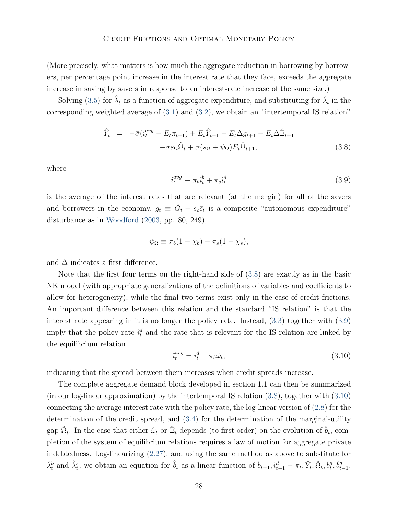(More precisely, what matters is how much the aggregate reduction in borrowing by borrowers, per percentage point increase in the interest rate that they face, exceeds the aggregate increase in saving by savers in response to an interest-rate increase of the same size.)

Solving [\(3.5\)](#page-27-1) for  $\hat{\lambda}_t$  as a function of aggregate expenditure, and substituting for  $\hat{\lambda}_t$  in the corresponding weighted average of [\(3.1\)](#page-26-1) and [\(3.2\)](#page-26-0), we obtain an "intertemporal IS relation"

<span id="page-28-0"></span>
$$
\hat{Y}_t = -\bar{\sigma}(\hat{i}_t^{avg} - E_t \pi_{t+1}) + E_t \hat{Y}_{t+1} - E_t \Delta g_{t+1} - E_t \Delta \hat{\Xi}_{t+1} \n- \bar{\sigma} s_\Omega \hat{\Omega}_t + \bar{\sigma} (s_\Omega + \psi_\Omega) E_t \hat{\Omega}_{t+1},
$$
\n(3.8)

where

<span id="page-28-1"></span>
$$
\hat{i}_t^{avg} \equiv \pi_b \hat{i}_t^b + \pi_s \hat{i}_t^d \tag{3.9}
$$

is the average of the interest rates that are relevant (at the margin) for all of the savers and borrowers in the economy,  $g_t \equiv \hat{G}_t + s_c \bar{c}_t$  is a composite "autonomous expenditure" disturbance as in [Woodford](#page-60-0) [\(2003,](#page-60-0) pp. 80, 249),

$$
\psi_{\Omega} \equiv \pi_b(1 - \chi_b) - \pi_s(1 - \chi_s),
$$

and  $\Delta$  indicates a first difference.

Note that the first four terms on the right-hand side of [\(3.8\)](#page-28-0) are exactly as in the basic NK model (with appropriate generalizations of the definitions of variables and coefficients to allow for heterogeneity), while the final two terms exist only in the case of credit frictions. An important difference between this relation and the standard "IS relation" is that the interest rate appearing in it is no longer the policy rate. Instead, [\(3.3\)](#page-26-3) together with [\(3.9\)](#page-28-1) imply that the policy rate  $\hat{i}_t^d$  and the rate that is relevant for the IS relation are linked by the equilibrium relation

<span id="page-28-2"></span>
$$
\hat{i}_t^{avg} = \hat{i}_t^d + \pi_b \hat{\omega}_t,\tag{3.10}
$$

indicating that the spread between them increases when credit spreads increase.

The complete aggregate demand block developed in section 1.1 can then be summarized (in our log-linear approximation) by the intertemporal IS relation [\(3.8\)](#page-28-0), together with [\(3.10\)](#page-28-2) connecting the average interest rate with the policy rate, the log-linear version of [\(2.8\)](#page-13-2) for the determination of the credit spread, and [\(3.4\)](#page-26-2) for the determination of the marginal-utility gap  $\hat{\Omega}_t$ . In the case that either  $\hat{\omega}_t$  or  $\hat{\Xi}_t$  depends (to first order) on the evolution of  $\hat{b}_t$ , completion of the system of equilibrium relations requires a law of motion for aggregate private indebtedness. Log-linearizing [\(2.27\)](#page-22-1), and using the same method as above to substitute for  $\hat{\lambda}_t^b$  and  $\hat{\lambda}_t^s$ , we obtain an equation for  $\hat{b}_t$  as a linear function of  $\hat{b}_{t-1}, \hat{i}_{t-1}^d - \pi_t, \hat{Y}_t, \hat{\Omega}_t, \hat{b}_t^g$  $_{t}^{g},\hat{b}_{t}^{g}$  $_{t-1}^g,$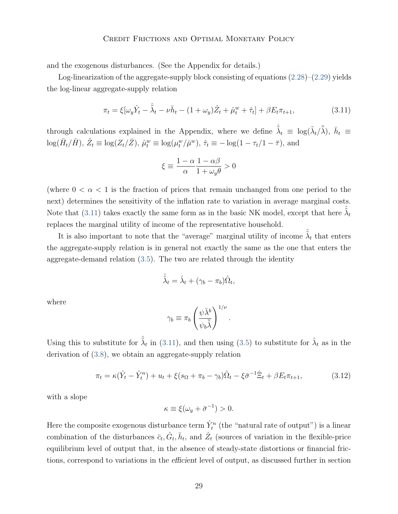and the exogenous disturbances. (See the Appendix for details.)

Log-linearization of the aggregate-supply block consisting of equations [\(2.28\)](#page-24-1)–[\(2.29\)](#page-24-0) yields the log-linear aggregate-supply relation

<span id="page-29-0"></span>
$$
\pi_t = \xi[\omega_y \hat{Y}_t - \hat{\lambda}_t - \nu \bar{h}_t - (1 + \omega_y)\hat{Z}_t + \hat{\mu}_t^w + \hat{\tau}_t] + \beta E_t \pi_{t+1},
$$
\n(3.11)

through calculations explained in the Appendix, where we define  $\hat{\tilde{\lambda}}_t \equiv \log(\tilde{\lambda}_t/\bar{\tilde{\lambda}}), \bar{h}_t \equiv$  $\log(\bar{H}_t/\bar{H})$ ,  $\hat{Z}_t \equiv \log(Z_t/\bar{Z})$ ,  $\hat{\mu}_t^w \equiv \log(\mu_t^w/\bar{\mu}^w)$ ,  $\hat{\tau}_t \equiv -\log(1 - \tau_t/1 - \bar{\tau})$ , and

$$
\xi \equiv \frac{1-\alpha}{\alpha}\frac{1-\alpha\beta}{1+\omega_y\theta} > 0
$$

(where  $0 < \alpha < 1$  is the fraction of prices that remain unchanged from one period to the next) determines the sensitivity of the inflation rate to variation in average marginal costs. Note that [\(3.11\)](#page-29-0) takes exactly the same form as in the basic NK model, except that here  $\hat{\tilde{\lambda}}_t$ replaces the marginal utility of income of the representative household.

It is also important to note that the "average" marginal utility of income  $\hat{\tilde{\lambda}}_t$  that enters the aggregate-supply relation is in general not exactly the same as the one that enters the aggregate-demand relation [\(3.5\)](#page-27-1). The two are related through the identity

$$
\hat{\tilde{\lambda}}_t = \hat{\lambda}_t + (\gamma_b - \pi_b)\hat{\Omega}_t,
$$

where

$$
\gamma_b \equiv \pi_b \left( \frac{\psi \bar{\lambda}^b}{\psi_b \bar{\tilde{\lambda}}} \right)^{1/\nu}.
$$

Using this to substitute for  $\hat{\tilde{\lambda}}_t$  in [\(3.11\)](#page-29-0), and then using [\(3.5\)](#page-27-1) to substitute for  $\hat{\lambda}_t$  as in the derivation of [\(3.8\)](#page-28-0), we obtain an aggregate-supply relation

<span id="page-29-1"></span>
$$
\pi_t = \kappa(\hat{Y}_t - \hat{Y}_t^n) + u_t + \xi(s_{\Omega} + \pi_b - \gamma_b)\hat{\Omega}_t - \xi\bar{\sigma}^{-1}\hat{\Xi}_t + \beta E_t \pi_{t+1},\tag{3.12}
$$

with a slope

$$
\kappa \equiv \xi(\omega_y + \bar{\sigma}^{-1}) > 0.
$$

Here the composite exogenous disturbance term  $\hat{Y}^n_t$  (the "natural rate of output") is a linear combination of the disturbances  $\bar{c}_t, \hat{G}_t, \bar{h}_t$ , and  $\hat{Z}_t$  (sources of variation in the flexible-price equilibrium level of output that, in the absence of steady-state distortions or financial frictions, correspond to variations in the efficient level of output, as discussed further in section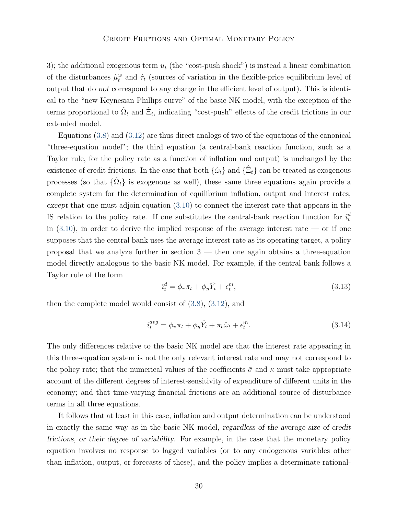3); the additional exogenous term  $u_t$  (the "cost-push shock") is instead a linear combination of the disturbances  $\hat{\mu}_t^w$  and  $\hat{\tau}_t$  (sources of variation in the flexible-price equilibrium level of output that do not correspond to any change in the efficient level of output). This is identical to the "new Keynesian Phillips curve" of the basic NK model, with the exception of the terms proportional to  $\hat{\Omega}_t$  and  $\hat{\Xi}_t$ , indicating "cost-push" effects of the credit frictions in our extended model.

Equations [\(3.8\)](#page-28-0) and [\(3.12\)](#page-29-1) are thus direct analogs of two of the equations of the canonical "three-equation model"; the third equation (a central-bank reaction function, such as a Taylor rule, for the policy rate as a function of inflation and output) is unchanged by the existence of credit frictions. In the case that both  $\{\hat{\omega}_t\}$  and  $\{\hat{\Xi}_t\}$  can be treated as exogenous processes (so that  $\{\hat{\Omega}_t\}$ ) is exogenous as well), these same three equations again provide a complete system for the determination of equilibrium inflation, output and interest rates, except that one must adjoin equation [\(3.10\)](#page-28-2) to connect the interest rate that appears in the IS relation to the policy rate. If one substitutes the central-bank reaction function for  $\hat{i}_t^d$ in  $(3.10)$ , in order to derive the implied response of the average interest rate — or if one supposes that the central bank uses the average interest rate as its operating target, a policy proposal that we analyze further in section  $3$  — then one again obtains a three-equation model directly analogous to the basic NK model. For example, if the central bank follows a Taylor rule of the form

<span id="page-30-0"></span>
$$
\hat{\imath}_t^d = \phi_\pi \pi_t + \phi_y \hat{Y}_t + \epsilon_t^m,\tag{3.13}
$$

then the complete model would consist of [\(3.8\)](#page-28-0), [\(3.12\)](#page-29-1), and

$$
\hat{i}_t^{avg} = \phi_\pi \pi_t + \phi_y \hat{Y}_t + \pi_b \hat{\omega}_t + \epsilon_t^m. \tag{3.14}
$$

The only differences relative to the basic NK model are that the interest rate appearing in this three-equation system is not the only relevant interest rate and may not correspond to the policy rate; that the numerical values of the coefficients  $\bar{\sigma}$  and  $\kappa$  must take appropriate account of the different degrees of interest-sensitivity of expenditure of different units in the economy; and that time-varying financial frictions are an additional source of disturbance terms in all three equations.

It follows that at least in this case, inflation and output determination can be understood in exactly the same way as in the basic NK model, regardless of the average size of credit frictions, or their degree of variability. For example, in the case that the monetary policy equation involves no response to lagged variables (or to any endogenous variables other than inflation, output, or forecasts of these), and the policy implies a determinate rational-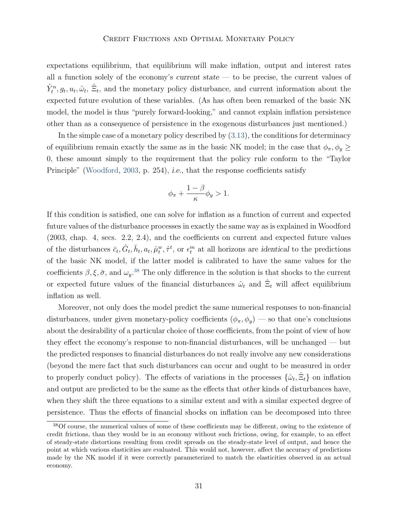expectations equilibrium, that equilibrium will make inflation, output and interest rates all a function solely of the economy's current state — to be precise, the current values of  $\hat{Y}_t^n, g_t, u_t, \hat{\omega}_t, \hat{\Xi}_t$ , and the monetary policy disturbance, and current information about the expected future evolution of these variables. (As has often been remarked of the basic NK model, the model is thus "purely forward-looking," and cannot explain inflation persistence other than as a consequence of persistence in the exogenous disturbances just mentioned.)

In the simple case of a monetary policy described by [\(3.13\)](#page-30-0), the conditions for determinacy of equilibrium remain exactly the same as in the basic NK model; in the case that  $\phi_{\pi}, \phi_{\psi} \geq$ 0, these amount simply to the requirement that the policy rule conform to the "Taylor Principle" [\(Woodford,](#page-60-0) [2003,](#page-60-0) p. 254), *i.e.*, that the response coefficients satisfy

$$
\phi_{\pi} + \frac{1-\beta}{\kappa} \phi_y > 1.
$$

If this condition is satisfied, one can solve for inflation as a function of current and expected future values of the disturbance processes in exactly the same way as is explained in Woodford (2003, chap. 4, secs. 2.2, 2.4), and the coefficients on current and expected future values of the disturbances  $\bar{c}_t, \hat{G}_t, \bar{h}_t, a_t, \hat{\mu}_t^w, \hat{\tau}^t$ , or  $\epsilon_t^m$  at all horizons are *identical* to the predictions of the basic NK model, if the latter model is calibrated to have the same values for the coefficients  $\beta, \xi, \bar{\sigma}$ , and  $\omega_y$ <sup>[38](#page-1-0)</sup>. The only difference in the solution is that shocks to the current or expected future values of the financial disturbances  $\hat{\omega}_t$  and  $\hat{\Xi}_t$  will affect equilibrium inflation as well.

Moreover, not only does the model predict the same numerical responses to non-financial disturbances, under given monetary-policy coefficients  $(\phi_{\pi}, \phi_y)$  — so that one's conclusions about the desirability of a particular choice of those coefficients, from the point of view of how they effect the economy's response to non-financial disturbances, will be unchanged — but the predicted responses to financial disturbances do not really involve any new considerations (beyond the mere fact that such disturbances can occur and ought to be measured in order to properly conduct policy). The effects of variations in the processes  $\{\hat{\omega}_t, \hat{\Xi}_t\}$  on inflation and output are predicted to be the same as the effects that other kinds of disturbances have, when they shift the three equations to a similar extent and with a similar expected degree of persistence. Thus the effects of financial shocks on inflation can be decomposed into three

<sup>38</sup>Of course, the numerical values of some of these coefficients may be different, owing to the existence of credit frictions, than they would be in an economy without such frictions, owing, for example, to an effect of steady-state distortions resulting from credit spreads on the steady-state level of output, and hence the point at which various elasticities are evaluated. This would not, however, affect the accuracy of predictions made by the NK model if it were correctly parameterized to match the elasticities observed in an actual economy.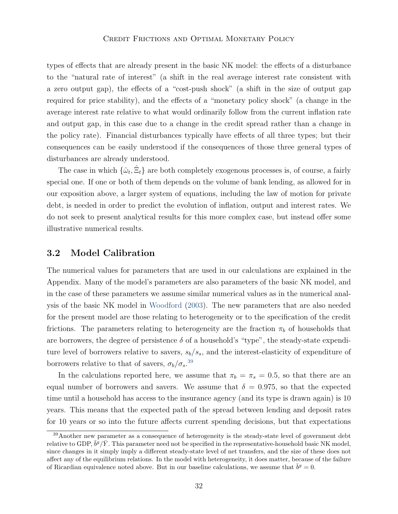types of effects that are already present in the basic NK model: the effects of a disturbance to the "natural rate of interest" (a shift in the real average interest rate consistent with a zero output gap), the effects of a "cost-push shock" (a shift in the size of output gap required for price stability), and the effects of a "monetary policy shock" (a change in the average interest rate relative to what would ordinarily follow from the current inflation rate and output gap, in this case due to a change in the credit spread rather than a change in the policy rate). Financial disturbances typically have effects of all three types; but their consequences can be easily understood if the consequences of those three general types of disturbances are already understood.

The case in which  $\{\hat{\omega}_t, \hat{\Xi}_t\}$  are both completely exogenous processes is, of course, a fairly special one. If one or both of them depends on the volume of bank lending, as allowed for in our exposition above, a larger system of equations, including the law of motion for private debt, is needed in order to predict the evolution of inflation, output and interest rates. We do not seek to present analytical results for this more complex case, but instead offer some illustrative numerical results.

# 3.2 Model Calibration

The numerical values for parameters that are used in our calculations are explained in the Appendix. Many of the model's parameters are also parameters of the basic NK model, and in the case of these parameters we assume similar numerical values as in the numerical analysis of the basic NK model in [Woodford](#page-60-0) [\(2003\)](#page-60-0). The new parameters that are also needed for the present model are those relating to heterogeneity or to the specification of the credit frictions. The parameters relating to heterogeneity are the fraction  $\pi_b$  of households that are borrowers, the degree of persistence  $\delta$  of a household's "type", the steady-state expenditure level of borrowers relative to savers,  $s_b/s_s$ , and the interest-elasticity of expenditure of borrowers relative to that of savers,  $\sigma_b/\sigma_s$ .<sup>[39](#page-1-0)</sup>

In the calculations reported here, we assume that  $\pi_b = \pi_s = 0.5$ , so that there are an equal number of borrowers and savers. We assume that  $\delta = 0.975$ , so that the expected time until a household has access to the insurance agency (and its type is drawn again) is 10 years. This means that the expected path of the spread between lending and deposit rates for 10 years or so into the future affects current spending decisions, but that expectations

<sup>&</sup>lt;sup>39</sup>Another new parameter as a consequence of heterogeneity is the steady-state level of government debt relative to GDP,  $\bar{b}^g/\bar{Y}$ . This parameter need not be specified in the representative-household basic NK model, since changes in it simply imply a different steady-state level of net transfers, and the size of these does not affect any of the equilibrium relations. In the model with heterogeneity, it does matter, because of the failure of Ricardian equivalence noted above. But in our baseline calculations, we assume that  $\bar{b}^g = 0$ .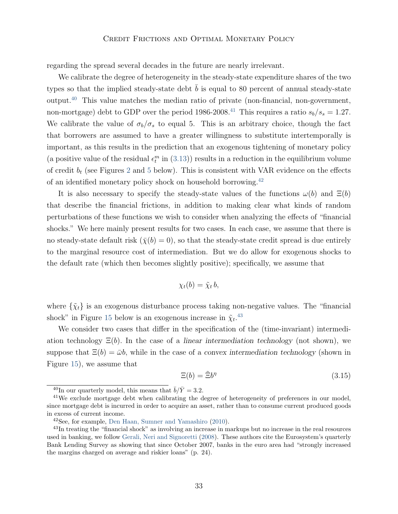regarding the spread several decades in the future are nearly irrelevant.

We calibrate the degree of heterogeneity in the steady-state expenditure shares of the two types so that the implied steady-state debt  $b$  is equal to 80 percent of annual steady-state output.[40](#page-1-0) This value matches the median ratio of private (non-financial, non-government, non-mortgage) debt to GDP over the period 1986-2008.<sup>[41](#page-1-0)</sup> This requires a ratio  $s_b/s_s = 1.27$ . We calibrate the value of  $\sigma_b/\sigma_s$  to equal 5. This is an arbitrary choice, though the fact that borrowers are assumed to have a greater willingness to substitute intertemporally is important, as this results in the prediction that an exogenous tightening of monetary policy (a positive value of the residual  $\epsilon_t^m$  in [\(3.13\)](#page-30-0)) results in a reduction in the equilibrium volume of credit  $b_t$  (see Figures [2](#page-62-0) and [5](#page-65-0) below). This is consistent with VAR evidence on the effects of an identified monetary policy shock on household borrowing.<sup>[42](#page-1-0)</sup>

It is also necessary to specify the steady-state values of the functions  $\omega(b)$  and  $\Xi(b)$ that describe the financial frictions, in addition to making clear what kinds of random perturbations of these functions we wish to consider when analyzing the effects of "financial shocks." We here mainly present results for two cases. In each case, we assume that there is no steady-state default risk  $(\bar{\chi}(b) = 0)$ , so that the steady-state credit spread is due entirely to the marginal resource cost of intermediation. But we do allow for exogenous shocks to the default rate (which then becomes slightly positive); specifically, we assume that

$$
\chi_t(b) = \tilde{\chi}_t b,
$$

where  $\{\tilde{\chi}_t\}$  is an exogenous disturbance process taking non-negative values. The "financial" shock" in Figure [15](#page-75-0) below is an exogenous increase in  $\tilde{\chi}_t$ .<sup>[43](#page-1-0)</sup>

We consider two cases that differ in the specification of the (time-invariant) intermediation technology  $\Xi(b)$ . In the case of a linear intermediation technology (not shown), we suppose that  $\Xi(b) = \bar{\omega}b$ , while in the case of a convex intermediation technology (shown in Figure [15\)](#page-75-0), we assume that

<span id="page-33-0"></span>
$$
\Xi(b) = \tilde{\Xi}b^{\eta} \tag{3.15}
$$

<sup>&</sup>lt;sup>40</sup>In our quarterly model, this means that  $\bar{b}/\bar{Y} = 3.2$ .

<sup>&</sup>lt;sup>41</sup>We exclude mortgage debt when calibrating the degree of heterogeneity of preferences in our model, since mortgage debt is incurred in order to acquire an asset, rather than to consume current produced goods in excess of current income.

<sup>42</sup>See, for example, [Den Haan, Sumner and Yamashiro](#page-57-11) [\(2010\)](#page-57-11).

<sup>43</sup>In treating the "financial shock" as involving an increase in markups but no increase in the real resources used in banking, we follow [Gerali, Neri and Signoretti](#page-58-5) [\(2008\)](#page-58-5). These authors cite the Eurosystem's quarterly Bank Lending Survey as showing that since October 2007, banks in the euro area had "strongly increased the margins charged on average and riskier loans" (p. 24).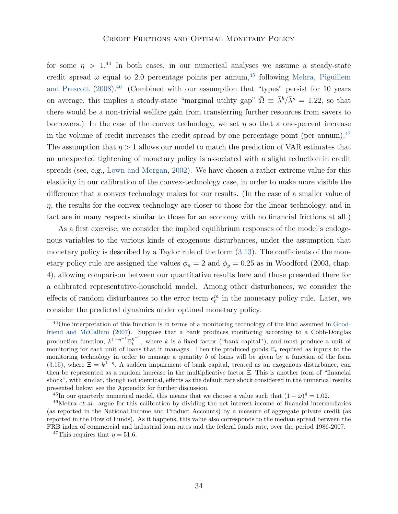for some  $\eta > 1^{44}$  $\eta > 1^{44}$  $\eta > 1^{44}$  In both cases, in our numerical analyses we assume a steady-state credit spread  $\bar{\omega}$  equal to 2.0 percentage points per annum,<sup>[45](#page-1-0)</sup> following [Mehra, Piguillem](#page-59-8) [and Prescott](#page-59-8)  $(2008)$ .<sup>[46](#page-1-0)</sup> (Combined with our assumption that "types" persist for 10 years on average, this implies a steady-state "marginal utility gap"  $\overline{\Omega} \equiv \overline{\lambda}^b/\overline{\lambda}^s = 1.22$ , so that there would be a non-trivial welfare gain from transferring further resources from savers to borrowers.) In the case of the convex technology, we set  $\eta$  so that a one-percent increase in the volume of credit increases the credit spread by one percentage point (per annum).<sup>[47](#page-1-0)</sup> The assumption that  $\eta > 1$  allows our model to match the prediction of VAR estimates that an unexpected tightening of monetary policy is associated with a slight reduction in credit spreads (see, e.g., [Lown and Morgan,](#page-59-9) [2002\)](#page-59-9). We have chosen a rather extreme value for this elasticity in our calibration of the convex-technology case, in order to make more visible the difference that a convex technology makes for our results. (In the case of a smaller value of  $\eta$ , the results for the convex technology are closer to those for the linear technology, and in fact are in many respects similar to those for an economy with no financial frictions at all.)

As a first exercise, we consider the implied equilibrium responses of the model's endogenous variables to the various kinds of exogenous disturbances, under the assumption that monetary policy is described by a Taylor rule of the form [\(3.13\)](#page-30-0). The coefficients of the monetary policy rule are assigned the values  $\phi_{\pi} = 2$  and  $\phi_{y} = 0.25$  as in Woodford (2003, chap. 4), allowing comparison between our quantitative results here and those presented there for a calibrated representative-household model. Among other disturbances, we consider the effects of random disturbances to the error term  $\epsilon_t^m$  in the monetary policy rule. Later, we consider the predicted dynamics under optimal monetary policy.

<sup>44</sup>One interpretation of this function is in terms of a monitoring technology of the kind assumed in [Good](#page-58-9)[friend and McCallum](#page-58-9) [\(2007\)](#page-58-9). Suppose that a bank produces monitoring according to a Cobb-Douglas production function,  $k^{1-\eta^{-1}} \Xi_t^{\eta^{-1}}$  $t$ , where k is a fixed factor ("bank capital"), and must produce a unit of monitoring for each unit of loans that it manages. Then the produced goods  $\Xi_t$  required as inputs to the monitoring technology in order to manage a quantity  $b$  of loans will be given by a function of the form [\(3.15\)](#page-33-0), where  $\tilde{\Xi} = k^{1-\eta}$ . A sudden impairment of bank capital, treated as an exogenous disturbance, can then be represented as a random increase in the multiplicative factor  $\tilde{\Xi}$ . This is another form of "financial" shock", with similar, though not identical, effects as the default rate shock considered in the numerical results presented below; see the Appendix for further discussion.

<sup>&</sup>lt;sup>45</sup>In our quarterly numerical model, this means that we choose a value such that  $(1 + \bar{\omega})^4 = 1.02$ .

<sup>&</sup>lt;sup>46</sup>Mehra et al. argue for this calibration by dividing the net interest income of financial intermediaries (as reported in the National Income and Product Accounts) by a measure of aggregate private credit (as reported in the Flow of Funds). As it happens, this value also corresponds to the median spread between the FRB index of commercial and industrial loan rates and the federal funds rate, over the period 1986-2007.

<sup>&</sup>lt;sup>47</sup>This requires that  $\eta = 51.6$ .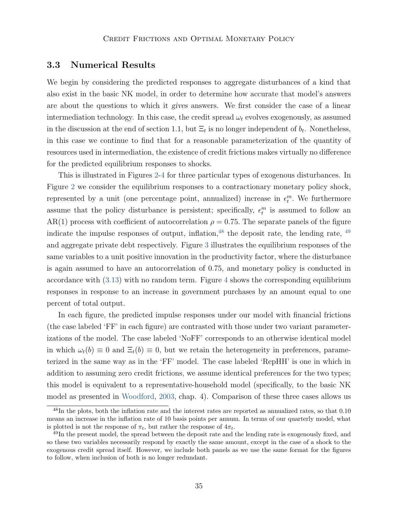## 3.3 Numerical Results

We begin by considering the predicted responses to aggregate disturbances of a kind that also exist in the basic NK model, in order to determine how accurate that model's answers are about the questions to which it gives answers. We first consider the case of a linear intermediation technology. In this case, the credit spread  $\omega_t$  evolves exogenously, as assumed in the discussion at the end of section 1.1, but  $\Xi_t$  is no longer independent of  $b_t$ . Nonetheless, in this case we continue to find that for a reasonable parameterization of the quantity of resources used in intermediation, the existence of credit frictions makes virtually no difference for the predicted equilibrium responses to shocks.

This is illustrated in Figures [2-](#page-62-0)[4](#page-64-0) for three particular types of exogenous disturbances. In Figure [2](#page-62-0) we consider the equilibrium responses to a contractionary monetary policy shock, represented by a unit (one percentage point, annualized) increase in  $\epsilon_t^m$ . We furthermore assume that the policy disturbance is persistent; specifically,  $\epsilon_t^m$  is assumed to follow an AR(1) process with coefficient of autocorrelation  $\rho = 0.75$ . The separate panels of the figure indicate the impulse responses of output, inflation,  $48$  the deposit rate, the lending rate,  $49$ and aggregate private debt respectively. Figure [3](#page-63-0) illustrates the equilibrium responses of the same variables to a unit positive innovation in the productivity factor, where the disturbance is again assumed to have an autocorrelation of 0.75, and monetary policy is conducted in accordance with [\(3.13\)](#page-30-0) with no random term. Figure [4](#page-64-0) shows the corresponding equilibrium responses in response to an increase in government purchases by an amount equal to one percent of total output.

In each figure, the predicted impulse responses under our model with financial frictions (the case labeled 'FF' in each figure) are contrasted with those under two variant parameterizations of the model. The case labeled 'NoFF' corresponds to an otherwise identical model in which  $\omega_t(b) \equiv 0$  and  $\Xi_t(b) \equiv 0$ , but we retain the heterogeneity in preferences, parameterized in the same way as in the 'FF' model. The case labeled 'RepHH' is one in which in addition to assuming zero credit frictions, we assume identical preferences for the two types; this model is equivalent to a representative-household model (specifically, to the basic NK model as presented in [Woodford,](#page-60-0) [2003,](#page-60-0) chap. 4). Comparison of these three cases allows us

<sup>&</sup>lt;sup>48</sup>In the plots, both the inflation rate and the interest rates are reported as annualized rates, so that 0.10 means an increase in the inflation rate of 10 basis points per annum. In terms of our quarterly model, what is plotted is not the response of  $\pi_t$ , but rather the response of  $4\pi_t$ .

<sup>&</sup>lt;sup>49</sup>In the present model, the spread between the deposit rate and the lending rate is exogenously fixed, and so these two variables necessarily respond by exactly the same amount, except in the case of a shock to the exogenous credit spread itself. However, we include both panels as we use the same format for the figures to follow, when inclusion of both is no longer redundant.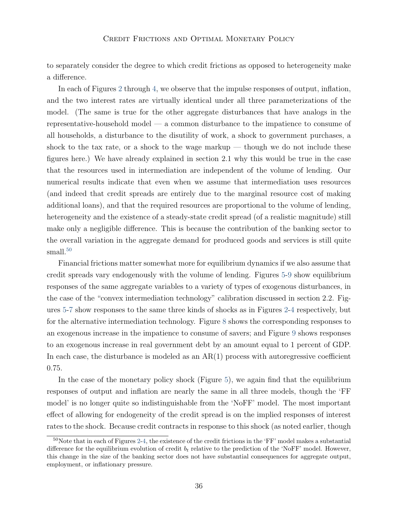to separately consider the degree to which credit frictions as opposed to heterogeneity make a difference.

In each of Figures [2](#page-62-0) through [4,](#page-64-0) we observe that the impulse responses of output, inflation, and the two interest rates are virtually identical under all three parameterizations of the model. (The same is true for the other aggregate disturbances that have analogs in the representative-household model — a common disturbance to the impatience to consume of all households, a disturbance to the disutility of work, a shock to government purchases, a shock to the tax rate, or a shock to the wage markup — though we do not include these figures here.) We have already explained in section 2.1 why this would be true in the case that the resources used in intermediation are independent of the volume of lending. Our numerical results indicate that even when we assume that intermediation uses resources (and indeed that credit spreads are entirely due to the marginal resource cost of making additional loans), and that the required resources are proportional to the volume of lending, heterogeneity and the existence of a steady-state credit spread (of a realistic magnitude) still make only a negligible difference. This is because the contribution of the banking sector to the overall variation in the aggregate demand for produced goods and services is still quite  $small.50$  $small.50$ 

Financial frictions matter somewhat more for equilibrium dynamics if we also assume that credit spreads vary endogenously with the volume of lending. Figures [5-](#page-65-0)[9](#page-69-0) show equilibrium responses of the same aggregate variables to a variety of types of exogenous disturbances, in the case of the "convex intermediation technology" calibration discussed in section 2.2. Figures [5](#page-65-0)[-7](#page-67-0) show responses to the same three kinds of shocks as in Figures [2-](#page-62-0)[4](#page-64-0) respectively, but for the alternative intermediation technology. Figure [8](#page-68-0) shows the corresponding responses to an exogenous increase in the impatience to consume of savers; and Figure [9](#page-69-0) shows responses to an exogenous increase in real government debt by an amount equal to 1 percent of GDP. In each case, the disturbance is modeled as an  $AR(1)$  process with autoregressive coefficient 0.75.

In the case of the monetary policy shock (Figure [5\)](#page-65-0), we again find that the equilibrium responses of output and inflation are nearly the same in all three models, though the 'FF model' is no longer quite so indistinguishable from the 'NoFF' model. The most important effect of allowing for endogeneity of the credit spread is on the implied responses of interest rates to the shock. Because credit contracts in response to this shock (as noted earlier, though

 $50$ Note that in each of Figures [2](#page-62-0)[-4,](#page-64-0) the existence of the credit frictions in the 'FF' model makes a substantial difference for the equilibrium evolution of credit  $b_t$  relative to the prediction of the 'NoFF' model. However, this change in the size of the banking sector does not have substantial consequences for aggregate output, employment, or inflationary pressure.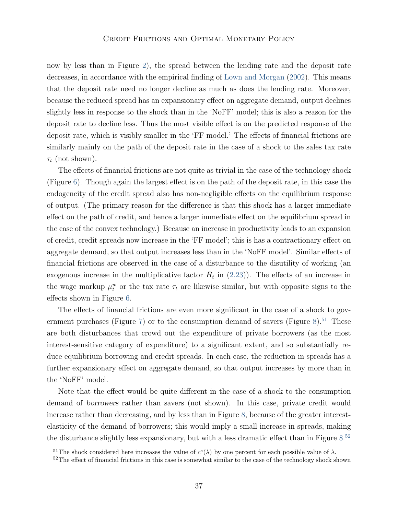now by less than in Figure [2\)](#page-62-0), the spread between the lending rate and the deposit rate decreases, in accordance with the empirical finding of [Lown and Morgan](#page-59-0) [\(2002\)](#page-59-0). This means that the deposit rate need no longer decline as much as does the lending rate. Moreover, because the reduced spread has an expansionary effect on aggregate demand, output declines slightly less in response to the shock than in the 'NoFF' model; this is also a reason for the deposit rate to decline less. Thus the most visible effect is on the predicted response of the deposit rate, which is visibly smaller in the 'FF model.' The effects of financial frictions are similarly mainly on the path of the deposit rate in the case of a shock to the sales tax rate  $\tau_t$  (not shown).

The effects of financial frictions are not quite as trivial in the case of the technology shock (Figure [6\)](#page-66-0). Though again the largest effect is on the path of the deposit rate, in this case the endogeneity of the credit spread also has non-negligible effects on the equilibrium response of output. (The primary reason for the difference is that this shock has a larger immediate effect on the path of credit, and hence a larger immediate effect on the equilibrium spread in the case of the convex technology.) Because an increase in productivity leads to an expansion of credit, credit spreads now increase in the 'FF model'; this is has a contractionary effect on aggregate demand, so that output increases less than in the 'NoFF model'. Similar effects of financial frictions are observed in the case of a disturbance to the disutility of working (an exogenous increase in the multiplicative factor  $\bar{H}_t$  in [\(2.23\)](#page-20-0)). The effects of an increase in the wage markup  $\mu_t^w$  or the tax rate  $\tau_t$  are likewise similar, but with opposite signs to the effects shown in Figure [6.](#page-66-0)

The effects of financial frictions are even more significant in the case of a shock to gov-ernment purchases (Figure [7\)](#page-67-0) or to the consumption demand of savers (Figure [8\)](#page-68-0).<sup>[51](#page-1-0)</sup> These are both disturbances that crowd out the expenditure of private borrowers (as the most interest-sensitive category of expenditure) to a significant extent, and so substantially reduce equilibrium borrowing and credit spreads. In each case, the reduction in spreads has a further expansionary effect on aggregate demand, so that output increases by more than in the 'NoFF' model.

Note that the effect would be quite different in the case of a shock to the consumption demand of borrowers rather than savers (not shown). In this case, private credit would increase rather than decreasing, and by less than in Figure [8,](#page-68-0) because of the greater interestelasticity of the demand of borrowers; this would imply a small increase in spreads, making the disturbance slightly less expansionary, but with a less dramatic effect than in Figure [8.](#page-68-0)<sup>[52](#page-1-0)</sup>

<sup>&</sup>lt;sup>51</sup>The shock considered here increases the value of  $c^{s}(\lambda)$  by one percent for each possible value of  $\lambda$ .

 $52$ The effect of financial frictions in this case is somewhat similar to the case of the technology shock shown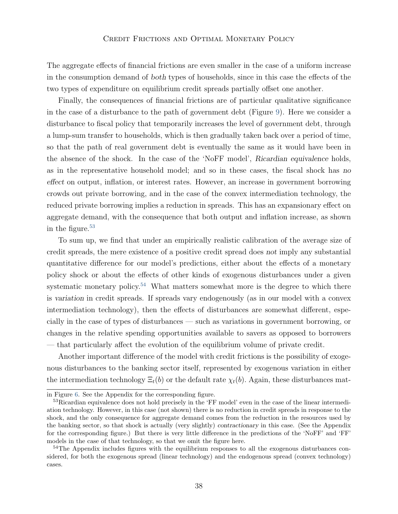The aggregate effects of financial frictions are even smaller in the case of a uniform increase in the consumption demand of both types of households, since in this case the effects of the two types of expenditure on equilibrium credit spreads partially offset one another.

Finally, the consequences of financial frictions are of particular qualitative significance in the case of a disturbance to the path of government debt (Figure [9\)](#page-69-0). Here we consider a disturbance to fiscal policy that temporarily increases the level of government debt, through a lump-sum transfer to households, which is then gradually taken back over a period of time, so that the path of real government debt is eventually the same as it would have been in the absence of the shock. In the case of the 'NoFF model', Ricardian equivalence holds, as in the representative household model; and so in these cases, the fiscal shock has no effect on output, inflation, or interest rates. However, an increase in government borrowing crowds out private borrowing, and in the case of the convex intermediation technology, the reduced private borrowing implies a reduction in spreads. This has an expansionary effect on aggregate demand, with the consequence that both output and inflation increase, as shown in the figure. $53$ 

To sum up, we find that under an empirically realistic calibration of the average size of credit spreads, the mere existence of a positive credit spread does not imply any substantial quantitative difference for our model's predictions, either about the effects of a monetary policy shock or about the effects of other kinds of exogenous disturbances under a given systematic monetary policy.<sup>[54](#page-1-0)</sup> What matters somewhat more is the degree to which there is variation in credit spreads. If spreads vary endogenously (as in our model with a convex intermediation technology), then the effects of disturbances are somewhat different, especially in the case of types of disturbances — such as variations in government borrowing, or changes in the relative spending opportunities available to savers as opposed to borrowers — that particularly affect the evolution of the equilibrium volume of private credit.

Another important difference of the model with credit frictions is the possibility of exogenous disturbances to the banking sector itself, represented by exogenous variation in either the intermediation technology  $\Xi_t(b)$  or the default rate  $\chi_t(b)$ . Again, these disturbances mat-

in Figure [6.](#page-66-0) See the Appendix for the corresponding figure.

<sup>&</sup>lt;sup>53</sup>Ricardian equivalence does not hold precisely in the 'FF model' even in the case of the linear intermediation technology. However, in this case (not shown) there is no reduction in credit spreads in response to the shock, and the only consequence for aggregate demand comes from the reduction in the resources used by the banking sector, so that shock is actually (very slightly) contractionary in this case. (See the Appendix for the corresponding figure.) But there is very little difference in the predictions of the 'NoFF' and 'FF' models in the case of that technology, so that we omit the figure here.

<sup>&</sup>lt;sup>54</sup>The Appendix includes figures with the equilibrium responses to all the exogenous disturbances considered, for both the exogenous spread (linear technology) and the endogenous spread (convex technology) cases.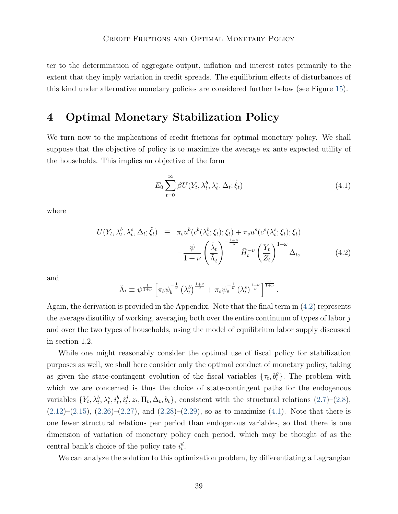ter to the determination of aggregate output, inflation and interest rates primarily to the extent that they imply variation in credit spreads. The equilibrium effects of disturbances of this kind under alternative monetary policies are considered further below (see Figure [15\)](#page-75-0).

# 4 Optimal Monetary Stabilization Policy

We turn now to the implications of credit frictions for optimal monetary policy. We shall suppose that the objective of policy is to maximize the average ex ante expected utility of the households. This implies an objective of the form

<span id="page-39-1"></span>
$$
E_0 \sum_{t=0}^{\infty} \beta U(Y_t, \lambda_t^b, \lambda_t^s, \Delta_t; \tilde{\xi}_t)
$$
\n(4.1)

where

<span id="page-39-0"></span>
$$
U(Y_t, \lambda_t^b, \lambda_t^s, \Delta_t; \tilde{\xi}_t) \equiv \pi_b u^b(c^b(\lambda_t^b; \xi_t); \xi_t) + \pi_s u^s(c^s(\lambda_t^s; \xi_t); \xi_t) - \frac{\psi}{1+\nu} \left(\frac{\tilde{\lambda}_t}{\tilde{\Lambda}_t}\right)^{-\frac{1+\nu}{\nu}} \bar{H}_t^{-\nu} \left(\frac{Y_t}{Z_t}\right)^{1+\omega} \Delta_t,
$$
(4.2)

and

$$
\tilde{\Lambda}_t \equiv \psi^{\frac{1}{1+\nu}} \left[ \pi_b \psi_b^{-\frac{1}{\nu}} \left( \lambda_t^b \right)^{\frac{1+\nu}{\nu}} + \pi_s \psi_s^{-\frac{1}{\nu}} \left( \lambda_t^s \right)^{\frac{1+\nu}{\nu}} \right]^{\frac{\nu}{1+\nu}}.
$$

Again, the derivation is provided in the Appendix. Note that the final term in [\(4.2\)](#page-39-0) represents the average disutility of working, averaging both over the entire continuum of types of labor j and over the two types of households, using the model of equilibrium labor supply discussed in section 1.2.

While one might reasonably consider the optimal use of fiscal policy for stabilization purposes as well, we shall here consider only the optimal conduct of monetary policy, taking as given the state-contingent evolution of the fiscal variables  $\{\tau_t, b_t^g\}$ . The problem with which we are concerned is thus the choice of state-contingent paths for the endogenous variables  $\{Y_t, \lambda_t^b, \lambda_t^s, i_t^b, i_t^d, z_t, \Pi_t, \Delta_t, b_t\}$ , consistent with the structural relations  $(2.7)$ – $(2.8)$ ,  $(2.12)$ – $(2.15)$ ,  $(2.26)$ – $(2.27)$ , and  $(2.28)$ – $(2.29)$ , so as to maximize  $(4.1)$ . Note that there is one fewer structural relations per period than endogenous variables, so that there is one dimension of variation of monetary policy each period, which may be thought of as the central bank's choice of the policy rate  $i_t^d$ .

We can analyze the solution to this optimization problem, by differentiating a Lagrangian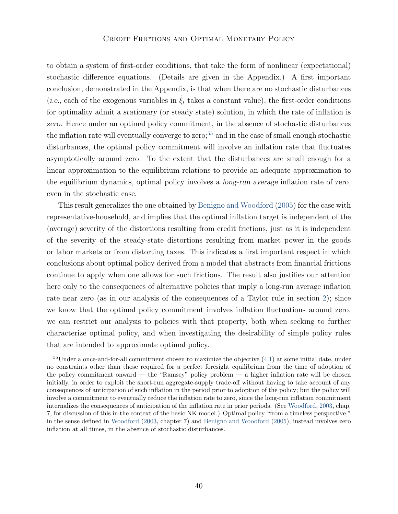to obtain a system of first-order conditions, that take the form of nonlinear (expectational) stochastic difference equations. (Details are given in the Appendix.) A first important conclusion, demonstrated in the Appendix, is that when there are no stochastic disturbances (i.e., each of the exogenous variables in  $\tilde{\xi}_t$  takes a constant value), the first-order conditions for optimality admit a stationary (or steady state) solution, in which the rate of inflation is zero. Hence under an optimal policy commitment, in the absence of stochastic disturbances the inflation rate will eventually converge to zero;<sup>[55](#page-1-0)</sup> and in the case of small enough stochastic disturbances, the optimal policy commitment will involve an inflation rate that fluctuates asymptotically around zero. To the extent that the disturbances are small enough for a linear approximation to the equilibrium relations to provide an adequate approximation to the equilibrium dynamics, optimal policy involves a long-run average inflation rate of zero, even in the stochastic case.

This result generalizes the one obtained by [Benigno and Woodford](#page-56-0) [\(2005\)](#page-56-0) for the case with representative-household, and implies that the optimal inflation target is independent of the (average) severity of the distortions resulting from credit frictions, just as it is independent of the severity of the steady-state distortions resulting from market power in the goods or labor markets or from distorting taxes. This indicates a first important respect in which conclusions about optimal policy derived from a model that abstracts from financial frictions continue to apply when one allows for such frictions. The result also justifies our attention here only to the consequences of alternative policies that imply a long-run average inflation rate near zero (as in our analysis of the consequences of a Taylor rule in section [2\)](#page-7-0); since we know that the optimal policy commitment involves inflation fluctuations around zero, we can restrict our analysis to policies with that property, both when seeking to further characterize optimal policy, and when investigating the desirability of simple policy rules that are intended to approximate optimal policy.

 $55$ Under a once-and-for-all commitment chosen to maximize the objective  $(4.1)$  at some initial date, under no constraints other than those required for a perfect foresight equilibrium from the time of adoption of the policy commitment onward — the "Ramsey" policy problem — a higher inflation rate will be chosen initially, in order to exploit the short-run aggregate-supply trade-off without having to take account of any consequences of anticipation of such inflation in the period prior to adoption of the policy; but the policy will involve a commitment to eventually reduce the inflation rate to zero, since the long-run inflation commitment internalizes the consequences of anticipation of the inflation rate in prior periods. (See [Woodford,](#page-60-0) [2003,](#page-60-0) chap. 7, for discussion of this in the context of the basic NK model.) Optimal policy "from a timeless perspective," in the sense defined in [Woodford](#page-60-0) [\(2003,](#page-60-0) chapter 7) and [Benigno and Woodford](#page-56-0) [\(2005\)](#page-56-0), instead involves zero inflation at all times, in the absence of stochastic disturbances.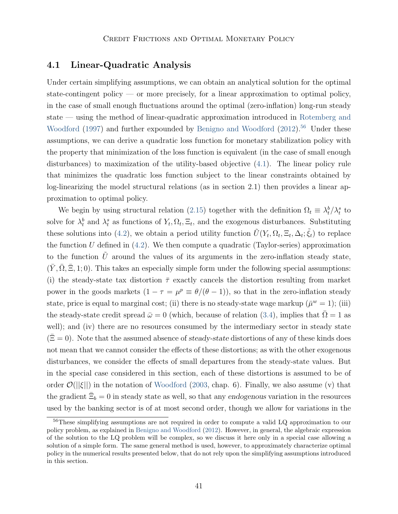## 4.1 Linear-Quadratic Analysis

Under certain simplifying assumptions, we can obtain an analytical solution for the optimal state-contingent policy — or more precisely, for a linear approximation to optimal policy, in the case of small enough fluctuations around the optimal (zero-inflation) long-run steady state — using the method of linear-quadratic approximation introduced in [Rotemberg and](#page-59-1) [Woodford](#page-59-1) [\(1997\)](#page-59-1) and further expounded by [Benigno and Woodford](#page-56-1) [\(2012\)](#page-56-1).<sup>[56](#page-1-0)</sup> Under these assumptions, we can derive a quadratic loss function for monetary stabilization policy with the property that minimization of the loss function is equivalent (in the case of small enough disturbances) to maximization of the utility-based objective [\(4.1\)](#page-39-1). The linear policy rule that minimizes the quadratic loss function subject to the linear constraints obtained by log-linearizing the model structural relations (as in section 2.1) then provides a linear approximation to optimal policy.

We begin by using structural relation [\(2.15\)](#page-15-0) together with the definition  $\Omega_t \equiv \lambda_t^b / \lambda_t^s$  to solve for  $\lambda_t^b$  and  $\lambda_t^s$  as functions of  $Y_t, \Omega_t, \Xi_t$ , and the exogenous disturbances. Substituting these solutions into [\(4.2\)](#page-39-0), we obtain a period utility function  $\tilde{U}(Y_t, \Omega_t, \Xi_t, \Delta_t; \tilde{\xi}_t)$  to replace the function  $U$  defined in [\(4.2\)](#page-39-0). We then compute a quadratic (Taylor-series) approximation to the function  $\hat{U}$  around the values of its arguments in the zero-inflation steady state,  $(\bar{Y}, \bar{\Omega}, \bar{\Xi}, 1; 0)$ . This takes an especially simple form under the following special assumptions: (i) the steady-state tax distortion  $\bar{\tau}$  exactly cancels the distortion resulting from market power in the goods markets  $(1 - \tau = \mu^p \equiv \theta/(\theta - 1))$ , so that in the zero-inflation steady state, price is equal to marginal cost; (ii) there is no steady-state wage markup  $(\bar{\mu}^w = 1)$ ; (iii) the steady-state credit spread  $\bar{\omega} = 0$  (which, because of relation [\(3.4\)](#page-26-0), implies that  $\bar{\Omega} = 1$  as well); and (iv) there are no resources consumed by the intermediary sector in steady state  $(\Xi = 0)$ . Note that the assumed absence of steady-state distortions of any of these kinds does not mean that we cannot consider the effects of these distortions; as with the other exogenous disturbances, we consider the effects of small departures from the steady-state values. But in the special case considered in this section, each of these distortions is assumed to be of order  $\mathcal{O}(|\xi|)$  in the notation of [Woodford](#page-60-0) [\(2003,](#page-60-0) chap. 6). Finally, we also assume (v) that the gradient  $\bar{\Xi}_b = 0$  in steady state as well, so that any endogenous variation in the resources used by the banking sector is of at most second order, though we allow for variations in the

<sup>&</sup>lt;sup>56</sup>These simplifying assumptions are not required in order to compute a valid LQ approximation to our policy problem, as explained in [Benigno and Woodford](#page-56-1) [\(2012\)](#page-56-1). However, in general, the algebraic expression of the solution to the LQ problem will be complex, so we discuss it here only in a special case allowing a solution of a simple form. The same general method is used, however, to approximately characterize optimal policy in the numerical results presented below, that do not rely upon the simplifying assumptions introduced in this section.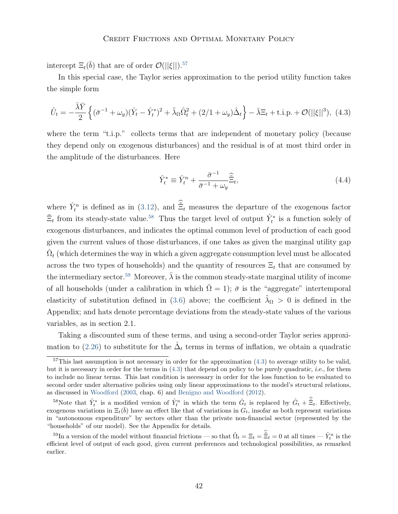intercept  $\Xi_t(\bar{b})$  that are of order  $\mathcal{O}(||\xi||)$ .<sup>[57](#page-1-0)</sup>

In this special case, the Taylor series approximation to the period utility function takes the simple form

<span id="page-42-0"></span>
$$
\tilde{U}_t = -\frac{\bar{\lambda}\bar{Y}}{2} \left\{ (\bar{\sigma}^{-1} + \omega_y)(\hat{Y}_t - \hat{Y}_t^*)^2 + \tilde{\lambda}_\Omega \hat{\Omega}_t^2 + (2/1 + \omega_y)\hat{\Delta}_t \right\} - \bar{\lambda}\Xi_t + \text{t.i.p.} + \mathcal{O}(||\xi||^3), (4.3)
$$

where the term "t.i.p." collects terms that are independent of monetary policy (because they depend only on exogenous disturbances) and the residual is of at most third order in the amplitude of the disturbances. Here

<span id="page-42-1"></span>
$$
\hat{Y}_t^* \equiv \hat{Y}_t^n + \frac{\bar{\sigma}^{-1}}{\bar{\sigma}^{-1} + \omega_y} \hat{\Xi}_t,\tag{4.4}
$$

where  $\hat{Y}_t^n$  is defined as in [\(3.12\)](#page-29-0), and  $\tilde{\Xi}_t$  measures the departure of the exogenous factor  $\tilde{\Xi}_t$  from its steady-state value.<sup>[58](#page-1-0)</sup> Thus the target level of output  $\hat{Y}_t^*$  is a function solely of exogenous disturbances, and indicates the optimal common level of production of each good given the current values of those disturbances, if one takes as given the marginal utility gap  $\hat{\Omega}_t$  (which determines the way in which a given aggregate consumption level must be allocated across the two types of households) and the quantity of resources  $\Xi_t$  that are consumed by the intermediary sector.<sup>[59](#page-1-0)</sup> Moreover,  $\bar{\lambda}$  is the common steady-state marginal utility of income of all households (under a calibration in which  $\overline{\Omega} = 1$ );  $\overline{\sigma}$  is the "aggregate" intertemporal elasticity of substitution defined in [\(3.6\)](#page-27-0) above; the coefficient  $\tilde{\lambda}_{\Omega} > 0$  is defined in the Appendix; and hats denote percentage deviations from the steady-state values of the various variables, as in section 2.1.

Taking a discounted sum of these terms, and using a second-order Taylor series approxi-mation to [\(2.26\)](#page-22-0) to substitute for the  $\hat{\Delta}_t$  terms in terms of inflation, we obtain a quadratic

 $57$ This last assumption is not necessary in order for the approximation [\(4.3\)](#page-42-0) to average utility to be valid, but it is necessary in order for the terms in [\(4.3\)](#page-42-0) that depend on policy to be purely quadratic, i.e., for them to include no linear terms. This last condition is necessary in order for the loss function to be evaluated to second order under alternative policies using only linear approximations to the model's structural relations, as discussed in [Woodford](#page-60-0) [\(2003,](#page-60-0) chap. 6) and [Benigno and Woodford](#page-56-1) [\(2012\)](#page-56-1).

<sup>&</sup>lt;sup>58</sup>Note that  $\hat{Y}_t^*$  is a modified version of  $\hat{Y}_t^n$  in which the term  $\hat{G}_t$  is replaced by  $\hat{G}_t + \tilde{\Xi}_t$ . Effectively, exogenous variations in  $\Xi_t(\bar{b})$  have an effect like that of variations in  $G_t$ , insofar as both represent variations in "autonomous expenditure" by sectors other than the private non-financial sector (represented by the "households" of our model). See the Appendix for details.

<sup>&</sup>lt;sup>59</sup>In a version of the model without financial frictions — so that  $\hat{\Omega}_t = \Xi_t = \tilde{\Xi}_t = 0$  at all times —  $\hat{Y}_t^n$  is the efficient level of output of each good, given current preferences and technological possibilities, as remarked earlier.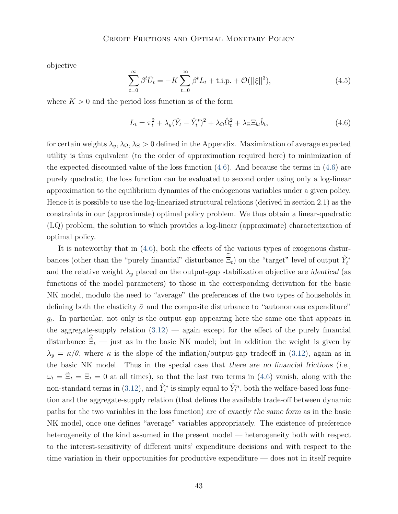objective

$$
\sum_{t=0}^{\infty} \beta^t \tilde{U}_t = -K \sum_{t=0}^{\infty} \beta^t L_t + \text{t.i.p.} + \mathcal{O}(||\xi||^3),\tag{4.5}
$$

where  $K > 0$  and the period loss function is of the form

<span id="page-43-0"></span>
$$
L_t = \pi_t^2 + \lambda_y (\hat{Y}_t - \hat{Y}_t^*)^2 + \lambda_\Omega \hat{\Omega}_t^2 + \lambda_\Xi \Xi_{bt} \hat{b}_t, \tag{4.6}
$$

for certain weights  $\lambda_y, \lambda_\Omega, \lambda_\Xi > 0$  defined in the Appendix. Maximization of average expected utility is thus equivalent (to the order of approximation required here) to minimization of the expected discounted value of the loss function [\(4.6\)](#page-43-0). And because the terms in [\(4.6\)](#page-43-0) are purely quadratic, the loss function can be evaluated to second order using only a log-linear approximation to the equilibrium dynamics of the endogenous variables under a given policy. Hence it is possible to use the log-linearized structural relations (derived in section 2.1) as the constraints in our (approximate) optimal policy problem. We thus obtain a linear-quadratic (LQ) problem, the solution to which provides a log-linear (approximate) characterization of optimal policy.

It is noteworthy that in [\(4.6\)](#page-43-0), both the effects of the various types of exogenous disturbances (other than the "purely financial" disturbance  $\tilde{\Xi}_t$ ) on the "target" level of output  $\hat{Y}_t^*$ and the relative weight  $\lambda_y$  placed on the output-gap stabilization objective are identical (as functions of the model parameters) to those in the corresponding derivation for the basic NK model, modulo the need to "average" the preferences of the two types of households in defining both the elasticity  $\bar{\sigma}$  and the composite disturbance to "autonomous expenditure"  $g_t$ . In particular, not only is the output gap appearing here the same one that appears in the aggregate-supply relation  $(3.12)$  — again except for the effect of the purely financial disturbance  $\tilde{\Xi}_t$  — just as in the basic NK model; but in addition the weight is given by  $\lambda_y = \kappa/\theta$ , where  $\kappa$  is the slope of the inflation/output-gap tradeoff in [\(3.12\)](#page-29-0), again as in the basic NK model. Thus in the special case that there are no financial frictions (i.e.,  $\omega_t = \tilde{\Xi}_t = \Xi_t = 0$  at all times), so that the last two terms in [\(4.6\)](#page-43-0) vanish, along with the non-standard terms in [\(3.12\)](#page-29-0), and  $\hat{Y}_t^*$  is simply equal to  $\hat{Y}_t^n$ , both the welfare-based loss function and the aggregate-supply relation (that defines the available trade-off between dynamic paths for the two variables in the loss function) are of exactly the same form as in the basic NK model, once one defines "average" variables appropriately. The existence of preference heterogeneity of the kind assumed in the present model — heterogeneity both with respect to the interest-sensitivity of different units' expenditure decisions and with respect to the time variation in their opportunities for productive expenditure — does not in itself require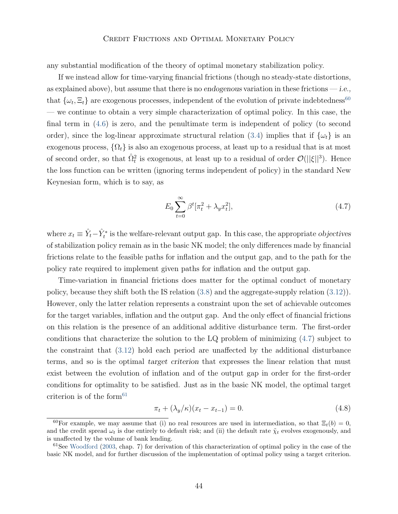any substantial modification of the theory of optimal monetary stabilization policy.

If we instead allow for time-varying financial frictions (though no steady-state distortions, as explained above), but assume that there is no endogenous variation in these frictions  $-i.e.,$ that  $\{\omega_t, \Xi_t\}$  are exogenous processes, independent of the evolution of private indebtedness<sup>[60](#page-1-0)</sup> — we continue to obtain a very simple characterization of optimal policy. In this case, the final term in [\(4.6\)](#page-43-0) is zero, and the penultimate term is independent of policy (to second order), since the log-linear approximate structural relation [\(3.4\)](#page-26-0) implies that if  $\{\omega_t\}$  is an exogenous process,  $\{\Omega_t\}$  is also an exogenous process, at least up to a residual that is at most of second order, so that  $\hat{\Omega}_t^2$  is exogenous, at least up to a residual of order  $\mathcal{O}(||\xi||^3)$ . Hence the loss function can be written (ignoring terms independent of policy) in the standard New Keynesian form, which is to say, as

<span id="page-44-0"></span>
$$
E_0 \sum_{t=0}^{\infty} \beta^t [\pi_t^2 + \lambda_y x_t^2], \qquad (4.7)
$$

where  $x_t \equiv \hat{Y}_t - \hat{Y}_t^*$  is the welfare-relevant output gap. In this case, the appropriate objectives of stabilization policy remain as in the basic NK model; the only differences made by financial frictions relate to the feasible paths for inflation and the output gap, and to the path for the policy rate required to implement given paths for inflation and the output gap.

Time-variation in financial frictions does matter for the optimal conduct of monetary policy, because they shift both the IS relation [\(3.8\)](#page-28-0) and the aggregate-supply relation [\(3.12\)](#page-29-0)). However, only the latter relation represents a constraint upon the set of achievable outcomes for the target variables, inflation and the output gap. And the only effect of financial frictions on this relation is the presence of an additional additive disturbance term. The first-order conditions that characterize the solution to the LQ problem of minimizing [\(4.7\)](#page-44-0) subject to the constraint that [\(3.12\)](#page-29-0) hold each period are unaffected by the additional disturbance terms, and so is the optimal target criterion that expresses the linear relation that must exist between the evolution of inflation and of the output gap in order for the first-order conditions for optimality to be satisfied. Just as in the basic NK model, the optimal target criterion is of the form<sup>[61](#page-1-0)</sup>

<span id="page-44-1"></span>
$$
\pi_t + (\lambda_y/\kappa)(x_t - x_{t-1}) = 0.
$$
\n(4.8)

<sup>&</sup>lt;sup>60</sup>For example, we may assume that (i) no real resources are used in intermediation, so that  $\Xi_t(b) = 0$ , and the credit spread  $\omega_t$  is due entirely to default risk; and (ii) the default rate  $\tilde{\chi}_t$  evolves exogenously, and is unaffected by the volume of bank lending.

 $61$ See [Woodford](#page-60-0) [\(2003,](#page-60-0) chap. 7) for derivation of this characterization of optimal policy in the case of the basic NK model, and for further discussion of the implementation of optimal policy using a target criterion.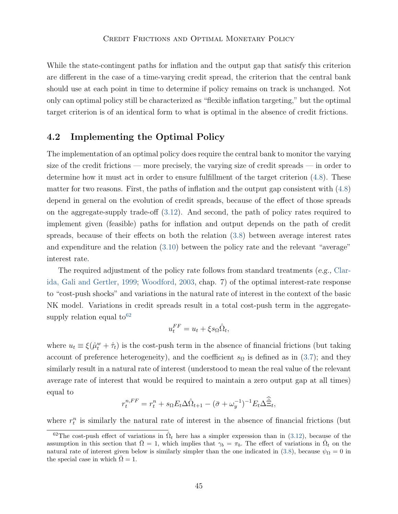While the state-contingent paths for inflation and the output gap that *satisfy* this criterion are different in the case of a time-varying credit spread, the criterion that the central bank should use at each point in time to determine if policy remains on track is unchanged. Not only can optimal policy still be characterized as "flexible inflation targeting," but the optimal target criterion is of an identical form to what is optimal in the absence of credit frictions.

## 4.2 Implementing the Optimal Policy

The implementation of an optimal policy does require the central bank to monitor the varying size of the credit frictions — more precisely, the varying size of credit spreads — in order to determine how it must act in order to ensure fulfillment of the target criterion [\(4.8\)](#page-44-1). These matter for two reasons. First, the paths of inflation and the output gap consistent with [\(4.8\)](#page-44-1) depend in general on the evolution of credit spreads, because of the effect of those spreads on the aggregate-supply trade-off [\(3.12\)](#page-29-0). And second, the path of policy rates required to implement given (feasible) paths for inflation and output depends on the path of credit spreads, because of their effects on both the relation [\(3.8\)](#page-28-0) between average interest rates and expenditure and the relation [\(3.10\)](#page-28-1) between the policy rate and the relevant "average" interest rate.

The required adjustment of the policy rate follows from standard treatments (e.g., [Clar](#page-57-0)[ida, Gali and Gertler,](#page-57-0) [1999;](#page-57-0) [Woodford,](#page-60-0) [2003,](#page-60-0) chap. 7) of the optimal interest-rate response to "cost-push shocks" and variations in the natural rate of interest in the context of the basic NK model. Variations in credit spreads result in a total cost-push term in the aggregatesupply relation equal to  $62$ 

$$
u_t^{FF} = u_t + \xi s_\Omega \hat{\Omega}_t,
$$

where  $u_t \equiv \xi(\hat{\mu}_t^w + \hat{\tau}_t)$  is the cost-push term in the absence of financial frictions (but taking account of preference heterogeneity), and the coefficient  $s_{\Omega}$  is defined as in [\(3.7\)](#page-27-1); and they similarly result in a natural rate of interest (understood to mean the real value of the relevant average rate of interest that would be required to maintain a zero output gap at all times) equal to

$$
r_t^{n,FF} = r_t^n + s_\Omega E_t \Delta \hat{\Omega}_{t+1} - (\bar{\sigma} + \omega_y^{-1})^{-1} E_t \Delta \hat{\Xi}_t,
$$

where  $r_t^n$  is similarly the natural rate of interest in the absence of financial frictions (but

<sup>&</sup>lt;sup>62</sup>The cost-push effect of variations in  $\hat{\Omega}_t$  here has a simpler expression than in [\(3.12\)](#page-29-0), because of the assumption in this section that  $\overline{\Omega} = 1$ , which implies that  $\gamma_b = \pi_b$ . The effect of variations in  $\hat{\Omega}_t$  on the natural rate of interest given below is similarly simpler than the one indicated in [\(3.8\)](#page-28-0), because  $\psi_{\Omega} = 0$  in the special case in which  $\overline{\Omega} = 1$ .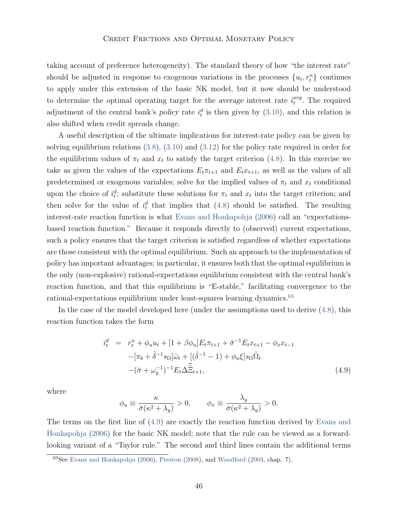taking account of preference heterogeneity). The standard theory of how "the interest rate" should be adjusted in response to exogenous variations in the processes  $\{u_t, r_t^n\}$  continues to apply under this extension of the basic NK model, but it now should be understood to determine the optimal operating target for the average interest rate  $\hat{i}^{avg}_t$  $_{t}^{avg}$ . The required adjustment of the central bank's policy rate  $i_t^d$  is then given by [\(3.10\)](#page-28-1), and this relation is also shifted when credit spreads change.

A useful description of the ultimate implications for interest-rate policy can be given by solving equilibrium relations [\(3.8\)](#page-28-0), [\(3.10\)](#page-28-1) and [\(3.12\)](#page-29-0) for the policy rate required in order for the equilibrium values of  $\pi_t$  and  $x_t$  to satisfy the target criterion [\(4.8\)](#page-44-1). In this exercise we take as given the values of the expectations  $E_t \pi_{t+1}$  and  $E_t x_{t+1}$ , as well as the values of all predetermined or exogenous variables; solve for the implied values of  $\pi_t$  and  $x_t$  conditional upon the choice of  $i_t^d$ ; substitute these solutions for  $\pi_t$  and  $x_t$  into the target criterion; and then solve for the value of  $i_t^d$  that implies that [\(4.8\)](#page-44-1) should be satisfied. The resulting interest-rate reaction function is what [Evans and Honkapohja](#page-57-1) [\(2006\)](#page-57-1) call an "expectationsbased reaction function." Because it responds directly to (observed) current expectations, such a policy ensures that the target criterion is satisfied regardless of whether expectations are those consistent with the optimal equilibrium. Such an approach to the implementation of policy has important advantages; in particular, it ensures both that the optimal equilibrium is the only (non-explosive) rational-expectations equilibrium consistent with the central bank's reaction function, and that this equilibrium is "E-stable," facilitating convergence to the rational-expectations equilibrium under least-squares learning dynamics.<sup>[63](#page-1-0)</sup>

In the case of the model developed here (under the assumptions used to derive [\(4.8\)](#page-44-1), this reaction function takes the form

<span id="page-46-0"></span>
$$
i_t^d = r_t^n + \phi_u u_t + [1 + \beta \phi_u] E_t \pi_{t+1} + \bar{\sigma}^{-1} E_t x_{t+1} - \phi_x x_{t-1} -[\pi_b + \hat{\delta}^{-1} s_\Omega] \hat{\omega}_t + [(\hat{\delta}^{-1} - 1) + \phi_u \xi] s_\Omega \hat{\Omega}_t -(\bar{\sigma} + \omega_y^{-1})^{-1} E_t \Delta \hat{\Xi}_{t+1},
$$
\n(4.9)

where

$$
\phi_u \equiv \frac{\kappa}{\bar{\sigma}(\kappa^2 + \lambda_y)} > 0, \qquad \phi_x \equiv \frac{\lambda_y}{\bar{\sigma}(\kappa^2 + \lambda_y)} > 0.
$$

The terms on the first line of [\(4.9\)](#page-46-0) are exactly the reaction function derived by [Evans and](#page-57-1) [Honkapohja](#page-57-1) [\(2006\)](#page-57-1) for the basic NK model; note that the rule can be viewed as a forwardlooking variant of a "Taylor rule." The second and third lines contain the additional terms

<sup>63</sup>See [Evans and Honkapohja](#page-57-1) [\(2006\)](#page-57-1), [Preston](#page-59-2) [\(2008\)](#page-59-2), and [Woodford](#page-60-0) [\(2003,](#page-60-0) chap. 7).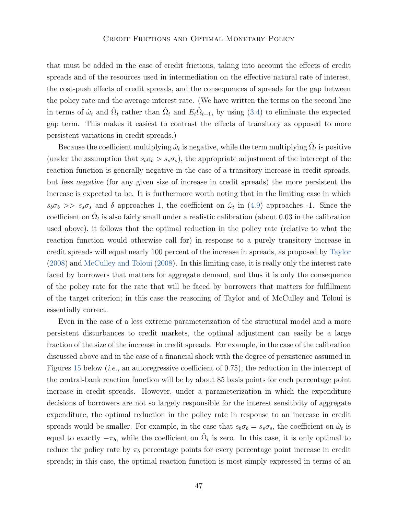that must be added in the case of credit frictions, taking into account the effects of credit spreads and of the resources used in intermediation on the effective natural rate of interest, the cost-push effects of credit spreads, and the consequences of spreads for the gap between the policy rate and the average interest rate. (We have written the terms on the second line in terms of  $\hat{\omega}_t$  and  $\hat{\Omega}_t$  rather than  $\hat{\Omega}_t$  and  $E_t\hat{\Omega}_{t+1}$ , by using [\(3.4\)](#page-26-0) to eliminate the expected gap term. This makes it easiest to contrast the effects of transitory as opposed to more persistent variations in credit spreads.)

Because the coefficient multiplying  $\hat{\omega}_t$  is negative, while the term multiplying  $\hat{\Omega}_t$  is positive (under the assumption that  $s_b \sigma_b > s_s \sigma_s$ ), the appropriate adjustment of the intercept of the reaction function is generally negative in the case of a transitory increase in credit spreads, but less negative (for any given size of increase in credit spreads) the more persistent the increase is expected to be. It is furthermore worth noting that in the limiting case in which  $s_b\sigma_b \gg s_s\sigma_s$  and  $\delta$  approaches 1, the coefficient on  $\hat{\omega}_t$  in [\(4.9\)](#page-46-0) approaches -1. Since the coefficient on  $\hat{\Omega}_t$  is also fairly small under a realistic calibration (about 0.03 in the calibration used above), it follows that the optimal reduction in the policy rate (relative to what the reaction function would otherwise call for) in response to a purely transitory increase in credit spreads will equal nearly 100 percent of the increase in spreads, as proposed by [Taylor](#page-60-1) [\(2008\)](#page-60-1) and [McCulley and Toloui](#page-59-3) [\(2008\)](#page-59-3). In this limiting case, it is really only the interest rate faced by borrowers that matters for aggregate demand, and thus it is only the consequence of the policy rate for the rate that will be faced by borrowers that matters for fulfillment of the target criterion; in this case the reasoning of Taylor and of McCulley and Toloui is essentially correct.

Even in the case of a less extreme parameterization of the structural model and a more persistent disturbances to credit markets, the optimal adjustment can easily be a large fraction of the size of the increase in credit spreads. For example, in the case of the calibration discussed above and in the case of a financial shock with the degree of persistence assumed in Figures [15](#page-75-0) below (i.e., an autoregressive coefficient of 0.75), the reduction in the intercept of the central-bank reaction function will be by about 85 basis points for each percentage point increase in credit spreads. However, under a parameterization in which the expenditure decisions of borrowers are not so largely responsible for the interest sensitivity of aggregate expenditure, the optimal reduction in the policy rate in response to an increase in credit spreads would be smaller. For example, in the case that  $s_b \sigma_b = s_s \sigma_s$ , the coefficient on  $\hat{\omega}_t$  is equal to exactly  $-\pi_b$ , while the coefficient on  $\hat{\Omega}_t$  is zero. In this case, it is only optimal to reduce the policy rate by  $\pi_b$  percentage points for every percentage point increase in credit spreads; in this case, the optimal reaction function is most simply expressed in terms of an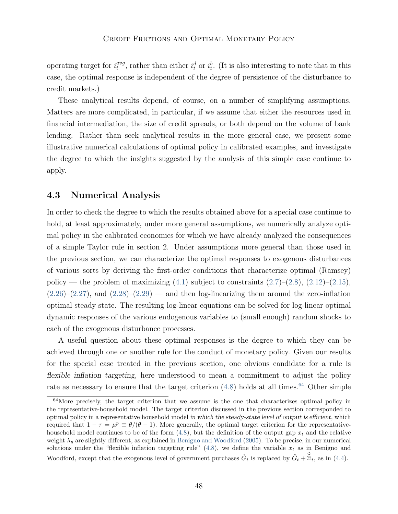operating target for  $i_t^{avg}$  $t^{avg}_{t}$ , rather than either  $i^{d}_{t}$  or  $i^{b}_{t}$ . (It is also interesting to note that in this case, the optimal response is independent of the degree of persistence of the disturbance to credit markets.)

These analytical results depend, of course, on a number of simplifying assumptions. Matters are more complicated, in particular, if we assume that either the resources used in financial intermediation, the size of credit spreads, or both depend on the volume of bank lending. Rather than seek analytical results in the more general case, we present some illustrative numerical calculations of optimal policy in calibrated examples, and investigate the degree to which the insights suggested by the analysis of this simple case continue to apply.

## 4.3 Numerical Analysis

In order to check the degree to which the results obtained above for a special case continue to hold, at least approximately, under more general assumptions, we numerically analyze optimal policy in the calibrated economies for which we have already analyzed the consequences of a simple Taylor rule in section 2. Under assumptions more general than those used in the previous section, we can characterize the optimal responses to exogenous disturbances of various sorts by deriving the first-order conditions that characterize optimal (Ramsey) policy — the problem of maximizing  $(4.1)$  subject to constraints  $(2.7)$ – $(2.8)$ ,  $(2.12)$ – $(2.15)$ ,  $(2.26)-(2.27)$  $(2.26)-(2.27)$  $(2.26)-(2.27)$ , and  $(2.28)-(2.29)$  $(2.28)-(2.29)$  $(2.28)-(2.29)$  — and then log-linearizing them around the zero-inflation optimal steady state. The resulting log-linear equations can be solved for log-linear optimal dynamic responses of the various endogenous variables to (small enough) random shocks to each of the exogenous disturbance processes.

A useful question about these optimal responses is the degree to which they can be achieved through one or another rule for the conduct of monetary policy. Given our results for the special case treated in the previous section, one obvious candidate for a rule is flexible inflation targeting, here understood to mean a commitment to adjust the policy rate as necessary to ensure that the target criterion  $(4.8)$  holds at all times.<sup>[64](#page-1-0)</sup> Other simple

 $64$ More precisely, the target criterion that we assume is the one that characterizes optimal policy in the representative-household model. The target criterion discussed in the previous section corresponded to optimal policy in a representative household model in which the steady-state level of output is efficient, which required that  $1 - \tau = \mu^p \equiv \theta/(\theta - 1)$ . More generally, the optimal target criterion for the representativehousehold model continues to be of the form  $(4.8)$ , but the definition of the output gap  $x_t$  and the relative weight  $\lambda_y$  are slightly different, as explained in [Benigno and Woodford](#page-56-0) [\(2005\)](#page-56-0). To be precise, in our numerical solutions under the "flexible inflation targeting rule"  $(4.8)$ , we define the variable  $x_t$  as in Benigno and Woodford, except that the exogenous level of government purchases  $\hat{G}_t$  is replaced by  $\hat{G}_t + \tilde{\Xi}_t$ , as in [\(4.4\)](#page-42-1).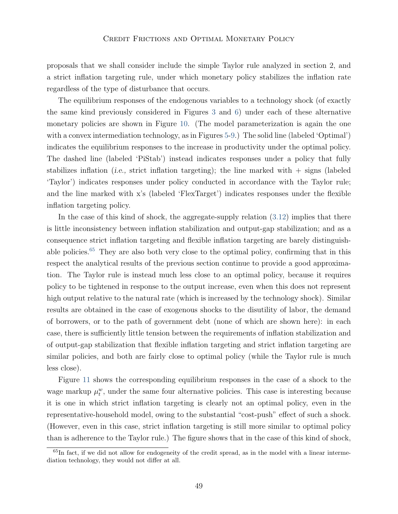proposals that we shall consider include the simple Taylor rule analyzed in section 2, and a strict inflation targeting rule, under which monetary policy stabilizes the inflation rate regardless of the type of disturbance that occurs.

The equilibrium responses of the endogenous variables to a technology shock (of exactly the same kind previously considered in Figures [3](#page-63-0) and [6\)](#page-66-0) under each of these alternative monetary policies are shown in Figure [10.](#page-70-0) (The model parameterization is again the one with a convex intermediation technology, as in Figures [5](#page-65-0)[-9.](#page-69-0)) The solid line (labeled 'Optimal') indicates the equilibrium responses to the increase in productivity under the optimal policy. The dashed line (labeled 'PiStab') instead indicates responses under a policy that fully stabilizes inflation (*i.e.*, strict inflation targeting); the line marked with  $+$  signs (labeled 'Taylor') indicates responses under policy conducted in accordance with the Taylor rule; and the line marked with x's (labeled 'FlexTarget') indicates responses under the flexible inflation targeting policy.

In the case of this kind of shock, the aggregate-supply relation [\(3.12\)](#page-29-0) implies that there is little inconsistency between inflation stabilization and output-gap stabilization; and as a consequence strict inflation targeting and flexible inflation targeting are barely distinguish-able policies.<sup>[65](#page-1-0)</sup> They are also both very close to the optimal policy, confirming that in this respect the analytical results of the previous section continue to provide a good approximation. The Taylor rule is instead much less close to an optimal policy, because it requires policy to be tightened in response to the output increase, even when this does not represent high output relative to the natural rate (which is increased by the technology shock). Similar results are obtained in the case of exogenous shocks to the disutility of labor, the demand of borrowers, or to the path of government debt (none of which are shown here): in each case, there is sufficiently little tension between the requirements of inflation stabilization and of output-gap stabilization that flexible inflation targeting and strict inflation targeting are similar policies, and both are fairly close to optimal policy (while the Taylor rule is much less close).

Figure [11](#page-71-0) shows the corresponding equilibrium responses in the case of a shock to the wage markup  $\mu_t^w$ , under the same four alternative policies. This case is interesting because it is one in which strict inflation targeting is clearly not an optimal policy, even in the representative-household model, owing to the substantial "cost-push" effect of such a shock. (However, even in this case, strict inflation targeting is still more similar to optimal policy than is adherence to the Taylor rule.) The figure shows that in the case of this kind of shock,

 $65$ In fact, if we did not allow for endogeneity of the credit spread, as in the model with a linear intermediation technology, they would not differ at all.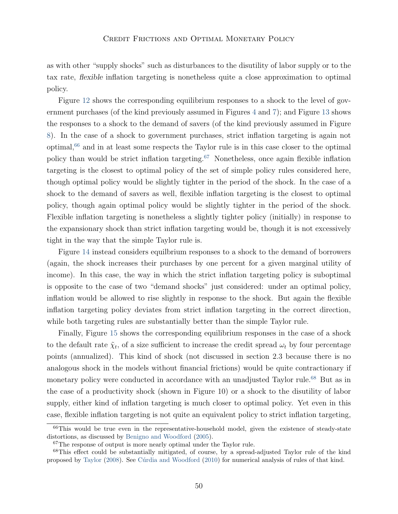as with other "supply shocks" such as disturbances to the disutility of labor supply or to the tax rate, flexible inflation targeting is nonetheless quite a close approximation to optimal policy.

Figure [12](#page-72-0) shows the corresponding equilibrium responses to a shock to the level of government purchases (of the kind previously assumed in Figures [4](#page-64-0) and [7\)](#page-67-0); and Figure [13](#page-73-0) shows the responses to a shock to the demand of savers (of the kind previously assumed in Figure [8\)](#page-68-0). In the case of a shock to government purchases, strict inflation targeting is again not optimal, $66$  and in at least some respects the Taylor rule is in this case closer to the optimal policy than would be strict inflation targeting.[67](#page-1-0) Nonetheless, once again flexible inflation targeting is the closest to optimal policy of the set of simple policy rules considered here, though optimal policy would be slightly tighter in the period of the shock. In the case of a shock to the demand of savers as well, flexible inflation targeting is the closest to optimal policy, though again optimal policy would be slightly tighter in the period of the shock. Flexible inflation targeting is nonetheless a slightly tighter policy (initially) in response to the expansionary shock than strict inflation targeting would be, though it is not excessively tight in the way that the simple Taylor rule is.

Figure [14](#page-74-0) instead considers equilbrium responses to a shock to the demand of borrowers (again, the shock increases their purchases by one percent for a given marginal utility of income). In this case, the way in which the strict inflation targeting policy is suboptimal is opposite to the case of two "demand shocks" just considered: under an optimal policy, inflation would be allowed to rise slightly in response to the shock. But again the flexible inflation targeting policy deviates from strict inflation targeting in the correct direction, while both targeting rules are substantially better than the simple Taylor rule.

Finally, Figure [15](#page-75-0) shows the corresponding equilibrium responses in the case of a shock to the default rate  $\tilde{\chi}_t$ , of a size sufficient to increase the credit spread  $\omega_t$  by four percentage points (annualized). This kind of shock (not discussed in section 2.3 because there is no analogous shock in the models without financial frictions) would be quite contractionary if monetary policy were conducted in accordance with an unadjusted Taylor rule.<sup>[68](#page-1-0)</sup> But as in the case of a productivity shock (shown in Figure 10) or a shock to the disutility of labor supply, either kind of inflation targeting is much closer to optimal policy. Yet even in this case, flexible inflation targeting is not quite an equivalent policy to strict inflation targeting,

<sup>&</sup>lt;sup>66</sup>This would be true even in the representative-household model, given the existence of steady-state distortions, as discussed by [Benigno and Woodford](#page-56-0) [\(2005\)](#page-56-0).

<sup>&</sup>lt;sup>67</sup>The response of output is more nearly optimal under the Taylor rule.

<sup>&</sup>lt;sup>68</sup>This effect could be substantially mitigated, of course, by a spread-adjusted Taylor rule of the kind proposed by [Taylor](#page-60-1) [\(2008\)](#page-60-1). See [C´urdia and Woodford](#page-57-2) [\(2010\)](#page-57-2) for numerical analysis of rules of that kind.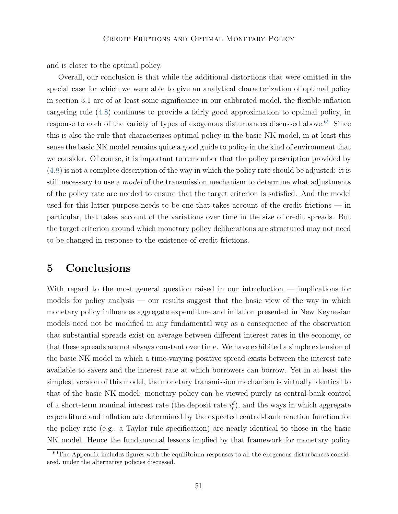and is closer to the optimal policy.

Overall, our conclusion is that while the additional distortions that were omitted in the special case for which we were able to give an analytical characterization of optimal policy in section 3.1 are of at least some significance in our calibrated model, the flexible inflation targeting rule [\(4.8\)](#page-44-1) continues to provide a fairly good approximation to optimal policy, in response to each of the variety of types of exogenous disturbances discussed above.<sup>[69](#page-1-0)</sup> Since this is also the rule that characterizes optimal policy in the basic NK model, in at least this sense the basic NK model remains quite a good guide to policy in the kind of environment that we consider. Of course, it is important to remember that the policy prescription provided by [\(4.8\)](#page-44-1) is not a complete description of the way in which the policy rate should be adjusted: it is still necessary to use a model of the transmission mechanism to determine what adjustments of the policy rate are needed to ensure that the target criterion is satisfied. And the model used for this latter purpose needs to be one that takes account of the credit frictions — in particular, that takes account of the variations over time in the size of credit spreads. But the target criterion around which monetary policy deliberations are structured may not need to be changed in response to the existence of credit frictions.

# 5 Conclusions

With regard to the most general question raised in our introduction — implications for models for policy analysis — our results suggest that the basic view of the way in which monetary policy influences aggregate expenditure and inflation presented in New Keynesian models need not be modified in any fundamental way as a consequence of the observation that substantial spreads exist on average between different interest rates in the economy, or that these spreads are not always constant over time. We have exhibited a simple extension of the basic NK model in which a time-varying positive spread exists between the interest rate available to savers and the interest rate at which borrowers can borrow. Yet in at least the simplest version of this model, the monetary transmission mechanism is virtually identical to that of the basic NK model: monetary policy can be viewed purely as central-bank control of a short-term nominal interest rate (the deposit rate  $i_t^d$ ), and the ways in which aggregate expenditure and inflation are determined by the expected central-bank reaction function for the policy rate (e.g., a Taylor rule specification) are nearly identical to those in the basic NK model. Hence the fundamental lessons implied by that framework for monetary policy

 $69$ The Appendix includes figures with the equilibrium responses to all the exogenous disturbances considered, under the alternative policies discussed.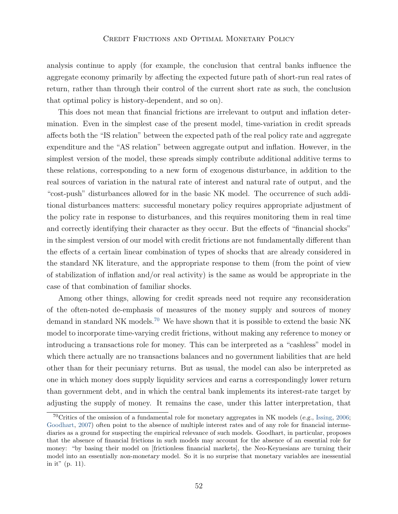analysis continue to apply (for example, the conclusion that central banks influence the aggregate economy primarily by affecting the expected future path of short-run real rates of return, rather than through their control of the current short rate as such, the conclusion that optimal policy is history-dependent, and so on).

This does not mean that financial frictions are irrelevant to output and inflation determination. Even in the simplest case of the present model, time-variation in credit spreads affects both the "IS relation" between the expected path of the real policy rate and aggregate expenditure and the "AS relation" between aggregate output and inflation. However, in the simplest version of the model, these spreads simply contribute additional additive terms to these relations, corresponding to a new form of exogenous disturbance, in addition to the real sources of variation in the natural rate of interest and natural rate of output, and the "cost-push" disturbances allowed for in the basic NK model. The occurrence of such additional disturbances matters: successful monetary policy requires appropriate adjustment of the policy rate in response to disturbances, and this requires monitoring them in real time and correctly identifying their character as they occur. But the effects of "financial shocks" in the simplest version of our model with credit frictions are not fundamentally different than the effects of a certain linear combination of types of shocks that are already considered in the standard NK literature, and the appropriate response to them (from the point of view of stabilization of inflation and/or real activity) is the same as would be appropriate in the case of that combination of familiar shocks.

Among other things, allowing for credit spreads need not require any reconsideration of the often-noted de-emphasis of measures of the money supply and sources of money demand in standard NK models.<sup>[70](#page-1-0)</sup> We have shown that it is possible to extend the basic NK model to incorporate time-varying credit frictions, without making any reference to money or introducing a transactions role for money. This can be interpreted as a "cashless" model in which there actually are no transactions balances and no government liabilities that are held other than for their pecuniary returns. But as usual, the model can also be interpreted as one in which money does supply liquidity services and earns a correspondingly lower return than government debt, and in which the central bank implements its interest-rate target by adjusting the supply of money. It remains the case, under this latter interpretation, that

 $70$ Critics of the omission of a fundamental role for monetary aggregates in NK models (e.g., [Issing,](#page-58-0) [2006;](#page-58-0) [Goodhart,](#page-58-1) [2007\)](#page-58-1) often point to the absence of multiple interest rates and of any role for financial intermediaries as a ground for suspecting the empirical relevance of such models. Goodhart, in particular, proposes that the absence of financial frictions in such models may account for the absence of an essential role for money: "by basing their model on [frictionless financial markets], the Neo-Keynesians are turning their model into an essentially non-monetary model. So it is no surprise that monetary variables are inessential in it" (p. 11).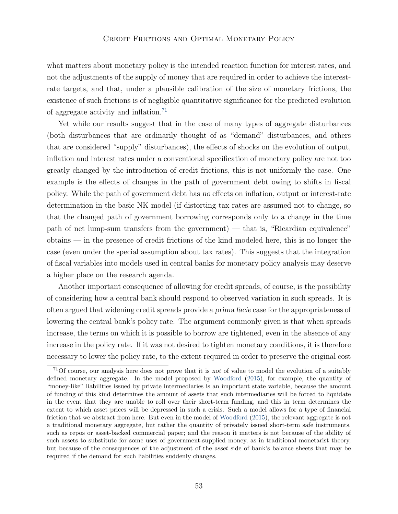what matters about monetary policy is the intended reaction function for interest rates, and not the adjustments of the supply of money that are required in order to achieve the interestrate targets, and that, under a plausible calibration of the size of monetary frictions, the existence of such frictions is of negligible quantitative significance for the predicted evolution of aggregate activity and inflation.[71](#page-1-0)

Yet while our results suggest that in the case of many types of aggregate disturbances (both disturbances that are ordinarily thought of as "demand" disturbances, and others that are considered "supply" disturbances), the effects of shocks on the evolution of output, inflation and interest rates under a conventional specification of monetary policy are not too greatly changed by the introduction of credit frictions, this is not uniformly the case. One example is the effects of changes in the path of government debt owing to shifts in fiscal policy. While the path of government debt has no effects on inflation, output or interest-rate determination in the basic NK model (if distorting tax rates are assumed not to change, so that the changed path of government borrowing corresponds only to a change in the time path of net lump-sum transfers from the government) — that is, "Ricardian equivalence" obtains — in the presence of credit frictions of the kind modeled here, this is no longer the case (even under the special assumption about tax rates). This suggests that the integration of fiscal variables into models used in central banks for monetary policy analysis may deserve a higher place on the research agenda.

Another important consequence of allowing for credit spreads, of course, is the possibility of considering how a central bank should respond to observed variation in such spreads. It is often argued that widening credit spreads provide a prima facie case for the appropriateness of lowering the central bank's policy rate. The argument commonly given is that when spreads increase, the terms on which it is possible to borrow are tightened, even in the absence of any increase in the policy rate. If it was not desired to tighten monetary conditions, it is therefore necessary to lower the policy rate, to the extent required in order to preserve the original cost

<sup>71</sup>Of course, our analysis here does not prove that it is not of value to model the evolution of a suitably defined monetary aggregate. In the model proposed by [Woodford](#page-60-2) [\(2015\)](#page-60-2), for example, the quantity of "money-like" liabilities issued by private intermediaries is an important state variable, because the amount of funding of this kind determines the amount of assets that such intermediaries will be forced to liquidate in the event that they are unable to roll over their short-term funding, and this in term determines the extent to which asset prices will be depressed in such a crisis. Such a model allows for a type of financial friction that we abstract from here. But even in the model of [Woodford](#page-60-2) [\(2015\)](#page-60-2), the relevant aggregate is not a traditional monetary aggregate, but rather the quantity of privately issued short-term safe instruments, such as repos or asset-backed commercial paper; and the reason it matters is not because of the ability of such assets to substitute for some uses of government-supplied money, as in traditional monetarist theory, but because of the consequences of the adjustment of the asset side of bank's balance sheets that may be required if the demand for such liabilities suddenly changes.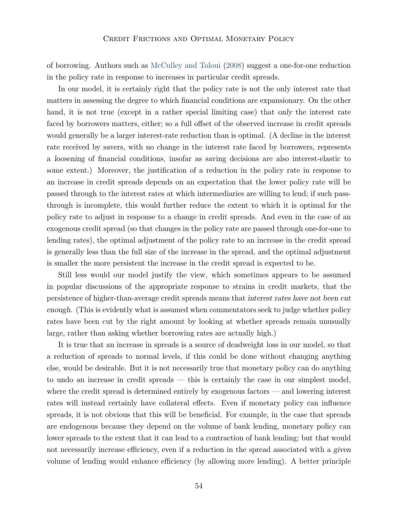of borrowing. Authors such as [McCulley and Toloui](#page-59-3) [\(2008\)](#page-59-3) suggest a one-for-one reduction in the policy rate in response to increases in particular credit spreads.

In our model, it is certainly right that the policy rate is not the only interest rate that matters in assessing the degree to which financial conditions are expansionary. On the other hand, it is not true (except in a rather special limiting case) that only the interest rate faced by borrowers matters, either; so a full offset of the observed increase in credit spreads would generally be a larger interest-rate reduction than is optimal. (A decline in the interest rate received by savers, with no change in the interest rate faced by borrowers, represents a loosening of financial conditions, insofar as saving decisions are also interest-elastic to some extent.) Moreover, the justification of a reduction in the policy rate in response to an increase in credit spreads depends on an expectation that the lower policy rate will be passed through to the interest rates at which intermediaries are willing to lend; if such passthrough is incomplete, this would further reduce the extent to which it is optimal for the policy rate to adjust in response to a change in credit spreads. And even in the case of an exogenous credit spread (so that changes in the policy rate are passed through one-for-one to lending rates), the optimal adjustment of the policy rate to an increase in the credit spread is generally less than the full size of the increase in the spread, and the optimal adjustment is smaller the more persistent the increase in the credit spread is expected to be.

Still less would our model justify the view, which sometimes appears to be assumed in popular discussions of the appropriate response to strains in credit markets, that the persistence of higher-than-average credit spreads means that interest rates have not been cut enough. (This is evidently what is assumed when commentators seek to judge whether policy rates have been cut by the right amount by looking at whether spreads remain unusually large, rather than asking whether borrowing rates are actually high.)

It is true that an increase in spreads is a source of deadweight loss in our model, so that a reduction of spreads to normal levels, if this could be done without changing anything else, would be desirable. But it is not necessarily true that monetary policy can do anything to undo an increase in credit spreads — this is certainly the case in our simplest model, where the credit spread is determined entirely by exogenous factors — and lowering interest rates will instead certainly have collateral effects. Even if monetary policy can influence spreads, it is not obvious that this will be beneficial. For example, in the case that spreads are endogenous because they depend on the volume of bank lending, monetary policy can lower spreads to the extent that it can lead to a contraction of bank lending; but that would not necessarily increase efficiency, even if a reduction in the spread associated with a given volume of lending would enhance efficiency (by allowing more lending). A better principle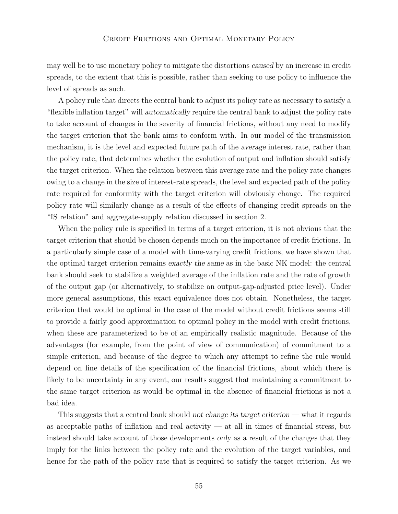may well be to use monetary policy to mitigate the distortions caused by an increase in credit spreads, to the extent that this is possible, rather than seeking to use policy to influence the level of spreads as such.

A policy rule that directs the central bank to adjust its policy rate as necessary to satisfy a "flexible inflation target" will automatically require the central bank to adjust the policy rate to take account of changes in the severity of financial frictions, without any need to modify the target criterion that the bank aims to conform with. In our model of the transmission mechanism, it is the level and expected future path of the average interest rate, rather than the policy rate, that determines whether the evolution of output and inflation should satisfy the target criterion. When the relation between this average rate and the policy rate changes owing to a change in the size of interest-rate spreads, the level and expected path of the policy rate required for conformity with the target criterion will obviously change. The required policy rate will similarly change as a result of the effects of changing credit spreads on the "IS relation" and aggregate-supply relation discussed in section 2.

When the policy rule is specified in terms of a target criterion, it is not obvious that the target criterion that should be chosen depends much on the importance of credit frictions. In a particularly simple case of a model with time-varying credit frictions, we have shown that the optimal target criterion remains exactly the same as in the basic NK model: the central bank should seek to stabilize a weighted average of the inflation rate and the rate of growth of the output gap (or alternatively, to stabilize an output-gap-adjusted price level). Under more general assumptions, this exact equivalence does not obtain. Nonetheless, the target criterion that would be optimal in the case of the model without credit frictions seems still to provide a fairly good approximation to optimal policy in the model with credit frictions, when these are parameterized to be of an empirically realistic magnitude. Because of the advantages (for example, from the point of view of communication) of commitment to a simple criterion, and because of the degree to which any attempt to refine the rule would depend on fine details of the specification of the financial frictions, about which there is likely to be uncertainty in any event, our results suggest that maintaining a commitment to the same target criterion as would be optimal in the absence of financial frictions is not a bad idea.

This suggests that a central bank should not change its target criterion — what it regards as acceptable paths of inflation and real activity — at all in times of financial stress, but instead should take account of those developments only as a result of the changes that they imply for the links between the policy rate and the evolution of the target variables, and hence for the path of the policy rate that is required to satisfy the target criterion. As we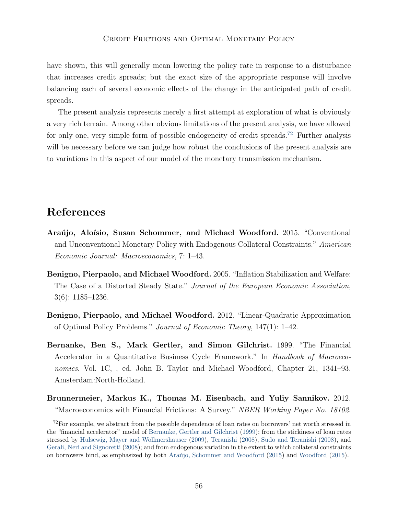have shown, this will generally mean lowering the policy rate in response to a disturbance that increases credit spreads; but the exact size of the appropriate response will involve balancing each of several economic effects of the change in the anticipated path of credit spreads.

The present analysis represents merely a first attempt at exploration of what is obviously a very rich terrain. Among other obvious limitations of the present analysis, we have allowed for only one, very simple form of possible endogeneity of credit spreads.<sup>[72](#page-1-0)</sup> Further analysis will be necessary before we can judge how robust the conclusions of the present analysis are to variations in this aspect of our model of the monetary transmission mechanism.

## References

- <span id="page-56-3"></span>Araújo, Aloísio, Susan Schommer, and Michael Woodford. 2015. "Conventional and Unconventional Monetary Policy with Endogenous Collateral Constraints." American Economic Journal: Macroeconomics, 7: 1–43.
- <span id="page-56-0"></span>Benigno, Pierpaolo, and Michael Woodford. 2005. "Inflation Stabilization and Welfare: The Case of a Distorted Steady State." Journal of the European Economic Association, 3(6): 1185–1236.
- <span id="page-56-1"></span>Benigno, Pierpaolo, and Michael Woodford. 2012. "Linear-Quadratic Approximation of Optimal Policy Problems." Journal of Economic Theory, 147(1): 1–42.
- <span id="page-56-2"></span>Bernanke, Ben S., Mark Gertler, and Simon Gilchrist. 1999. "The Financial Accelerator in a Quantitative Business Cycle Framework." In Handbook of Macroeconomics. Vol. 1C, , ed. John B. Taylor and Michael Woodford, Chapter 21, 1341-93. Amsterdam:North-Holland.
- Brunnermeier, Markus K., Thomas M. Eisenbach, and Yuliy Sannikov. 2012. "Macroeconomics with Financial Frictions: A Survey." NBER Working Paper No. 18102.

<sup>72</sup>For example, we abstract from the possible dependence of loan rates on borrowers' net worth stressed in the "financial accelerator" model of [Bernanke, Gertler and Gilchrist](#page-56-2) [\(1999\)](#page-56-2); from the stickiness of loan rates stressed by [Hulsewig, Mayer and Wollmershauser](#page-58-2) [\(2009\)](#page-58-2), [Teranishi](#page-60-3) [\(2008\)](#page-60-3), [Sudo and Teranishi](#page-60-4) [\(2008\)](#page-60-4), and [Gerali, Neri and Signoretti](#page-58-3) [\(2008\)](#page-58-3); and from endogenous variation in the extent to which collateral constraints on borrowers bind, as emphasized by both [Ara´ujo, Schommer and Woodford](#page-56-3) [\(2015\)](#page-56-3) and [Woodford](#page-60-2) [\(2015\)](#page-60-2).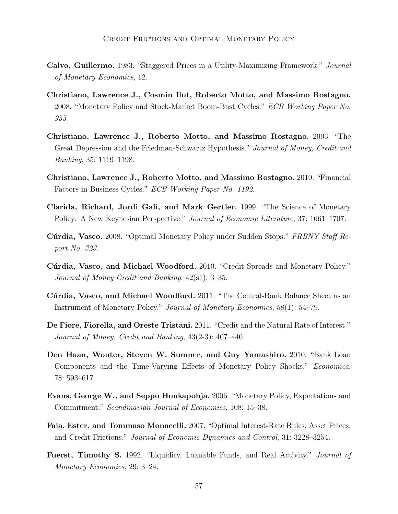- Calvo, Guillermo. 1983. "Staggered Prices in a Utility-Maximizing Framework." Journal of Monetary Economics, 12.
- Christiano, Lawrence J., Cosmin Ilut, Roberto Motto, and Massimo Rostagno. 2008. "Monetary Policy and Stock-Market Boom-Bust Cycles." ECB Working Paper No. 955.
- Christiano, Lawrence J., Roberto Motto, and Massimo Rostagno. 2003. "The Great Depression and the Friedman-Schwartz Hypothesis." Journal of Money, Credit and Banking, 35: 1119–1198.
- Christiano, Lawrence J., Roberto Motto, and Massimo Rostagno. 2010. "Financial Factors in Business Cycles." ECB Working Paper No. 1192.
- <span id="page-57-0"></span>Clarida, Richard, Jordi Gali, and Mark Gertler. 1999. "The Science of Monetary Policy: A New Keynesian Perspective." Journal of Economic Literature, 37: 1661–1707.
- Cúrdia, Vasco. 2008. "Optimal Monetary Policy under Sudden Stops." FRBNY Staff Report No. 323.
- <span id="page-57-2"></span>Cúrdia, Vasco, and Michael Woodford. 2010. "Credit Spreads and Monetary Policy." Journal of Money Credit and Banking, 42(s1): 3–35.
- Cúrdia, Vasco, and Michael Woodford. 2011. "The Central-Bank Balance Sheet as an Instrument of Monetary Policy." Journal of Monetary Economics, 58(1): 54–79.
- De Fiore, Fiorella, and Oreste Tristani. 2011. "Credit and the Natural Rate of Interest." Journal of Money, Credit and Banking, 43(2-3): 407–440.
- Den Haan, Wouter, Steven W. Sumner, and Guy Yamashiro. 2010. "Bank Loan Components and the Time-Varying Effects of Monetary Policy Shocks." Economica, 78: 593–617.
- <span id="page-57-1"></span>Evans, George W., and Seppo Honkapohja. 2006. "Monetary Policy, Expectations and Commitment." Scandinavian Journal of Economics, 108: 15–38.
- Faia, Ester, and Tommaso Monacelli. 2007. "Optimal Interest-Rate Rules, Asset Prices, and Credit Frictions." Journal of Economic Dynamics and Control, 31: 3228–3254.
- Fuerst, Timothy S. 1992. "Liquidity, Loanable Funds, and Real Activity." Journal of Monetary Economics, 29: 3–24.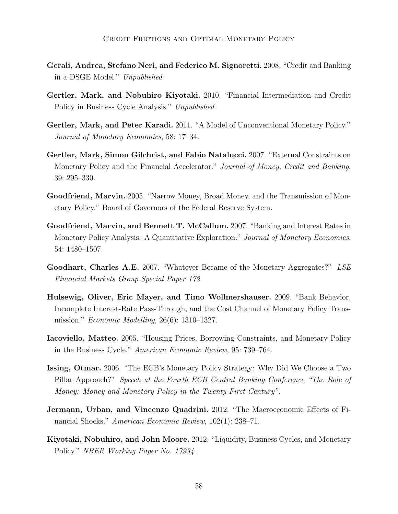- <span id="page-58-3"></span>Gerali, Andrea, Stefano Neri, and Federico M. Signoretti. 2008. "Credit and Banking in a DSGE Model." Unpublished.
- Gertler, Mark, and Nobuhiro Kiyotaki. 2010. "Financial Intermediation and Credit Policy in Business Cycle Analysis." Unpublished.
- Gertler, Mark, and Peter Karadi. 2011. "A Model of Unconventional Monetary Policy." Journal of Monetary Economics, 58: 17–34.
- Gertler, Mark, Simon Gilchrist, and Fabio Natalucci. 2007. "External Constraints on Monetary Policy and the Financial Accelerator." Journal of Money, Credit and Banking, 39: 295–330.
- Goodfriend, Marvin. 2005. "Narrow Money, Broad Money, and the Transmission of Monetary Policy." Board of Governors of the Federal Reserve System.
- Goodfriend, Marvin, and Bennett T. McCallum. 2007. "Banking and Interest Rates in Monetary Policy Analysis: A Quantitative Exploration." Journal of Monetary Economics, 54: 1480–1507.
- <span id="page-58-1"></span>Goodhart, Charles A.E. 2007. "Whatever Became of the Monetary Aggregates?" LSE Financial Markets Group Special Paper 172.
- <span id="page-58-2"></span>Hulsewig, Oliver, Eric Mayer, and Timo Wollmershauser. 2009. "Bank Behavior, Incomplete Interest-Rate Pass-Through, and the Cost Channel of Monetary Policy Transmission." Economic Modelling, 26(6): 1310–1327.
- Iacoviello, Matteo. 2005. "Housing Prices, Borrowing Constraints, and Monetary Policy in the Business Cycle." American Economic Review, 95: 739–764.
- <span id="page-58-0"></span>Issing, Otmar. 2006. "The ECB's Monetary Policy Strategy: Why Did We Choose a Two Pillar Approach?" Speech at the Fourth ECB Central Banking Conference "The Role of Money: Money and Monetary Policy in the Twenty-First Century".
- Jermann, Urban, and Vincenzo Quadrini. 2012. "The Macroeconomic Effects of Financial Shocks." American Economic Review, 102(1): 238–71.
- Kiyotaki, Nobuhiro, and John Moore. 2012. "Liquidity, Business Cycles, and Monetary Policy." NBER Working Paper No. 17934.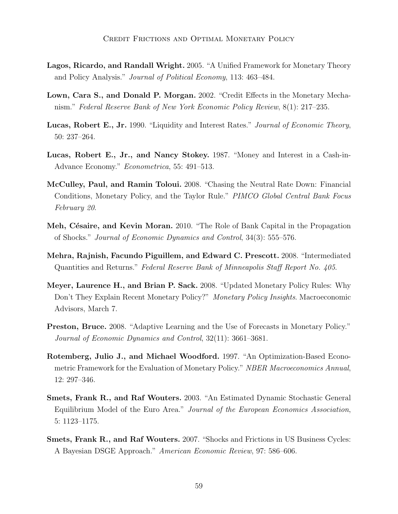- Lagos, Ricardo, and Randall Wright. 2005. "A Unified Framework for Monetary Theory and Policy Analysis." Journal of Political Economy, 113: 463–484.
- <span id="page-59-0"></span>Lown, Cara S., and Donald P. Morgan. 2002. "Credit Effects in the Monetary Mechanism." Federal Reserve Bank of New York Economic Policy Review, 8(1): 217–235.
- Lucas, Robert E., Jr. 1990. "Liquidity and Interest Rates." Journal of Economic Theory, 50: 237–264.
- Lucas, Robert E., Jr., and Nancy Stokey. 1987. "Money and Interest in a Cash-in-Advance Economy." Econometrica, 55: 491–513.
- <span id="page-59-3"></span>McCulley, Paul, and Ramin Toloui. 2008. "Chasing the Neutral Rate Down: Financial Conditions, Monetary Policy, and the Taylor Rule." PIMCO Global Central Bank Focus February 20.
- Meh, Césaire, and Kevin Moran. 2010. "The Role of Bank Capital in the Propagation of Shocks." Journal of Economic Dynamics and Control, 34(3): 555–576.
- Mehra, Rajnish, Facundo Piguillem, and Edward C. Prescott. 2008. "Intermediated Quantities and Returns." Federal Reserve Bank of Minneapolis Staff Report No. 405.
- Meyer, Laurence H., and Brian P. Sack. 2008. "Updated Monetary Policy Rules: Why Don't They Explain Recent Monetary Policy?" Monetary Policy Insights. Macroeconomic Advisors, March 7.
- <span id="page-59-2"></span>Preston, Bruce. 2008. "Adaptive Learning and the Use of Forecasts in Monetary Policy." Journal of Economic Dynamics and Control, 32(11): 3661–3681.
- <span id="page-59-1"></span>Rotemberg, Julio J., and Michael Woodford. 1997. "An Optimization-Based Econometric Framework for the Evaluation of Monetary Policy." NBER Macroeconomics Annual, 12: 297–346.
- Smets, Frank R., and Raf Wouters. 2003. "An Estimated Dynamic Stochastic General Equilibrium Model of the Euro Area." Journal of the European Economics Association, 5: 1123–1175.
- Smets, Frank R., and Raf Wouters. 2007. "Shocks and Frictions in US Business Cycles: A Bayesian DSGE Approach." American Economic Review, 97: 586–606.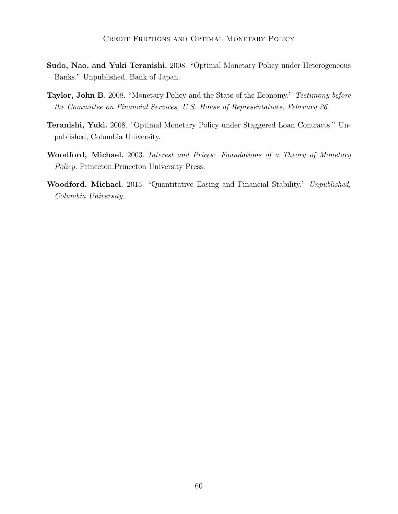- <span id="page-60-4"></span>Sudo, Nao, and Yuki Teranishi. 2008. "Optimal Monetary Policy under Heterogeneous Banks." Unpublished, Bank of Japan.
- <span id="page-60-1"></span>Taylor, John B. 2008. "Monetary Policy and the State of the Economy." Testimony before the Committee on Financial Services, U.S. House of Representatives, February 26.
- <span id="page-60-3"></span>Teranishi, Yuki. 2008. "Optimal Monetary Policy under Staggered Loan Contracts." Unpublished, Columbia University.
- <span id="page-60-0"></span>Woodford, Michael. 2003. Interest and Prices: Foundations of a Theory of Monetary Policy. Princeton:Princeton University Press.
- <span id="page-60-2"></span>Woodford, Michael. 2015. "Quantitative Easing and Financial Stability." Unpublished, Columbia University.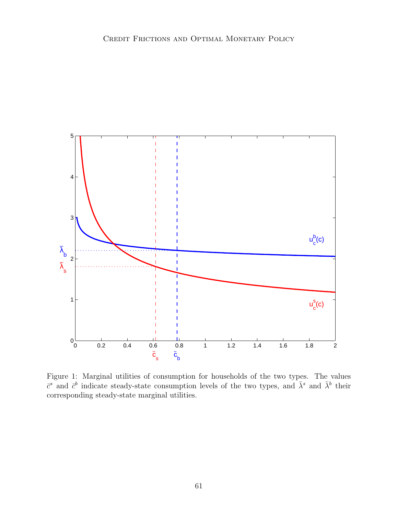

Figure 1: Marginal utilities of consumption for households of the two types. The values  $\bar{c}^s$  and  $\bar{c}^b$  indicate steady-state consumption levels of the two types, and  $\bar{\lambda}^s$  and  $\bar{\lambda}^b$  their corresponding steady-state marginal utilities.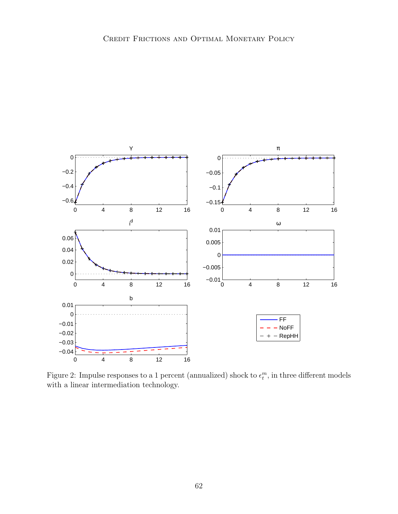

<span id="page-62-0"></span>Figure 2: Impulse responses to a 1 percent (annualized) shock to  $\epsilon_t^m$ , in three different models with a linear intermediation technology.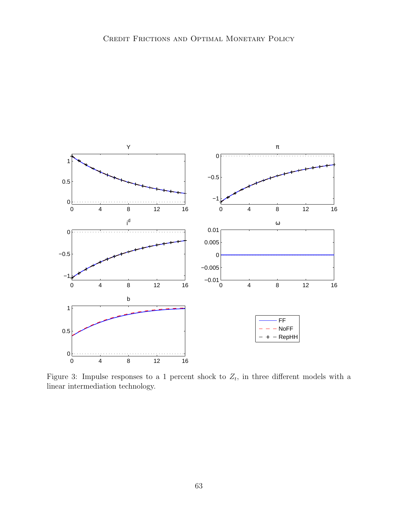

<span id="page-63-0"></span>Figure 3: Impulse responses to a 1 percent shock to  $Z_t$ , in three different models with a linear intermediation technology.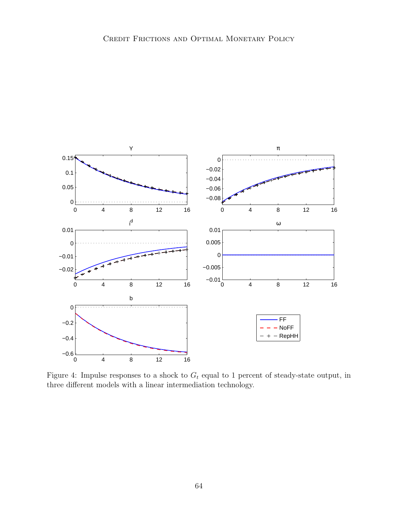

<span id="page-64-0"></span>Figure 4: Impulse responses to a shock to  $G_t$  equal to 1 percent of steady-state output, in three different models with a linear intermediation technology.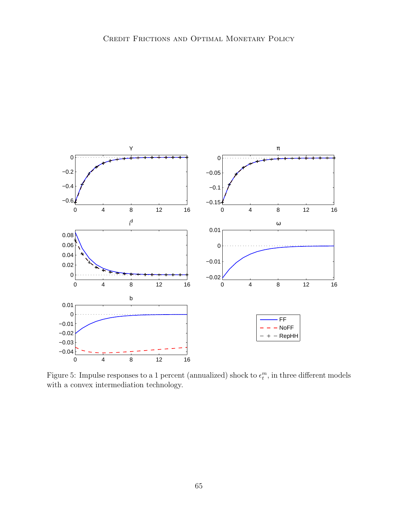

<span id="page-65-0"></span>Figure 5: Impulse responses to a 1 percent (annualized) shock to  $\epsilon_t^m$ , in three different models with a convex intermediation technology.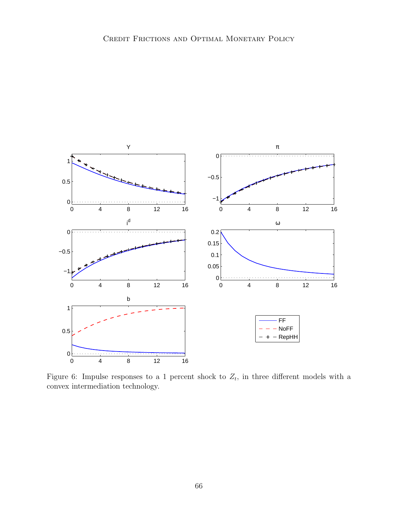

<span id="page-66-0"></span>Figure 6: Impulse responses to a 1 percent shock to  $Z_t$ , in three different models with a convex intermediation technology.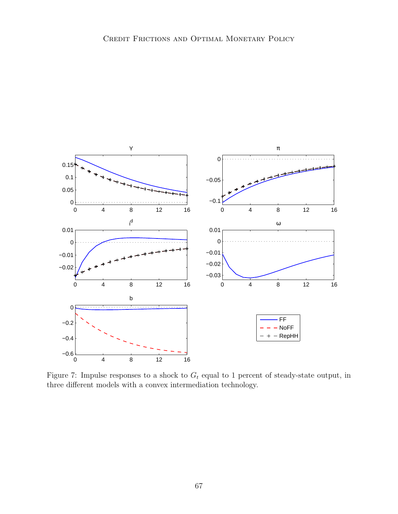

<span id="page-67-0"></span>Figure 7: Impulse responses to a shock to  $G_t$  equal to 1 percent of steady-state output, in three different models with a convex intermediation technology.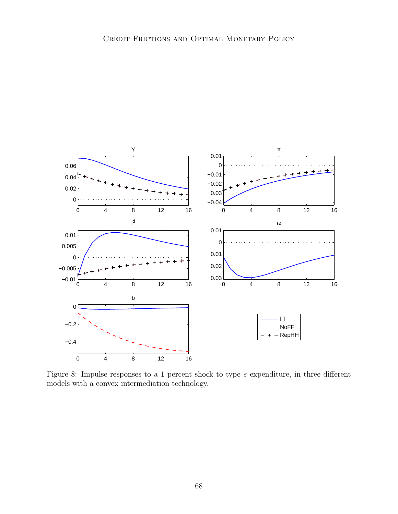

<span id="page-68-0"></span>Figure 8: Impulse responses to a 1 percent shock to type s expenditure, in three different models with a convex intermediation technology.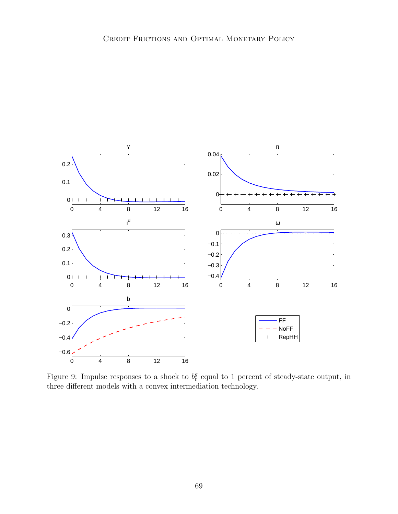

<span id="page-69-0"></span>Figure 9: Impulse responses to a shock to  $b_t^g$  $_t^g$  equal to 1 percent of steady-state output, in three different models with a convex intermediation technology.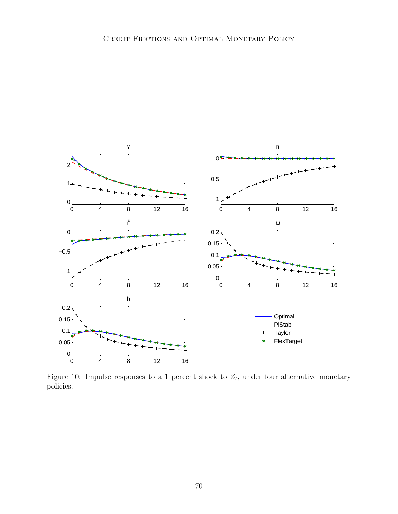

<span id="page-70-0"></span>Figure 10: Impulse responses to a 1 percent shock to  $Z_t$ , under four alternative monetary policies.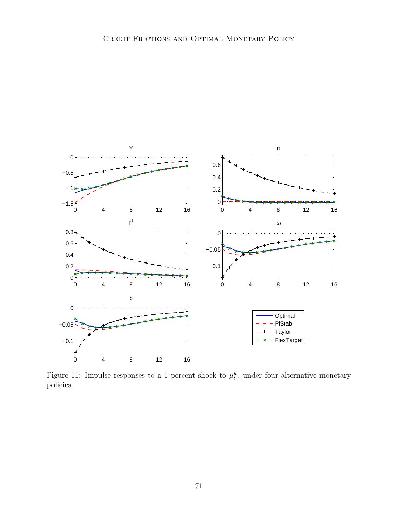

<span id="page-71-0"></span>Figure 11: Impulse responses to a 1 percent shock to  $\mu_t^w$ , under four alternative monetary policies.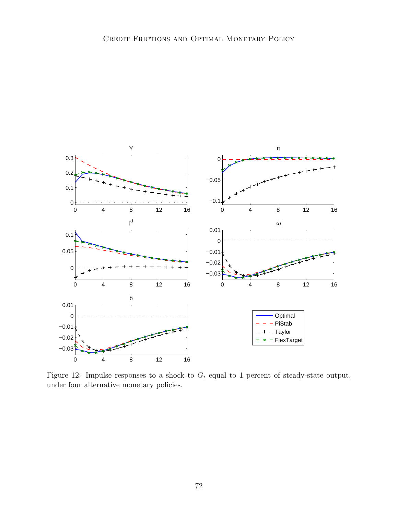

Figure 12: Impulse responses to a shock to  $G_t$  equal to 1 percent of steady-state output, under four alternative monetary policies.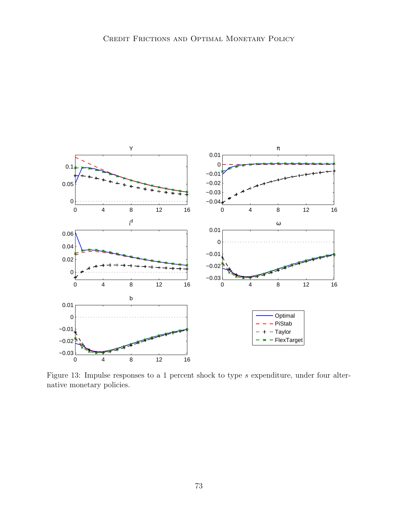

Figure 13: Impulse responses to a 1 percent shock to type s expenditure, under four alternative monetary policies.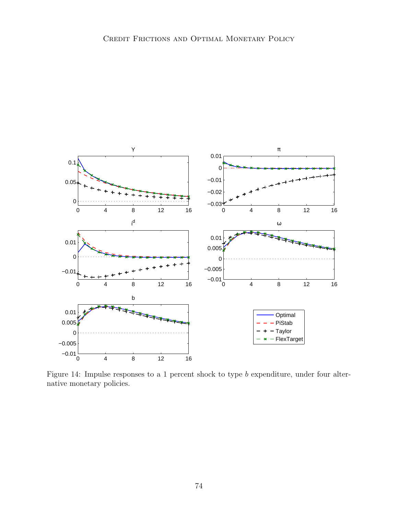

Figure 14: Impulse responses to a 1 percent shock to type b expenditure, under four alternative monetary policies.